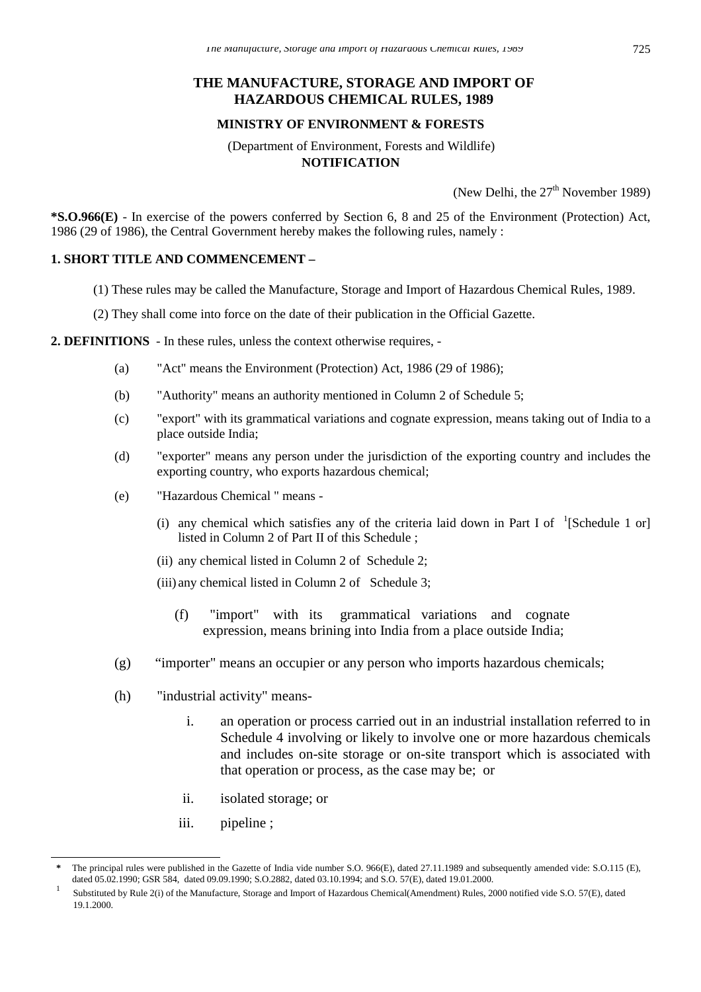### **THE MANUFACTURE, STORAGE AND IMPORT OF HAZARDOUS CHEMICAL RULES, 1989**

#### **MINISTRY OF ENVIRONMENT & FORESTS**

#### (Department of Environment, Forests and Wildlife) **NOTIFICATION**

(New Delhi, the  $27<sup>th</sup>$  November 1989)

**\*S.O.966(E)** - In exercise of the powers conferred by Section 6, 8 and 25 of the Environment (Protection) Act, 1986 (29 of 1986), the Central Government hereby makes the following rules, namely :

#### **1. SHORT TITLE AND COMMENCEMENT –**

- (1) These rules may be called the Manufacture, Storage and Import of Hazardous Chemical Rules, 1989.
- (2) They shall come into force on the date of their publication in the Official Gazette.

#### **2. DEFINITIONS** - In these rules, unless the context otherwise requires, -

- (a) "Act" means the Environment (Protection) Act, 1986 (29 of 1986);
- (b) "Authority" means an authority mentioned in Column 2 of Schedule 5;
- (c) "export" with its grammatical variations and cognate expression, means taking out of India to a place outside India;
- (d) "exporter" means any person under the jurisdiction of the exporting country and includes the exporting country, who exports hazardous chemical;
- (e) "Hazardous Chemical " means
	- (i) any chemical which satisfies any of the criteria laid down in Part I of  $\,$   $\,$  [Schedule 1 or] listed in Column 2 of Part II of this Schedule ;
	- (ii) any chemical listed in Column 2 of Schedule 2;
	- (iii) any chemical listed in Column 2 of Schedule 3;
		- (f) "import" with its grammatical variations and cognate expression, means brining into India from a place outside India;
- (g) "importer" means an occupier or any person who imports hazardous chemicals;
- (h) "industrial activity" means
	- i. an operation or process carried out in an industrial installation referred to in Schedule 4 involving or likely to involve one or more hazardous chemicals and includes on-site storage or on-site transport which is associated with that operation or process, as the case may be; or
	- ii. isolated storage; or
	- iii. pipeline ;

 $\overline{a}$ 

**<sup>\*</sup>** The principal rules were published in the Gazette of India vide number S.O. 966(E), dated 27.11.1989 and subsequently amended vide: S.O.115 (E), dated 05.02.1990; GSR 584, dated 09.09.1990; S.O.2882, dated 03.10.1994; and S.O. 57(E), dated 19.01.2000.

<sup>1</sup> Substituted by Rule 2(i) of the Manufacture, Storage and Import of Hazardous Chemical(Amendment) Rules, 2000 notified vide S.O. 57(E), dated 19.1.2000.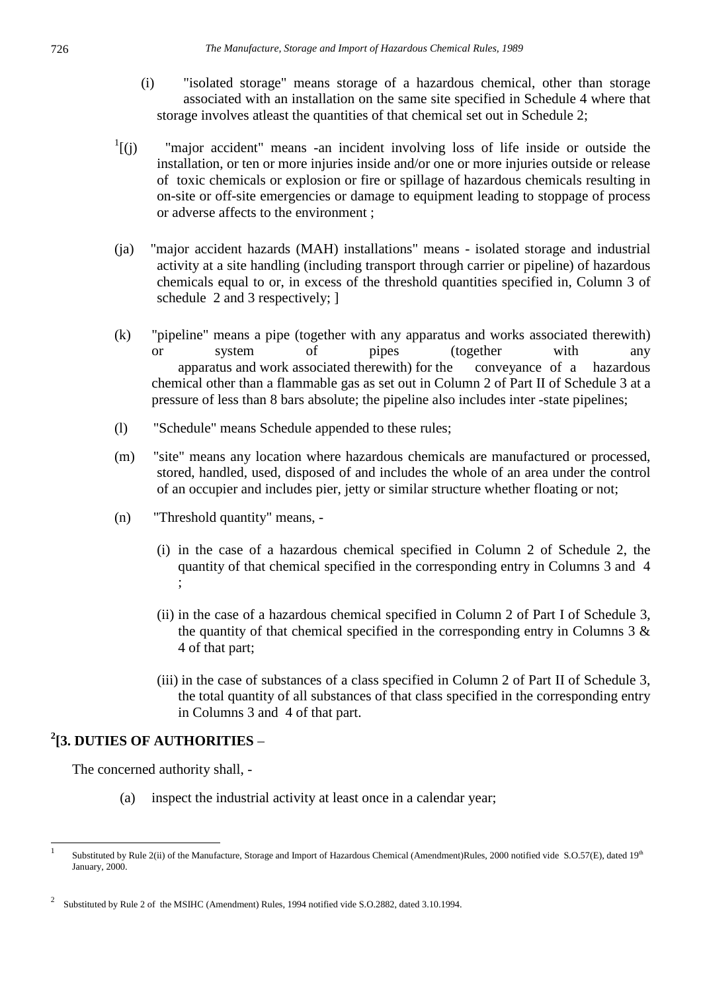- (i) "isolated storage" means storage of a hazardous chemical, other than storage associated with an installation on the same site specified in Schedule 4 where that storage involves atleast the quantities of that chemical set out in Schedule 2;
- $\frac{1}{1}$  $(i)$ "major accident" means -an incident involving loss of life inside or outside the installation, or ten or more injuries inside and/or one or more injuries outside or release of toxic chemicals or explosion or fire or spillage of hazardous chemicals resulting in on-site or off-site emergencies or damage to equipment leading to stoppage of process or adverse affects to the environment ;
- (ja) "major accident hazards (MAH) installations" means isolated storage and industrial activity at a site handling (including transport through carrier or pipeline) of hazardous chemicals equal to or, in excess of the threshold quantities specified in, Column 3 of schedule 2 and 3 respectively; ]
- (k) "pipeline" means a pipe (together with any apparatus and works associated therewith) or system of pipes (together with any apparatus and work associated therewith) for the conveyance of a hazardous chemical other than a flammable gas as set out in Column 2 of Part II of Schedule 3 at a pressure of less than 8 bars absolute; the pipeline also includes inter -state pipelines;
- (l) "Schedule" means Schedule appended to these rules;
- (m) "site" means any location where hazardous chemicals are manufactured or processed, stored, handled, used, disposed of and includes the whole of an area under the control of an occupier and includes pier, jetty or similar structure whether floating or not;
- (n) "Threshold quantity" means,
	- (i) in the case of a hazardous chemical specified in Column 2 of Schedule 2, the quantity of that chemical specified in the corresponding entry in Columns 3 and 4 ;
	- (ii) in the case of a hazardous chemical specified in Column 2 of Part I of Schedule 3, the quantity of that chemical specified in the corresponding entry in Columns  $3 \&$ 4 of that part;
	- (iii) in the case of substances of a class specified in Column 2 of Part II of Schedule 3, the total quantity of all substances of that class specified in the corresponding entry in Columns 3 and 4 of that part.

## **2 [3. DUTIES OF AUTHORITIES** –

The concerned authority shall, -

(a) inspect the industrial activity at least once in a calendar year;

 1 Substituted by Rule 2(ii) of the Manufacture, Storage and Import of Hazardous Chemical (Amendment)Rules, 2000 notified vide S.O.57(E), dated 19th January, 2000.

<sup>2</sup> Substituted by Rule 2 of the MSIHC (Amendment) Rules, 1994 notified vide S.O.2882, dated 3.10.1994.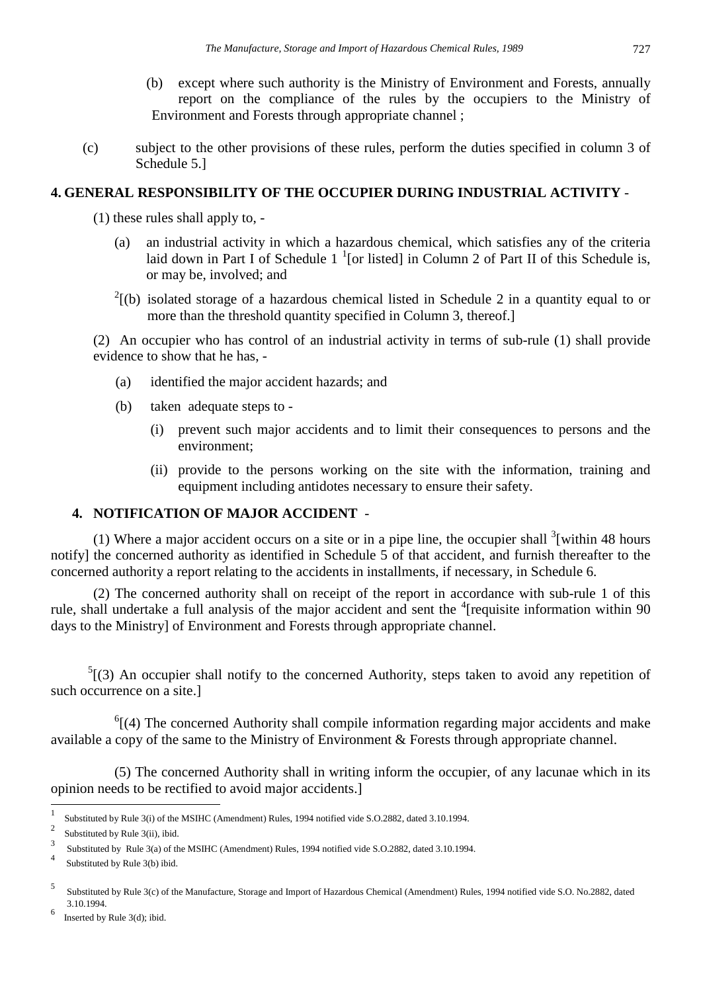- (b) except where such authority is the Ministry of Environment and Forests, annually report on the compliance of the rules by the occupiers to the Ministry of Environment and Forests through appropriate channel ;
- (c) subject to the other provisions of these rules, perform the duties specified in column 3 of Schedule 5.]

### **4. GENERAL RESPONSIBILITY OF THE OCCUPIER DURING INDUSTRIAL ACTIVITY** -

- (1) these rules shall apply to,
	- (a) an industrial activity in which a hazardous chemical, which satisfies any of the criteria laid down in Part I of Schedule  $1<sup>1</sup>$  [or listed] in Column 2 of Part II of this Schedule is, or may be, involved; and
	- $2^{2}$ [(b) isolated storage of a hazardous chemical listed in Schedule 2 in a quantity equal to or more than the threshold quantity specified in Column 3, thereof.]

(2) An occupier who has control of an industrial activity in terms of sub-rule (1) shall provide evidence to show that he has, -

- (a) identified the major accident hazards; and
- (b) taken adequate steps to
	- (i) prevent such major accidents and to limit their consequences to persons and the environment;
	- (ii) provide to the persons working on the site with the information, training and equipment including antidotes necessary to ensure their safety.

## **4. NOTIFICATION OF MAJOR ACCIDENT** -

(1) Where a major accident occurs on a site or in a pipe line, the occupier shall  $3$ [within 48 hours notify] the concerned authority as identified in Schedule 5 of that accident, and furnish thereafter to the concerned authority a report relating to the accidents in installments, if necessary, in Schedule 6.

(2) The concerned authority shall on receipt of the report in accordance with sub-rule 1 of this rule, shall undertake a full analysis of the major accident and sent the  $\textsuperscript{4}$  [requisite information within 90 days to the Ministry] of Environment and Forests through appropriate channel.

 $<sup>5</sup>$ [(3) An occupier shall notify to the concerned Authority, steps taken to avoid any repetition of</sup> such occurrence on a site.]

 $<sup>6</sup>$ [(4) The concerned Authority shall compile information regarding major accidents and make</sup> available a copy of the same to the Ministry of Environment & Forests through appropriate channel.

(5) The concerned Authority shall in writing inform the occupier, of any lacunae which in its opinion needs to be rectified to avoid major accidents.]

 $\overline{a}$ 

<sup>1</sup> Substituted by Rule 3(i) of the MSIHC (Amendment) Rules, 1994 notified vide S.O.2882, dated 3.10.1994.

<sup>2</sup> Substituted by Rule 3(ii), ibid.

<sup>3</sup> Substituted by Rule 3(a) of the MSIHC (Amendment) Rules, 1994 notified vide S.O.2882, dated 3.10.1994.

<sup>4</sup> Substituted by Rule 3(b) ibid.

<sup>5</sup> Substituted by Rule 3(c) of the Manufacture, Storage and Import of Hazardous Chemical (Amendment) Rules, 1994 notified vide S.O. No.2882, dated 3.10.1994. 6

Inserted by Rule 3(d); ibid.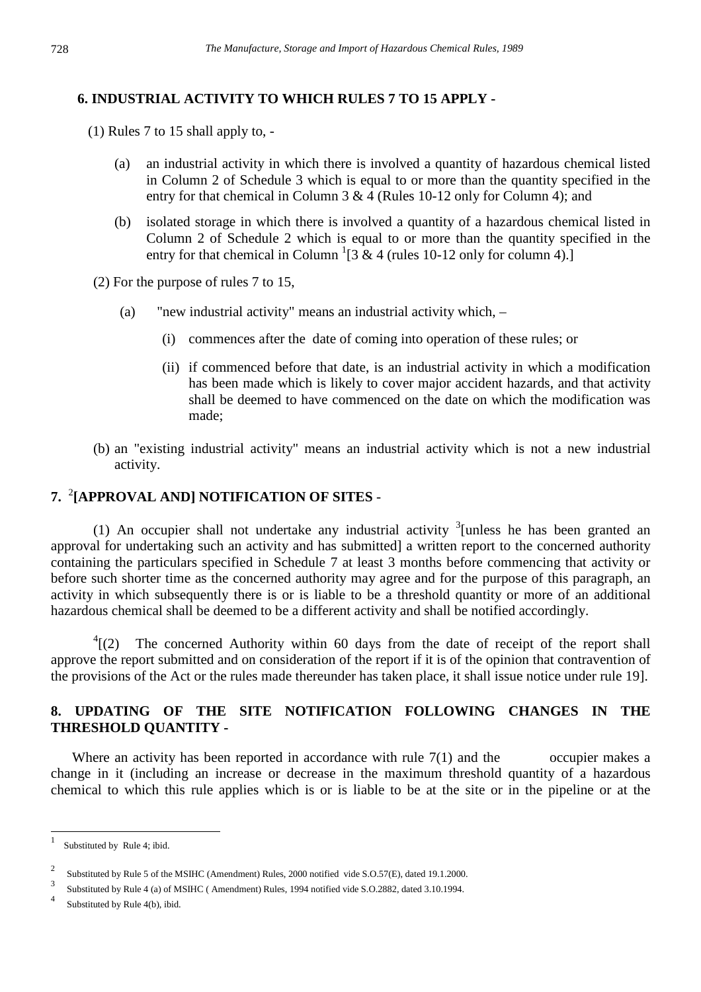## **6. INDUSTRIAL ACTIVITY TO WHICH RULES 7 TO 15 APPLY -**

- (1) Rules 7 to 15 shall apply to,
	- (a) an industrial activity in which there is involved a quantity of hazardous chemical listed in Column 2 of Schedule 3 which is equal to or more than the quantity specified in the entry for that chemical in Column 3 & 4 (Rules 10-12 only for Column 4); and
	- (b) isolated storage in which there is involved a quantity of a hazardous chemical listed in Column 2 of Schedule 2 which is equal to or more than the quantity specified in the entry for that chemical in Column  ${}^{1}[3 \& 4$  (rules 10-12 only for column 4).]
- (2) For the purpose of rules 7 to 15,
	- (a) "new industrial activity" means an industrial activity which,
		- (i) commences after the date of coming into operation of these rules; or
		- (ii) if commenced before that date, is an industrial activity in which a modification has been made which is likely to cover major accident hazards, and that activity shall be deemed to have commenced on the date on which the modification was made;
- (b) an "existing industrial activity" means an industrial activity which is not a new industrial activity.

## **7.** <sup>2</sup> **[APPROVAL AND] NOTIFICATION OF SITES** -

(1) An occupier shall not undertake any industrial activity  $\frac{3}{1}$  unless he has been granted an approval for undertaking such an activity and has submitted] a written report to the concerned authority containing the particulars specified in Schedule 7 at least 3 months before commencing that activity or before such shorter time as the concerned authority may agree and for the purpose of this paragraph, an activity in which subsequently there is or is liable to be a threshold quantity or more of an additional hazardous chemical shall be deemed to be a different activity and shall be notified accordingly.

 $\frac{4}{2}$ [(2) The concerned Authority within 60 days from the date of receipt of the report shall approve the report submitted and on consideration of the report if it is of the opinion that contravention of the provisions of the Act or the rules made thereunder has taken place, it shall issue notice under rule 19].

### **8. UPDATING OF THE SITE NOTIFICATION FOLLOWING CHANGES IN THE THRESHOLD QUANTITY -**

Where an activity has been reported in accordance with rule  $7(1)$  and the occupier makes a change in it (including an increase or decrease in the maximum threshold quantity of a hazardous chemical to which this rule applies which is or is liable to be at the site or in the pipeline or at the

 $\frac{1}{1}$ Substituted by Rule 4; ibid.

<sup>2</sup> Substituted by Rule 5 of the MSIHC (Amendment) Rules, 2000 notified vide S.O.57(E), dated 19.1.2000.

<sup>3</sup> Substituted by Rule 4 (a) of MSIHC ( Amendment) Rules, 1994 notified vide S.O.2882, dated 3.10.1994.

<sup>4</sup> Substituted by Rule 4(b), ibid.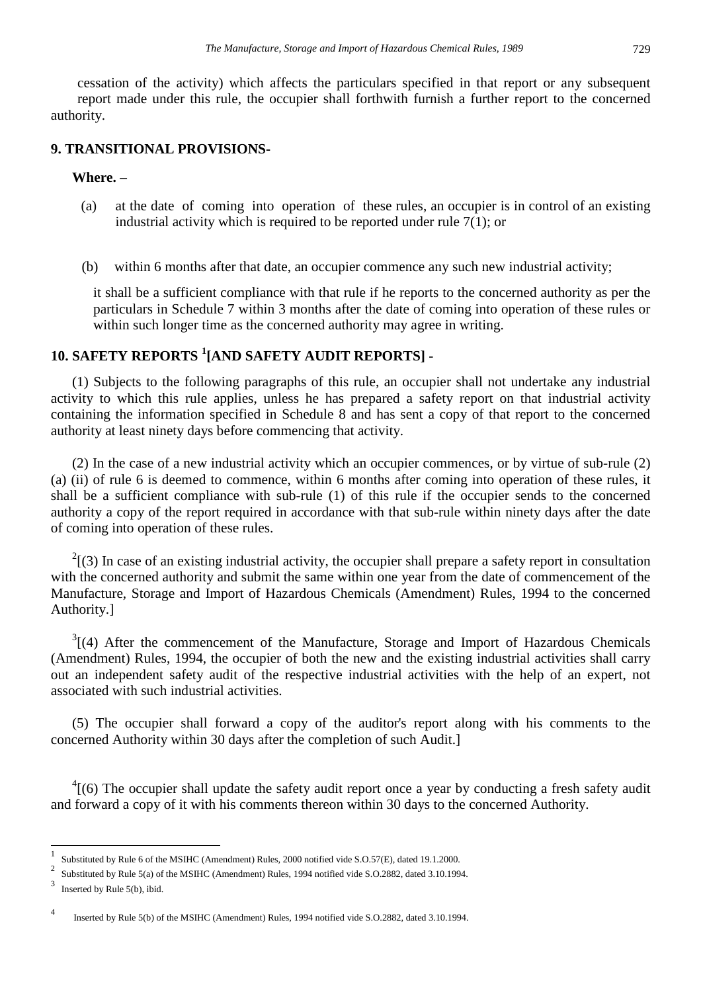cessation of the activity) which affects the particulars specified in that report or any subsequent report made under this rule, the occupier shall forthwith furnish a further report to the concerned authority.

### **9. TRANSITIONAL PROVISIONS-**

#### **Where. –**

- (a) at the date of coming into operation of these rules, an occupier is in control of an existing industrial activity which is required to be reported under rule 7(1); or
- (b) within 6 months after that date, an occupier commence any such new industrial activity;

it shall be a sufficient compliance with that rule if he reports to the concerned authority as per the particulars in Schedule 7 within 3 months after the date of coming into operation of these rules or within such longer time as the concerned authority may agree in writing.

## **10. SAFETY REPORTS <sup>1</sup> [AND SAFETY AUDIT REPORTS]** -

(1) Subjects to the following paragraphs of this rule, an occupier shall not undertake any industrial activity to which this rule applies, unless he has prepared a safety report on that industrial activity containing the information specified in Schedule 8 and has sent a copy of that report to the concerned authority at least ninety days before commencing that activity.

(2) In the case of a new industrial activity which an occupier commences, or by virtue of sub-rule (2) (a) (ii) of rule 6 is deemed to commence, within 6 months after coming into operation of these rules, it shall be a sufficient compliance with sub-rule (1) of this rule if the occupier sends to the concerned authority a copy of the report required in accordance with that sub-rule within ninety days after the date of coming into operation of these rules.

 $2(3)$  In case of an existing industrial activity, the occupier shall prepare a safety report in consultation with the concerned authority and submit the same within one year from the date of commencement of the Manufacture, Storage and Import of Hazardous Chemicals (Amendment) Rules, 1994 to the concerned Authority.]

 $3$ [(4) After the commencement of the Manufacture, Storage and Import of Hazardous Chemicals (Amendment) Rules, 1994, the occupier of both the new and the existing industrial activities shall carry out an independent safety audit of the respective industrial activities with the help of an expert, not associated with such industrial activities.

(5) The occupier shall forward a copy of the auditor's report along with his comments to the concerned Authority within 30 days after the completion of such Audit.]

 $^{4}$ [(6) The occupier shall update the safety audit report once a year by conducting a fresh safety audit and forward a copy of it with his comments thereon within 30 days to the concerned Authority.

 $\overline{a}$ 

<sup>1</sup> Substituted by Rule 6 of the MSIHC (Amendment) Rules, 2000 notified vide S.O.57(E), dated 19.1.2000.

<sup>&</sup>lt;sup>2</sup> Substituted by Rule 5(a) of the MSIHC (Amendment) Rules, 1994 notified vide S.O.2882, dated 3.10.1994.

<sup>3</sup> Inserted by Rule 5(b), ibid.

<sup>4</sup> Inserted by Rule 5(b) of the MSIHC (Amendment) Rules, 1994 notified vide S.O.2882, dated 3.10.1994.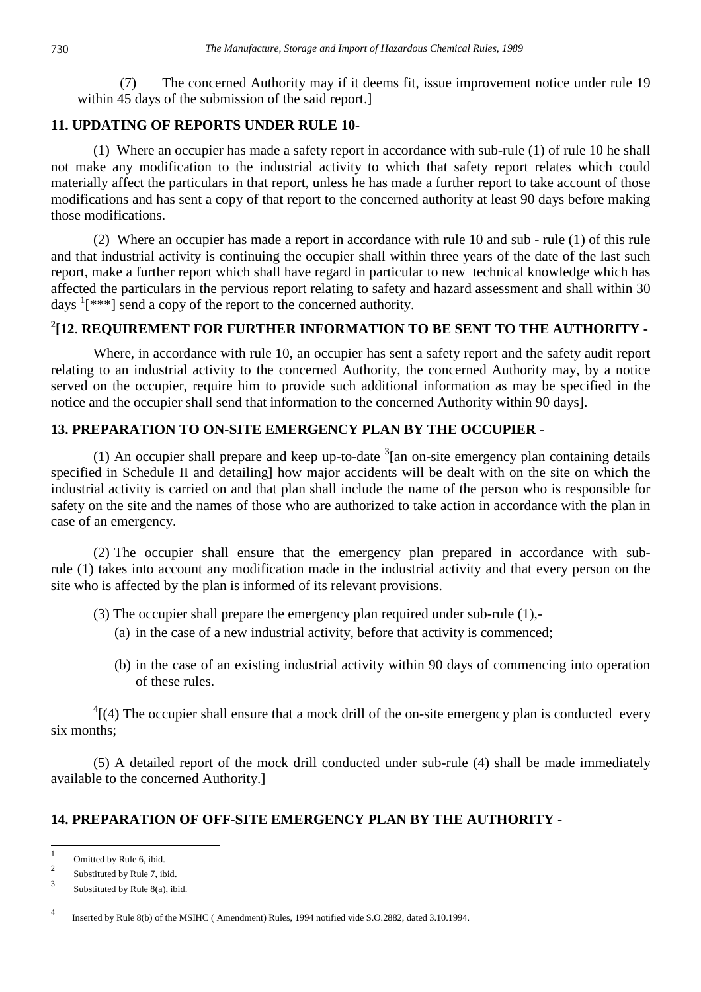(7) The concerned Authority may if it deems fit, issue improvement notice under rule 19 within 45 days of the submission of the said report.]

## **11. UPDATING OF REPORTS UNDER RULE 10-**

(1) Where an occupier has made a safety report in accordance with sub-rule (1) of rule 10 he shall not make any modification to the industrial activity to which that safety report relates which could materially affect the particulars in that report, unless he has made a further report to take account of those modifications and has sent a copy of that report to the concerned authority at least 90 days before making those modifications.

(2)Where an occupier has made a report in accordance with rule 10 and sub - rule (1) of this rule and that industrial activity is continuing the occupier shall within three years of the date of the last such report, make a further report which shall have regard in particular to new technical knowledge which has affected the particulars in the pervious report relating to safety and hazard assessment and shall within 30 days  $\frac{1}{x}$ [\*\*\*] send a copy of the report to the concerned authority.

## **2 [12**. **REQUIREMENT FOR FURTHER INFORMATION TO BE SENT TO THE AUTHORITY -**

Where, in accordance with rule 10, an occupier has sent a safety report and the safety audit report relating to an industrial activity to the concerned Authority, the concerned Authority may, by a notice served on the occupier, require him to provide such additional information as may be specified in the notice and the occupier shall send that information to the concerned Authority within 90 days].

### **13. PREPARATION TO ON-SITE EMERGENCY PLAN BY THE OCCUPIER** -

(1) An occupier shall prepare and keep up-to-date  $3$ [an on-site emergency plan containing details specified in Schedule II and detailing] how major accidents will be dealt with on the site on which the industrial activity is carried on and that plan shall include the name of the person who is responsible for safety on the site and the names of those who are authorized to take action in accordance with the plan in case of an emergency.

(2) The occupier shall ensure that the emergency plan prepared in accordance with subrule (1) takes into account any modification made in the industrial activity and that every person on the site who is affected by the plan is informed of its relevant provisions.

- (3) The occupier shall prepare the emergency plan required under sub-rule (1),-
	- (a) in the case of a new industrial activity, before that activity is commenced;
	- (b) in the case of an existing industrial activity within 90 days of commencing into operation of these rules.

 $^{4}$ [(4) The occupier shall ensure that a mock drill of the on-site emergency plan is conducted every six months;

(5) A detailed report of the mock drill conducted under sub-rule (4) shall be made immediately available to the concerned Authority.]

## **14. PREPARATION OF OFF-SITE EMERGENCY PLAN BY THE AUTHORITY -**

 $\frac{1}{1}$ Omitted by Rule 6, ibid.

<sup>2</sup> Substituted by Rule 7, ibid.

<sup>3</sup> Substituted by Rule 8(a), ibid.

<sup>4</sup> Inserted by Rule 8(b) of the MSIHC ( Amendment) Rules, 1994 notified vide S.O.2882, dated 3.10.1994.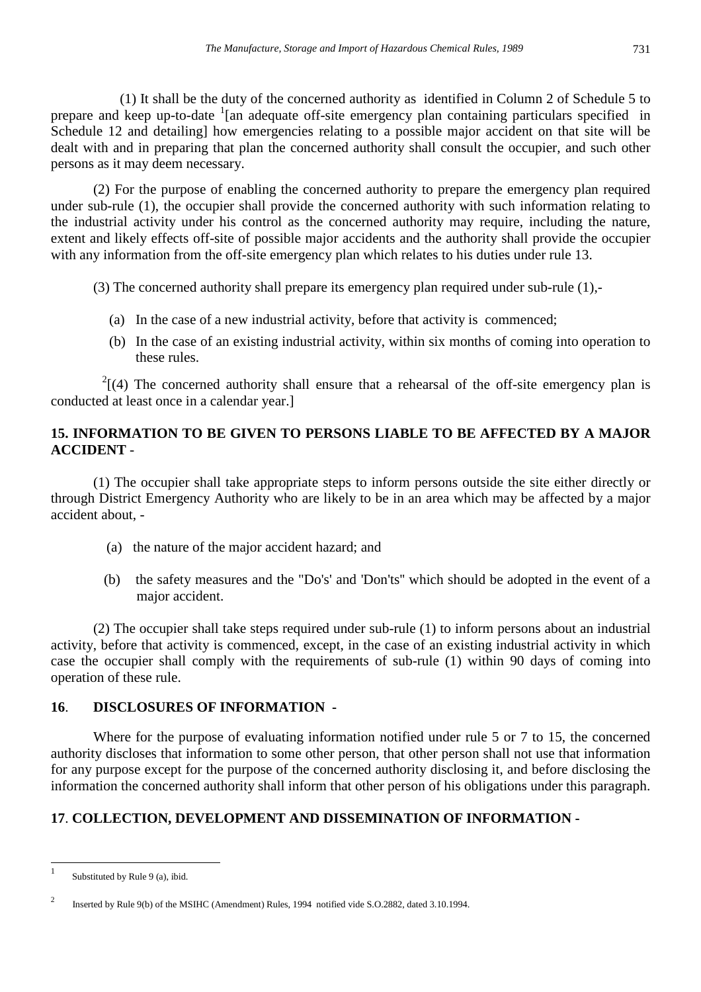(1) It shall be the duty of the concerned authority as identified in Column 2 of Schedule 5 to prepare and keep up-to-date <sup>1</sup>[an adequate off-site emergency plan containing particulars specified in Schedule 12 and detailing] how emergencies relating to a possible major accident on that site will be dealt with and in preparing that plan the concerned authority shall consult the occupier, and such other persons as it may deem necessary.

(2) For the purpose of enabling the concerned authority to prepare the emergency plan required under sub-rule (1), the occupier shall provide the concerned authority with such information relating to the industrial activity under his control as the concerned authority may require, including the nature, extent and likely effects off-site of possible major accidents and the authority shall provide the occupier with any information from the off-site emergency plan which relates to his duties under rule 13.

(3) The concerned authority shall prepare its emergency plan required under sub-rule (1),-

- (a) In the case of a new industrial activity, before that activity is commenced;
- (b) In the case of an existing industrial activity, within six months of coming into operation to these rules.

 $2(4)$  The concerned authority shall ensure that a rehearsal of the off-site emergency plan is conducted at least once in a calendar year.]

## **15. INFORMATION TO BE GIVEN TO PERSONS LIABLE TO BE AFFECTED BY A MAJOR ACCIDENT** -

(1) The occupier shall take appropriate steps to inform persons outside the site either directly or through District Emergency Authority who are likely to be in an area which may be affected by a major accident about, -

- (a) the nature of the major accident hazard; and
- (b) the safety measures and the "Do's' and 'Don'ts'' which should be adopted in the event of a major accident.

 (2) The occupier shall take steps required under sub-rule (1) to inform persons about an industrial activity, before that activity is commenced, except, in the case of an existing industrial activity in which case the occupier shall comply with the requirements of sub-rule (1) within 90 days of coming into operation of these rule.

## **16**. **DISCLOSURES OF INFORMATION -**

Where for the purpose of evaluating information notified under rule 5 or 7 to 15, the concerned authority discloses that information to some other person, that other person shall not use that information for any purpose except for the purpose of the concerned authority disclosing it, and before disclosing the information the concerned authority shall inform that other person of his obligations under this paragraph.

## **17**. **COLLECTION, DEVELOPMENT AND DISSEMINATION OF INFORMATION -**

 1 Substituted by Rule 9 (a), ibid.

 $\overline{2}$ Inserted by Rule 9(b) of the MSIHC (Amendment) Rules, 1994 notified vide S.O.2882, dated 3.10.1994.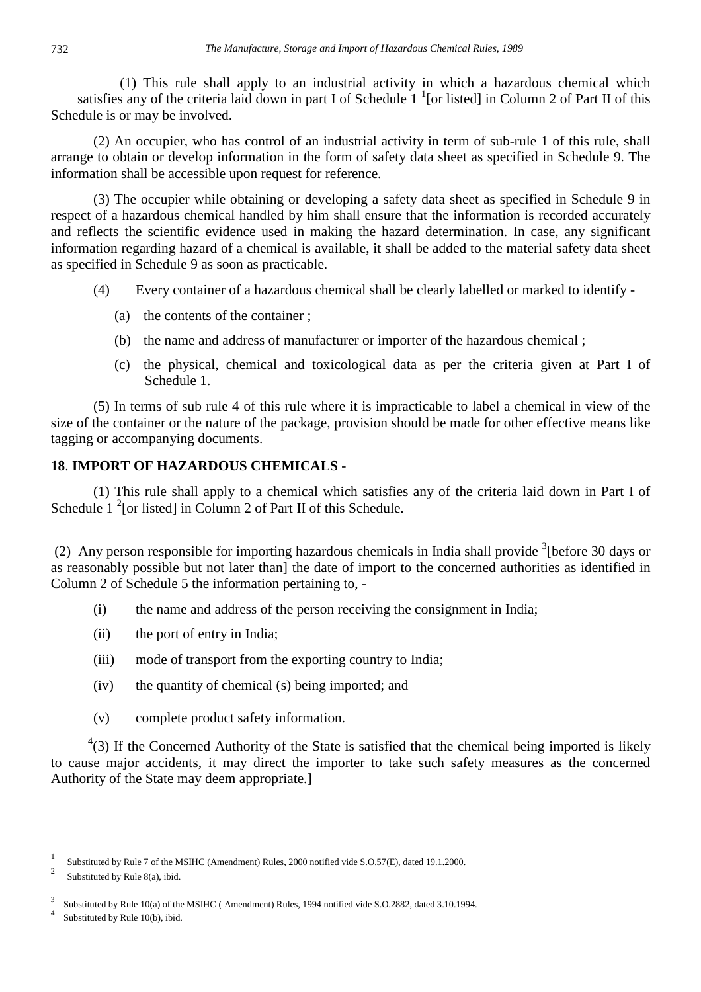(1) This rule shall apply to an industrial activity in which a hazardous chemical which satisfies any of the criteria laid down in part I of Schedule  $1<sup>1</sup>$  [or listed] in Column 2 of Part II of this Schedule is or may be involved.

(2) An occupier, who has control of an industrial activity in term of sub-rule 1 of this rule, shall arrange to obtain or develop information in the form of safety data sheet as specified in Schedule 9. The information shall be accessible upon request for reference.

(3) The occupier while obtaining or developing a safety data sheet as specified in Schedule 9 in respect of a hazardous chemical handled by him shall ensure that the information is recorded accurately and reflects the scientific evidence used in making the hazard determination. In case, any significant information regarding hazard of a chemical is available, it shall be added to the material safety data sheet as specified in Schedule 9 as soon as practicable.

- (4) Every container of a hazardous chemical shall be clearly labelled or marked to identify
	- (a) the contents of the container ;
	- (b) the name and address of manufacturer or importer of the hazardous chemical ;
	- (c) the physical, chemical and toxicological data as per the criteria given at Part I of Schedule 1.

(5) In terms of sub rule 4 of this rule where it is impracticable to label a chemical in view of the size of the container or the nature of the package, provision should be made for other effective means like tagging or accompanying documents.

### **18**. **IMPORT OF HAZARDOUS CHEMICALS** -

(1) This rule shall apply to a chemical which satisfies any of the criteria laid down in Part I of Schedule  $1^2$ [or listed] in Column 2 of Part II of this Schedule.

(2) Any person responsible for importing hazardous chemicals in India shall provide <sup>3</sup>[before 30 days or as reasonably possible but not later than] the date of import to the concerned authorities as identified in Column 2 of Schedule 5 the information pertaining to, -

- (i) the name and address of the person receiving the consignment in India;
- (ii) the port of entry in India;
- (iii) mode of transport from the exporting country to India;
- (iv) the quantity of chemical (s) being imported; and
- (v) complete product safety information.

 $4(3)$  If the Concerned Authority of the State is satisfied that the chemical being imported is likely to cause major accidents, it may direct the importer to take such safety measures as the concerned Authority of the State may deem appropriate.]

 $\frac{1}{1}$ Substituted by Rule 7 of the MSIHC (Amendment) Rules, 2000 notified vide S.O.57(E), dated 19.1.2000.

<sup>2</sup> Substituted by Rule 8(a), ibid.

<sup>3</sup> Substituted by Rule 10(a) of the MSIHC ( Amendment) Rules, 1994 notified vide S.O.2882, dated 3.10.1994.

<sup>4</sup> Substituted by Rule 10(b), ibid.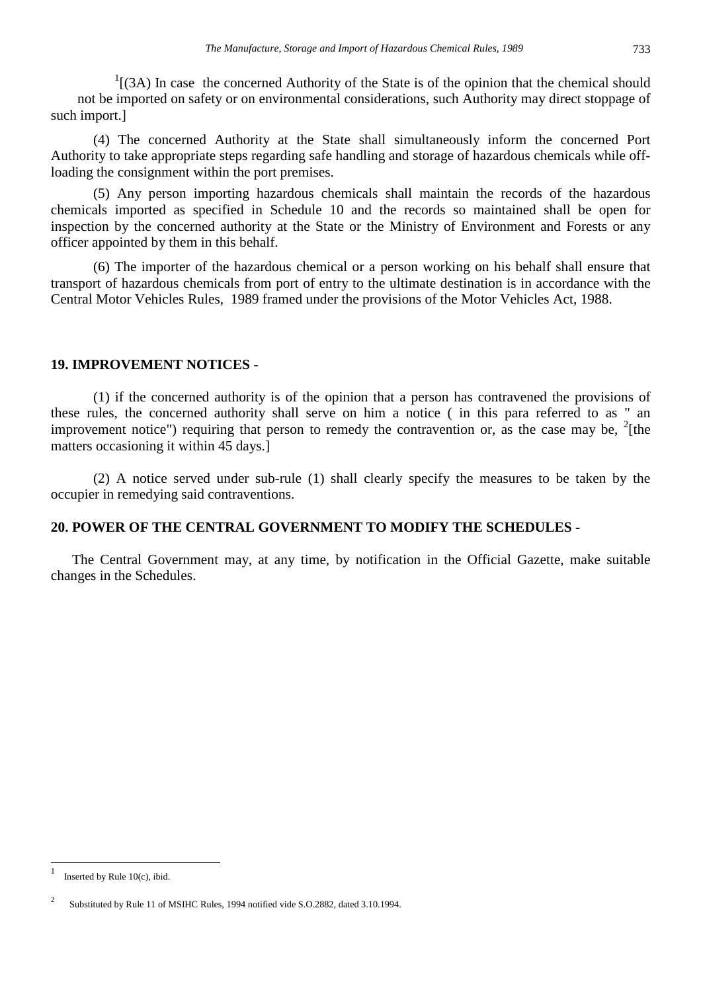$<sup>1</sup>$ [(3A) In case the concerned Authority of the State is of the opinion that the chemical should</sup> not be imported on safety or on environmental considerations, such Authority may direct stoppage of such import.]

 (4) The concerned Authority at the State shall simultaneously inform the concerned Port Authority to take appropriate steps regarding safe handling and storage of hazardous chemicals while offloading the consignment within the port premises.

(5) Any person importing hazardous chemicals shall maintain the records of the hazardous chemicals imported as specified in Schedule 10 and the records so maintained shall be open for inspection by the concerned authority at the State or the Ministry of Environment and Forests or any officer appointed by them in this behalf.

(6) The importer of the hazardous chemical or a person working on his behalf shall ensure that transport of hazardous chemicals from port of entry to the ultimate destination is in accordance with the Central Motor Vehicles Rules, 1989 framed under the provisions of the Motor Vehicles Act, 1988.

#### **19. IMPROVEMENT NOTICES** -

 (1) if the concerned authority is of the opinion that a person has contravened the provisions of these rules, the concerned authority shall serve on him a notice ( in this para referred to as " an improvement notice") requiring that person to remedy the contravention or, as the case may be,  $^{2}$ [the matters occasioning it within 45 days.]

(2) A notice served under sub-rule (1) shall clearly specify the measures to be taken by the occupier in remedying said contraventions.

### **20. POWER OF THE CENTRAL GOVERNMENT TO MODIFY THE SCHEDULES -**

The Central Government may, at any time, by notification in the Official Gazette, make suitable changes in the Schedules.

 1 Inserted by Rule 10(c), ibid.

 $\overline{2}$ Substituted by Rule 11 of MSIHC Rules, 1994 notified vide S.O.2882, dated 3.10.1994.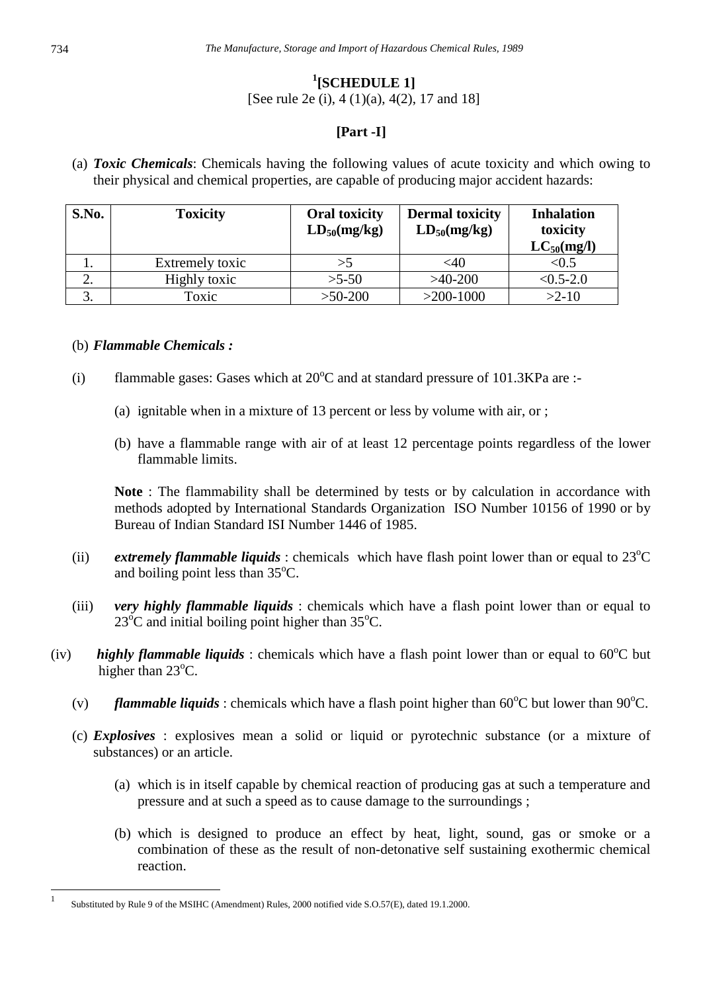## **1 [SCHEDULE 1]**

[See rule 2e (i), 4 (1)(a), 4(2), 17 and 18]

### **[Part -I]**

(a) *Toxic Chemicals*: Chemicals having the following values of acute toxicity and which owing to their physical and chemical properties, are capable of producing major accident hazards:

| S.No. | <b>Toxicity</b> | <b>Oral toxicity</b><br>$LD_{50}$ (mg/kg) | <b>Dermal toxicity</b><br>$LD_{50}(mg/kg)$ | <b>Inhalation</b><br>toxicity<br>$LC_{50}(mg/l)$ |
|-------|-----------------|-------------------------------------------|--------------------------------------------|--------------------------------------------------|
|       | Extremely toxic | >5                                        | $<$ 40                                     | < 0.5                                            |
| ∠.    | Highly toxic    | $>5-50$                                   | $>40-200$                                  | $<$ 0.5-2.0                                      |
| J.    | Toxic           | $>50-200$                                 | $>200-1000$                                | $>2-10$                                          |

### (b) *Flammable Chemicals :*

- (i) flammable gases: Gases which at  $20^{\circ}$ C and at standard pressure of 101.3KPa are :-
	- (a) ignitable when in a mixture of 13 percent or less by volume with air, or ;
	- (b) have a flammable range with air of at least 12 percentage points regardless of the lower flammable limits.

**Note** : The flammability shall be determined by tests or by calculation in accordance with methods adopted by International Standards Organization ISO Number 10156 of 1990 or by Bureau of Indian Standard ISI Number 1446 of 1985.

- (ii) *extremely flammable liquids*: chemicals which have flash point lower than or equal to  $23^{\circ}$ C and boiling point less than  $35^{\circ}$ C.
- (iii) *very highly flammable liquids* : chemicals which have a flash point lower than or equal to  $23^{\circ}$ C and initial boiling point higher than  $35^{\circ}$ C.
- (iv) **highly flammable liquids**: chemicals which have a flash point lower than or equal to  $60^{\circ}$ C but higher than 23°C.
	- (v) *flammable liquids*: chemicals which have a flash point higher than  $60^{\circ}$ C but lower than  $90^{\circ}$ C.
	- (c) *Explosives* : explosives mean a solid or liquid or pyrotechnic substance (or a mixture of substances) or an article.
		- (a) which is in itself capable by chemical reaction of producing gas at such a temperature and pressure and at such a speed as to cause damage to the surroundings ;
		- (b) which is designed to produce an effect by heat, light, sound, gas or smoke or a combination of these as the result of non-detonative self sustaining exothermic chemical reaction.

 $\frac{1}{1}$ Substituted by Rule 9 of the MSIHC (Amendment) Rules, 2000 notified vide S.O.57(E), dated 19.1.2000.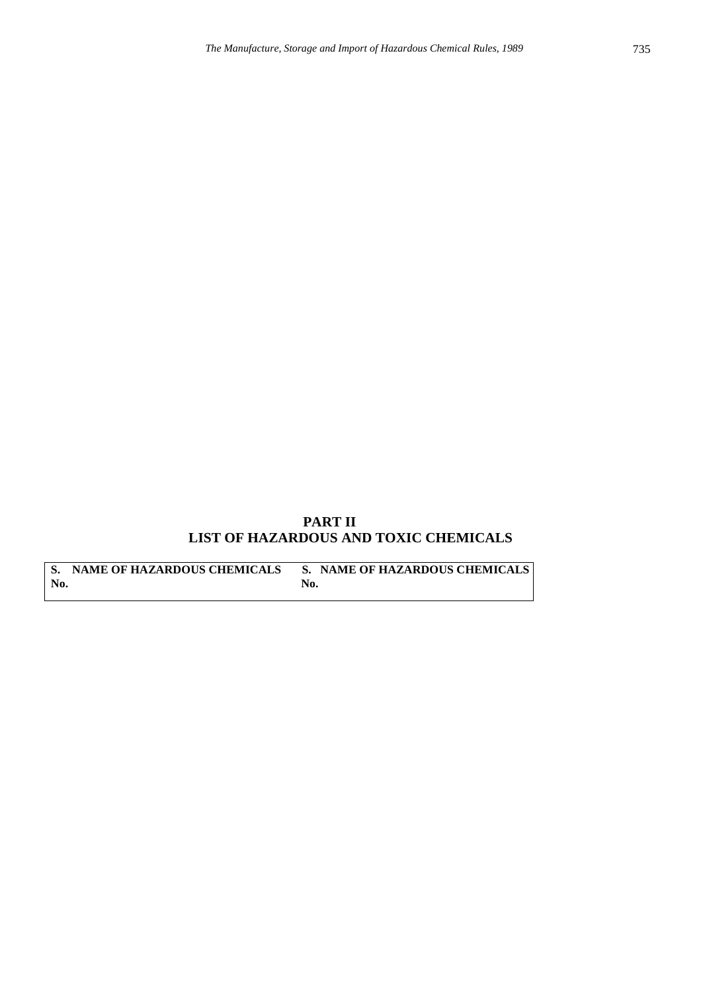## **PART II LIST OF HAZARDOUS AND TOXIC CHEMICALS**

S. NAME OF HAZARDOUS CHEMICALS S. NAME OF HAZARDOUS CHEMICALS No. **No. No.**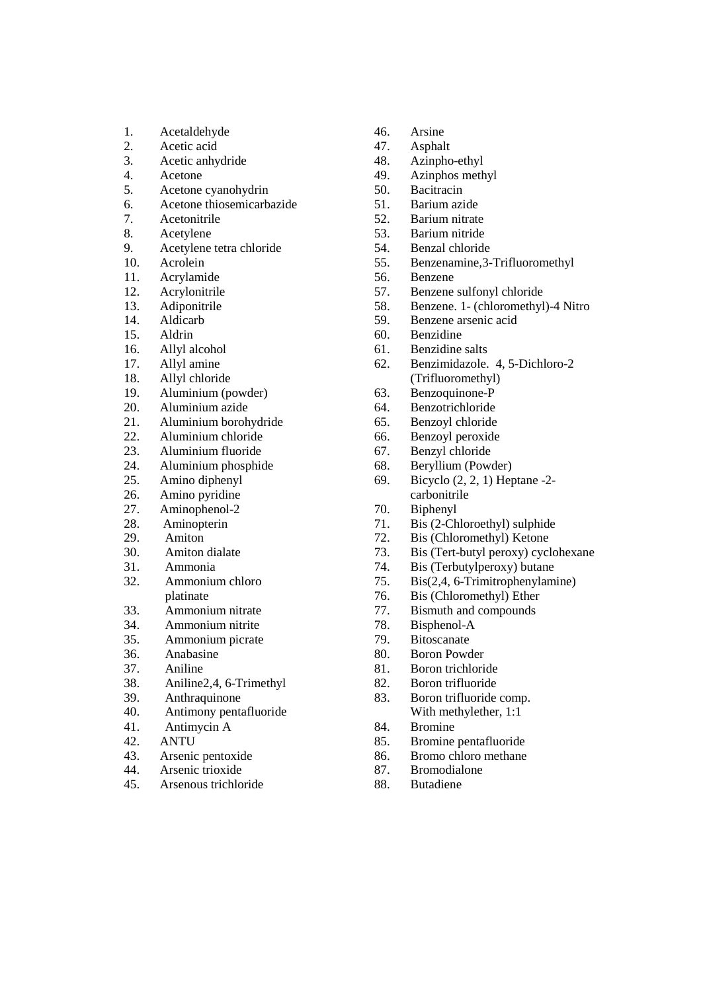- 1. Acetaldehyde
- 2. Acetic acid<br>3. Acetic anhy
- Acetic anhydride
- 4. Acetone
- 5. Acetone cyanohydrin
- 6. Acetone thiosemicarbazide
- 7. Acetonitrile
- 8. Acetylene
- 9. Acetylene tetra chloride
- 10. Acrolein
- 11. Acrylamide
- 12. Acrylonitrile
- 13. Adiponitrile
- 14. Aldicarb
- 15. Aldrin
- 16. Allyl alcohol
- 17. Allyl amine
- 18. Allyl chloride
- 19. Aluminium (powder)
- 20. Aluminium azide<br>21. Aluminium boroh
- 21. Aluminium borohydride
- 22. Aluminium chloride<br>23. Aluminium fluoride
- 23. Aluminium fluoride
- 24. Aluminium phosphide
- 25. Amino diphenyl
- Amino pyridine
- 27. Aminophenol-2<br>28. Aminopterin
- 28. Aminopterin<br>29. Amiton
- Amiton
- 30. Amiton dialate
- 31. Ammonia
- 32. Ammonium chloro platinate
- 33. Ammonium nitrate
- 34. Ammonium nitrite
- 35. Ammonium picrate
- 36. Anabasine
- 37. Aniline
- 38. Aniline2,4, 6-Trimethyl
- 39. Anthraquinone
- 40. Antimony pentafluoride
- 41. Antimycin A
- 42. ANTU
- 43. Arsenic pentoxide
- 44. Arsenic trioxide
- 45. Arsenous trichloride
- 46. Arsine
- 47. Asphalt
- 48. Azinpho-ethyl
- 49. Azinphos methyl
- 50. Bacitracin
- 51. Barium azide
- 52. Barium nitrate
- 53. Barium nitride
- 54. Benzal chloride
- 55. Benzenamine,3-Trifluoromethyl
- 56. Benzene
- 57. Benzene sulfonyl chloride
- 58. Benzene. 1- (chloromethyl)-4 Nitro<br>59. Benzene arsenic acid
- 59. Benzene arsenic acid
- 60. Benzidine
- 61. Benzidine salts
- 62. Benzimidazole. 4, 5-Dichloro-2 (Trifluoromethyl)
- 63. Benzoquinone-P
- 64. Benzotrichloride
- 65. Benzoyl chloride
- 66. Benzoyl peroxide
- 67. Benzyl chloride
- 68. Beryllium (Powder)
- 69. Bicyclo (2, 2, 1) Heptane -2 carbonitrile
- 70. Biphenyl
- 71. Bis (2-Chloroethyl) sulphide
- 72. Bis (Chloromethyl) Ketone
- 73. Bis (Tert-butyl peroxy) cyclohexane
- 74. Bis (Terbutylperoxy) butane
- 75. Bis(2,4, 6-Trimitrophenylamine)
- 76. Bis (Chloromethyl) Ether
- 77. Bismuth and compounds
- 78. Bisphenol-A
- 79. Bitoscanate
- 80. Boron Powder
- 81. Boron trichloride
- 82. Boron trifluoride
- 83. Boron trifluoride comp. With methylether, 1:1
- 84. Bromine
- 85. Bromine pentafluoride
- 86. Bromo chloro methane
- 87. Bromodialone
- 88. Butadiene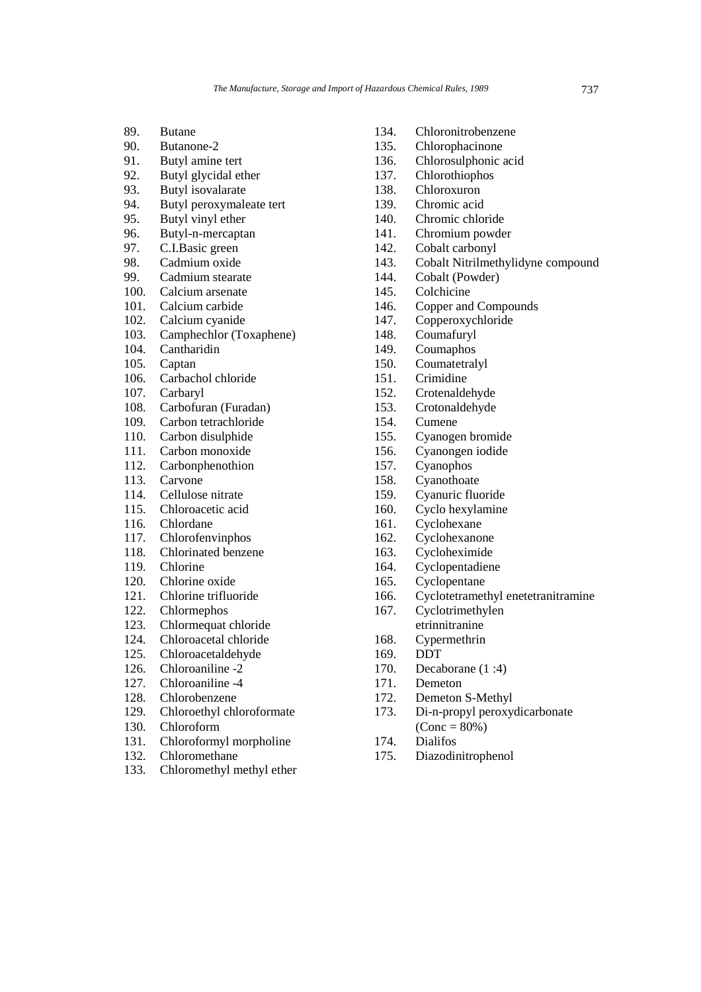- 89. Butane
- 90. Butanone-2
- 91. Butyl amine tert<br>92. Butyl glycidal et
- Butyl glycidal ether
- 93. Butyl isovalarate<br>94. Butyl peroxymale
- Butyl peroxymaleate tert
- 95. Butyl vinyl ether
- 96. Butyl-n-mercaptan
- 97. C.I.Basic green
- 98. Cadmium oxide<br>99. Cadmium steara
- Cadmium stearate
- 100. Calcium arsenate
- 101. Calcium carbide
- 102. Calcium cyanide
- 103. Camphechlor (Toxaphene)
- 104. Cantharidin
- 105. Captan
- 106. Carbachol chloride
- 107. Carbaryl
- 108. Carbofuran (Furadan)
- 109. Carbon tetrachloride
- 110. Carbon disulphide
- 111. Carbon monoxide
- 112. Carbonphenothion
- 113. Carvone
- 114. Cellulose nitrate
- 115. Chloroacetic acid
- 116. Chlordane
- 117. Chlorofenvinphos
- 118. Chlorinated benzene
- 119. Chlorine
- 120. Chlorine oxide
- 121. Chlorine trifluoride
- 122. Chlormephos
- 123. Chlormequat chloride
- 124. Chloroacetal chloride
- 125. Chloroacetaldehyde
- 126. Chloroaniline -2
- 127. Chloroaniline -4
- 128. Chlorobenzene
- 129. Chloroethyl chloroformate
- 130. Chloroform
- 131. Chloroformyl morpholine
- 132. Chloromethane
- 133. Chloromethyl methyl ether
- 134. Chloronitrobenzene
- 135. Chlorophacinone
- 136. Chlorosulphonic acid
- 137. Chlorothiophos
- 138. Chloroxuron
- 139. Chromic acid
- 140. Chromic chloride
- 141. Chromium powder
- 142. Cobalt carbonyl
- 143. Cobalt Nitrilmethylidyne compound<br>144. Cobalt (Powder)
- Cobalt (Powder)
- 145. Colchicine
- 146. Copper and Compounds
- 147. Copperoxychloride
- 148. Coumafuryl<br>149. Coumaphos
- **Coumaphos**
- 150. Coumatetralyl
- 151. Crimidine
- 152. Crotenaldehyde
- 153. Crotonaldehyde
- 154. Cumene
- 155. Cyanogen bromide
- 156. Cyanongen iodide
- 157. Cyanophos
- 158. Cyanothoate
- 159. Cyanuric fluoride
- 160. Cyclo hexylamine
- 161. Cyclohexane
- 162. Cyclohexanone
- 163. Cycloheximide
- 164. Cyclopentadiene
- 165. Cyclopentane
- 166. Cyclotetramethyl enetetranitramine
- 167. Cyclotrimethylen
- etrinnitranine
- 168. Cypermethrin
- 169. DDT
- 170. Decaborane (1 :4)
- 171. Demeton
- 172. Demeton S-Methyl
- 173. Di-n-propyl peroxydicarbonate  $(Cone = 80\%)$
- 174. Dialifos
- 175. Diazodinitrophenol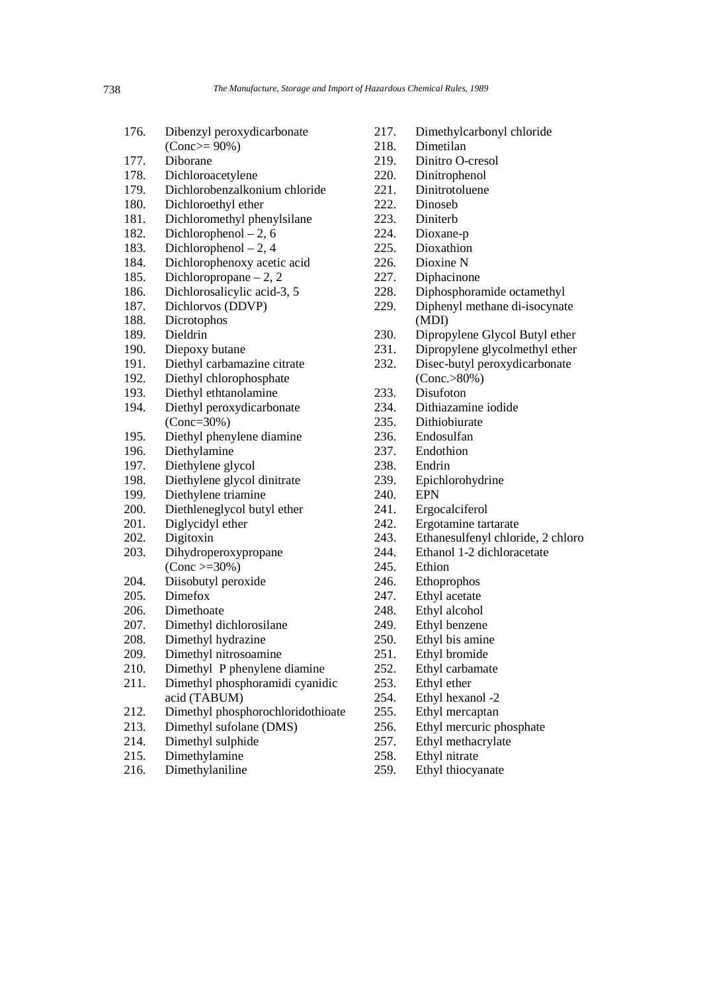- 176. Dibenzyl peroxydicarbonate
	- (Conc>= 90%)
- 177. Diborane
- 178. Dichloroacetylene
- 179. Dichlorobenzalkonium chloride
- 180. Dichloroethyl ether
- 181. Dichloromethyl phenylsilane
- 182. Dichlorophenol 2, 6
- 183. Dichlorophenol 2, 4
- 184. Dichlorophenoxy acetic acid<br>185. Dichloropropane 2, 2
- Dichloropropane 2, 2
- 186. Dichlorosalicylic acid-3, 5
- 187. Dichlorvos (DDVP)<br>188. Dicrotophos
- Dicrotophos
- 189. Dieldrin
- 190. Diepoxy butane
- 191. Diethyl carbamazine citrate
- 192. Diethyl chlorophosphate
- 193. Diethyl ethtanolamine
- 194. Diethyl peroxydicarbonate (Conc=30%)
- 195. Diethyl phenylene diamine
- 196. Diethylamine
- 197. Diethylene glycol
- 198. Diethylene glycol dinitrate
- 199. Diethylene triamine
- 200. Diethleneglycol butyl ether<br>201. Diglycidyl ether
- Diglycidyl ether
- 202. Digitoxin
- 203. Dihydroperoxypropane  $(Cone >= 30\%)$
- 204. Diisobutyl peroxide
- 205. Dimefox
- 206. Dimethoate
- 207. Dimethyl dichlorosilane
- 208. Dimethyl hydrazine
- 209. Dimethyl nitrosoamine
- 210. Dimethyl P phenylene diamine
- 211. Dimethyl phosphoramidi cyanidic acid (TABUM)
- 212. Dimethyl phosphorochloridothioate
- 213. Dimethyl sufolane (DMS)
- 214. Dimethyl sulphide
- 215. Dimethylamine
- 216. Dimethylaniline
- 217. Dimethylcarbonyl chloride
- 218. Dimetilan
- 219. Dinitro O-cresol
- 220. Dinitrophenol
- 221. Dinitrotoluene<br>222. Dinoseb
- Dinoseb
- 223. Diniterb
- 224. Dioxane-p
- 225. Dioxathion
- 226. Dioxine N<br>227. Diphacino
- Diphacinone
- 228. Diphosphoramide octamethyl
- 229. Diphenyl methane di-isocynate (MDI)
- 
- 230. Dipropylene Glycol Butyl ether<br>231. Dipropylene glycolmethyl ether Dipropylene glycolmethyl ether
- 232. Disec-butyl peroxydicarbonate
- (Conc.>80%)
- 233. Disufoton
- 234. Dithiazamine iodide
- 235. Dithiobiurate
- 236. Endosulfan
- 237. Endothion
- 238. Endrin
- 239. Epichlorohydrine
- 240. EPN
- 241. Ergocalciferol<br>242. Ergotamine tar
- Ergotamine tartarate
- 243. Ethanesulfenyl chloride, 2 chloro
- 244. Ethanol 1-2 dichloracetate
- 245. Ethion
- 246. Ethoprophos
- 247. Ethyl acetate
- 248. Ethyl alcohol
- 249. Ethyl benzene
- 250. Ethyl bis amine
- 251. Ethyl bromide
- 252. Ethyl carbamate
- 253. Ethyl ether
- 254. Ethyl hexanol -2
- 255. Ethyl mercaptan
- 256. Ethyl mercuric phosphate
- 257. Ethyl methacrylate
- 258. Ethyl nitrate
- 259. Ethyl thiocyanate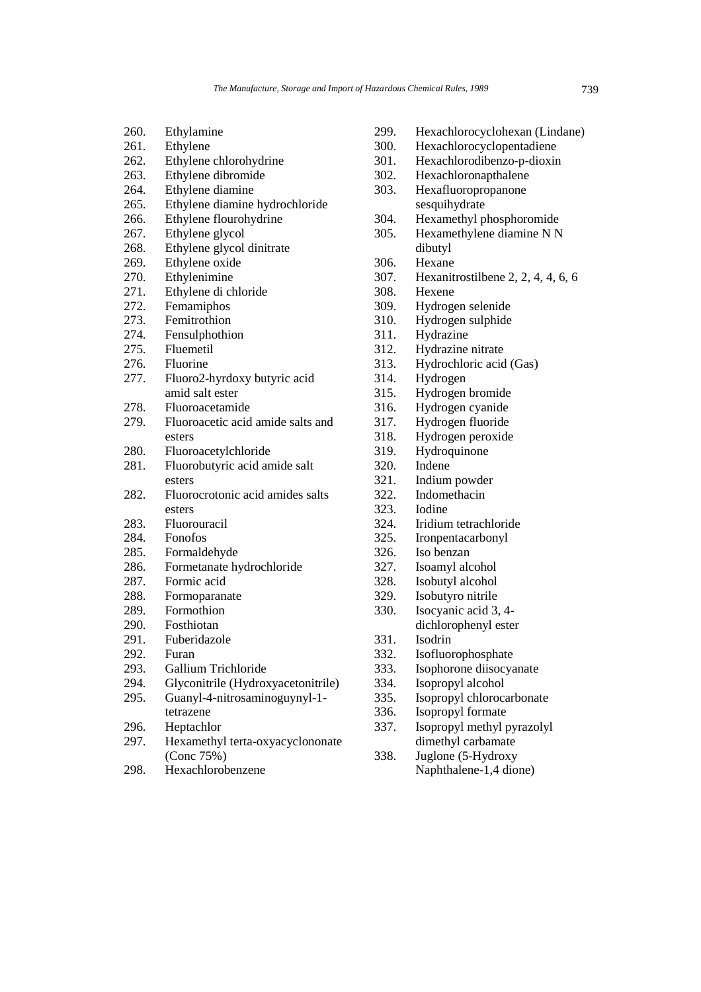- 260. Ethylamine
- 261. Ethylene
- 262. Ethylene chlorohydrine
- 263. Ethylene dibromide
- 264. Ethylene diamine
- 265. Ethylene diamine hydrochloride
- 266. Ethylene flourohydrine
- 267. Ethylene glycol
- 268. Ethylene glycol dinitrate
- 269. Ethylene oxide<br>270. Ethylenimine
- Ethylenimine
- 271. Ethylene di chloride
- 272. Femamiphos<br>273. Femitrothion
- Femitrothion
- 274. Fensulphothion<br>275. Fluemetil
- Fluemetil
- 276. Fluorine
- 277. Fluoro2-hyrdoxy butyric acid amid salt ester
- 278. Fluoroacetamide
- 279. Fluoroacetic acid amide salts and esters
- 280. Fluoroacetylchloride
- 281. Fluorobutyric acid amide salt esters
- 282. Fluorocrotonic acid amides salts esters
- 283. Fluorouracil
- 284. Fonofos
- 285. Formaldehyde
- 286. Formetanate hydrochloride
- 287. Formic acid
- 288. Formoparanate
- 289. Formothion<br>290. Fosthiotan
- **Fosthiotan**
- 291. Fuberidazole
- 292. Furan
- 293. Gallium Trichloride
- 294. Glyconitrile (Hydroxyacetonitrile) 295. Guanyl-4-nitrosaminoguynyl-1-
- tetrazene
- 296. Heptachlor
- 297. Hexamethyl terta-oxyacyclononate (Conc 75%)
- 298. Hexachlorobenzene
- sesquihydrate 304. Hexamethyl phosphoromide 305. Hexamethylene diamine N N dibutyl 306. Hexane 307. Hexanitrostilbene 2, 2, 4, 4, 6, 6 308. Hexene 309. Hydrogen selenide 310. Hydrogen sulphide 311. Hydrazine 312. Hydrazine nitrate 313. Hydrochloric acid (Gas) 314. Hydrogen 315. Hydrogen bromide 316. Hydrogen cyanide 317. Hydrogen fluoride 318. Hydrogen peroxide 319. Hydroquinone 320. Indene 321. Indium powder 322. Indomethacin 323. Iodine Iridium tetrachloride 325. Ironpentacarbonyl 326. Iso benzan 327. Isoamyl alcohol 328. Isobutyl alcohol 329. Isobutyro nitrile 330. Isocyanic acid 3, 4 dichlorophenyl ester 331. Isodrin 332. Isofluorophosphate 333. Isophorone diisocyanate 334. Isopropyl alcohol 335. Isopropyl chlorocarbonate 336. Isopropyl formate 337. Isopropyl methyl pyrazolyl dimethyl carbamate
- 
- 299. Hexachlorocyclohexan (Lindane)
- 300. Hexachlorocyclopentadiene
- 301. Hexachlorodibenzo-p-dioxin
- 302. Hexachloronapthalene
- 303. Hexafluoropropanone
- 
- 338. Juglone (5-Hydroxy Naphthalene-1,4 dione)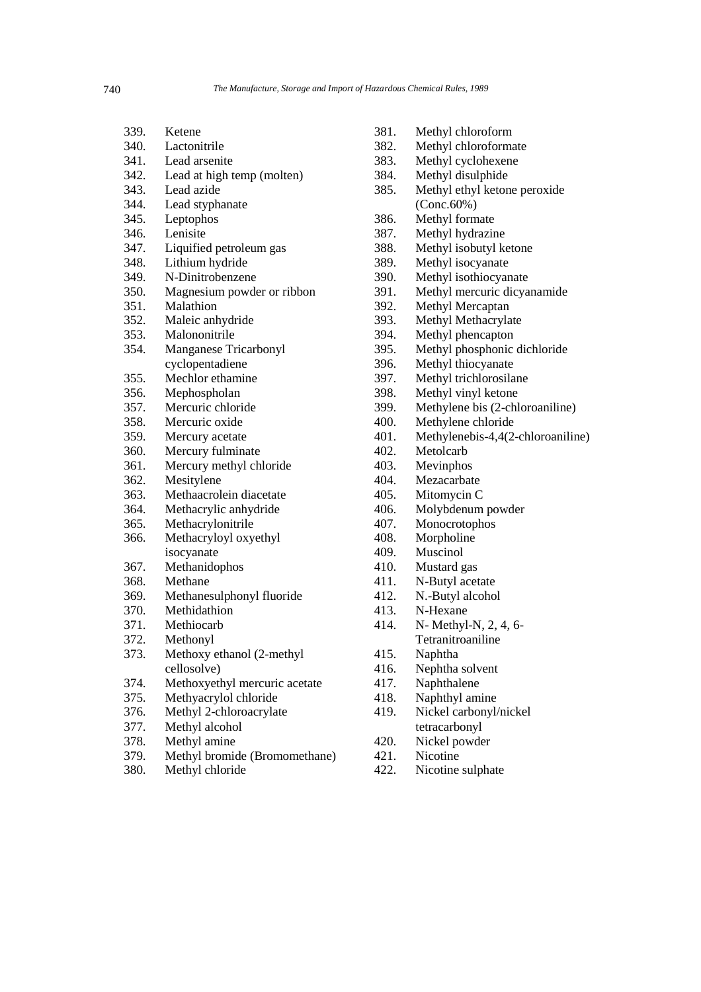| 339. | Ketene                        |
|------|-------------------------------|
| 340. | Lactonitrile                  |
| 341. | Lead arsenite                 |
| 342. | Lead at high temp (molten)    |
| 343. | Lead azide                    |
| 344. | Lead styphanate               |
| 345. | Leptophos                     |
| 346. | Lenisite                      |
| 347. | Liquified petroleum gas       |
| 348. | Lithium hydride               |
| 349. | N-Dinitrobenzene              |
| 350. | Magnesium powder or ribbon    |
| 351. | Malathion                     |
| 352. | Maleic anhydride              |
| 353. | Malononitrile                 |
| 354. | Manganese Tricarbonyl         |
|      | cyclopentadiene               |
| 355. | Mechlor ethamine              |
| 356. | Mephospholan                  |
| 357. | Mercuric chloride             |
| 358. | Mercuric oxide                |
| 359. | Mercury acetate               |
| 360. | Mercury fulminate             |
| 361. | Mercury methyl chloride       |
| 362. | Mesitylene                    |
| 363. | Methaacrolein diacetate       |
| 364. | Methacrylic anhydride         |
| 365. | Methacrylonitrile             |
| 366. | Methacryloyl oxyethyl         |
|      | isocyanate                    |
| 367. | Methanidophos                 |
| 368. | Methane                       |
| 369. | Methanesulphonyl fluoride     |
| 370. | Methidathion                  |
| 371. | Methiocarb                    |
| 372. | Methonyl                      |
| 373. | Methoxy ethanol (2-methyl     |
|      | cellosolve)                   |
| 374. | Methoxyethyl mercuric acetate |
| 375. | Methyacrylol chloride         |
| 376. | Methyl 2-chloroacrylate       |
| 377. | Methyl alcohol                |
| 378. | Methyl amine                  |
| 379. | Methyl bromide (Bromomethane) |

380. Methyl chloride

- 381. Methyl chloroform
- 382. Methyl chloroformate
- 383. Methyl cyclohexene
- 384. Methyl disulphide
- 385. Methyl ethyl ketone peroxide (Conc.60%)
- 386. Methyl formate
- 387. Methyl hydrazine
- 388. Methyl isobutyl ketone
- 389. Methyl isocyanate
- 390. Methyl isothiocyanate
- 391. Methyl mercuric dicyanamide
- 392. Methyl Mercaptan<br>393. Methyl Methacryla
- Methyl Methacrylate
- 394. Methyl phencapton<br>395. Methyl phosphonic
- Methyl phosphonic dichloride
- 396. Methyl thiocyanate
- 397. Methyl trichlorosilane
- 398. Methyl vinyl ketone
- 399. Methylene bis (2-chloroaniline)
- 400. Methylene chloride
- 401. Methylenebis-4,4(2-chloroaniline)<br>402. Metolcarb
- Metolcarb
- 403. Mevinphos
- 404. Mezacarbate
- 405. Mitomycin C
- 406. Molybdenum powder<br>407. Monocrotophos
- Monocrotophos
- 408. Morpholine
- 409. Muscinol
- 410. Mustard gas
- 411. N-Butyl acetate
- 412. N.-Butyl alcohol
- 413. N-Hexane
- 414. N- Methyl-N, 2, 4, 6- Tetranitroaniline
- 415. Naphtha
- 416. Nephtha solvent
- 417. Naphthalene
- 418. Naphthyl amine
- 419. Nickel carbonyl/nickel tetracarbonyl
- 420. Nickel powder
- 421. Nicotine
- 422. Nicotine sulphate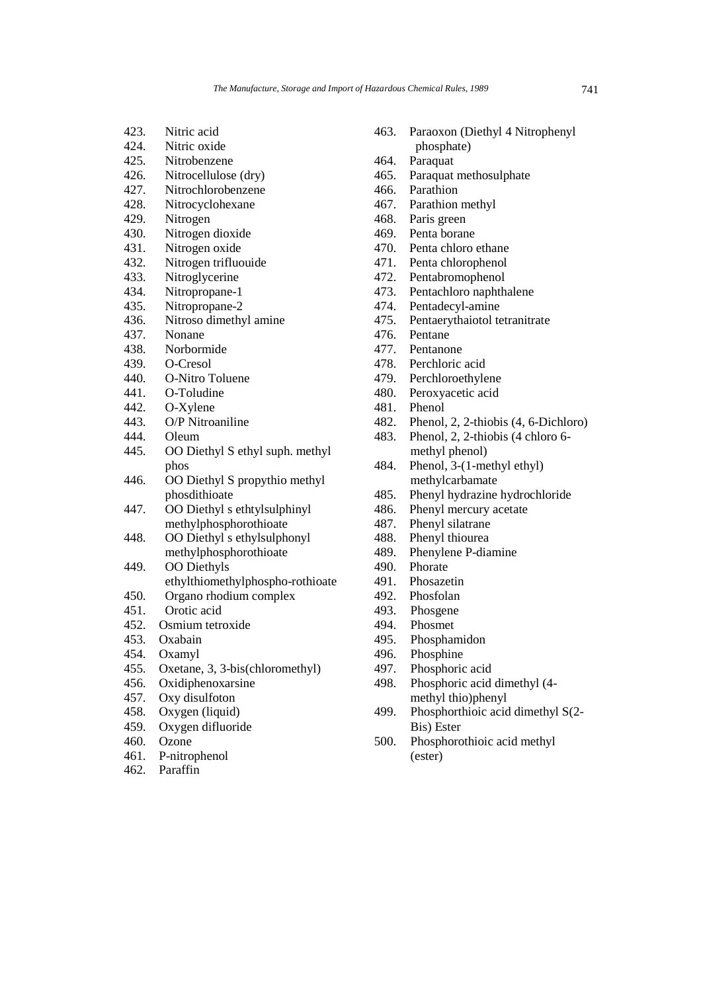- 423. Nitric acid
- 424. Nitric oxide
- 425. Nitrobenzene
- 426. Nitrocellulose (dry)
- 427. Nitrochlorobenzene<br>428. Nitrocyclohexane
- Nitrocyclohexane
- 429. Nitrogen
- 430. Nitrogen dioxide
- 431. Nitrogen oxide
- 432. Nitrogen trifluouide<br>433. Nitroglycerine
- Nitroglycerine
- 434. Nitropropane-1
- 435. Nitropropane-2<br>436. Nitroso dimethy
- Nitroso dimethyl amine
- 437. Nonane<br>438 Norborn
- Norbormide
- 439. O-Cresol
- 440. O-Nitro Toluene
- 441. O-Toludine
- 442. O-Xylene
- 443. O/P Nitroaniline
- 444. Oleum<br>445. OO Die
- 445. OO Diethyl S ethyl suph. methyl phos
- 446. OO Diethyl S propythio methyl phosdithioate
- 447. OO Diethyl s ethtylsulphinyl methylphosphorothioate
- 448. OO Diethyl s ethylsulphonyl methylphosphorothioate
- 449. OO Diethyls ethylthiomethylphospho-rothioate
- 450. Organo rhodium complex 451. Orotic acid
- 
- 452. Osmium tetroxide
- 453. Oxabain
- 454. Oxamyl
- 455. Oxetane, 3, 3-bis(chloromethyl)
- 456. Oxidiphenoxarsine
- 457. Oxy disulfoton
- 458. Oxygen (liquid)
- 459. Oxygen difluoride
- 460. Ozone
- 461. P-nitrophenol
- 462. Paraffin
- 463. Paraoxon (Diethyl 4 Nitrophenyl phosphate)
- 
- 464. Paraquat<br>465. Paraquat Paraquat methosulphate
- 466. Parathion<br>467. Parathion
- Parathion methyl
- 468. Paris green
- 469. Penta borane
- 470. Penta chloro ethane
- 471. Penta chlorophenol<br>472. Pentabromophenol
- Pentabromophenol
- 473. Pentachloro naphthalene
- Pentadecyl-amine
- 475. Pentaerythaiotol tetranitrate
- 
- 476. Pentane<br>477. Pentanoi Pentanone
- 478. Perchloric acid
- 479. Perchloroethylene
- 480. Peroxyacetic acid
- 481. Phenol
- 482. Phenol, 2, 2-thiobis (4, 6-Dichloro)
- 483. Phenol, 2, 2-thiobis (4 chloro 6 methyl phenol)
- 484. Phenol, 3-(1-methyl ethyl) methylcarbamate
- 485. Phenyl hydrazine hydrochloride
- 486. Phenyl mercury acetate<br>487. Phenyl silatrane
- Phenyl silatrane
- 488. Phenyl thiourea
- 489. Phenylene P-diamine
- 490. Phorate
- 491. Phosazetin
- 492. Phosfolan
- 493. Phosgene
- 494. Phosmet
- 495. Phosphamidon
- 496. Phosphine
- 497. Phosphoric acid
- 498. Phosphoric acid dimethyl (4 methyl thio)phenyl
- 499. Phosphorthioic acid dimethyl S(2- Bis) Ester
- 500. Phosphorothioic acid methyl (ester)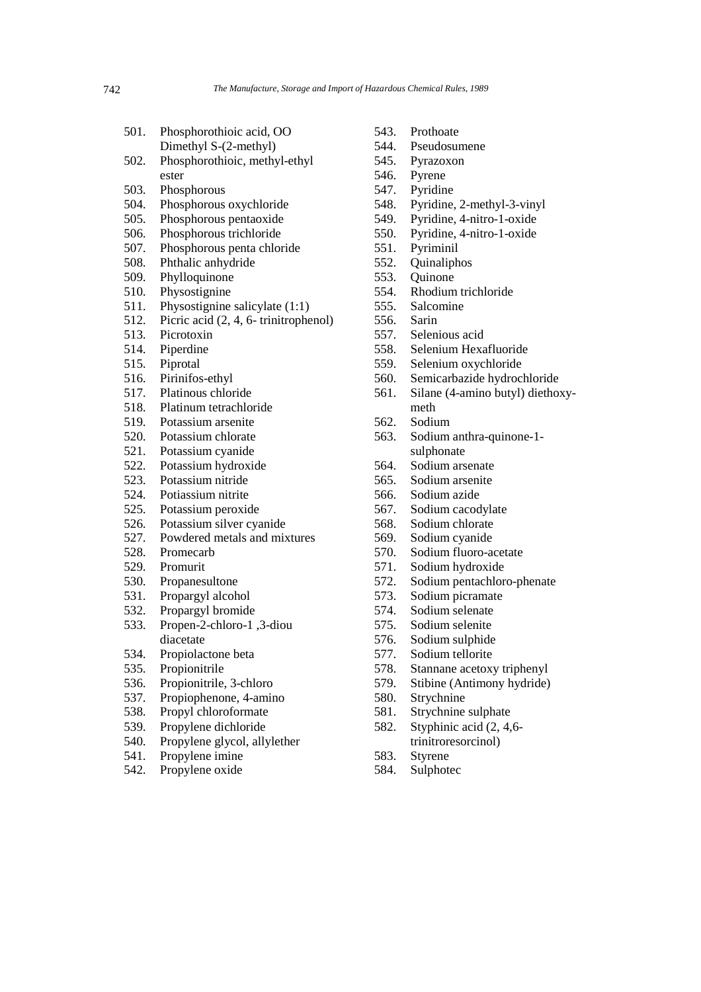| 501. | Phosphorothioic acid, OO |
|------|--------------------------|
|      | Dimethyl S-(2-methyl)    |

- 502. Phosphorothioic, methyl-ethyl ester
- 503. Phosphorous
- 504. Phosphorous oxychloride
- 505. Phosphorous pentaoxide
- 506. Phosphorous trichloride
- 507. Phosphorous penta chloride
- 508. Phthalic anhydride
- 509. Phylloquinone
- 510. Physostignine
- 511. Physostignine salicylate (1:1)
- 512. Picric acid (2, 4, 6- trinitrophenol)
- 513. Picrotoxin<br>514. Piperdine
- Piperdine
- 515. Piprotal
- 516. Pirinifos-ethyl
- 517. Platinous chloride
- 518. Platinum tetrachloride
- 519. Potassium arsenite
- 520. Potassium chlorate
- 521. Potassium cyanide
- 522. Potassium hydroxide
- 523. Potassium nitride
- 524. Potiassium nitrite
- 525. Potassium peroxide
- 526. Potassium silver cyanide
- 527. Powdered metals and mixtures
- 528. Promecarb
- 529. Promurit
- 530. Propanesultone
- 531. Propargyl alcohol
- 532. Propargyl bromide
- 533. Propen-2-chloro-1 ,3-diou diacetate
- 534. Propiolactone beta
- 535. Propionitrile
- 536. Propionitrile, 3-chloro
- 537. Propiophenone, 4-amino
- 538. Propyl chloroformate
- 539. Propylene dichloride
- 540. Propylene glycol, allylether
- 541. Propylene imine
- 542. Propylene oxide
- 543. Prothoate
- 544. Pseudosumene
- 545. Pyrazoxon
- 546. Pyrene
- 547. Pyridine
- 548. Pyridine, 2-methyl-3-vinyl
- 549. Pyridine, 4-nitro-1-oxide
- 550. Pyridine, 4-nitro-1-oxide
- 551. Pyriminil
- 552. Quinaliphos
- 553. Quinone
- 554. Rhodium trichloride
- 555. Salcomine
- 556. Sarin
- 557. Selenious acid
- 558. Selenium Hexafluoride
- 559. Selenium oxychloride
- 560. Semicarbazide hydrochloride
- 561. Silane (4-amino butyl) diethoxymeth
- 562. Sodium
- 563. Sodium anthra-quinone-1 sulphonate
- 564. Sodium arsenate
- 565. Sodium arsenite
- 566. Sodium azide
- 567. Sodium cacodylate
- 568. Sodium chlorate
- 569. Sodium cyanide
- 570. Sodium fluoro-acetate
- 571. Sodium hydroxide
- 572. Sodium pentachloro-phenate
- 573. Sodium picramate
- 574. Sodium selenate
- 575. Sodium selenite
- 576. Sodium sulphide
- 577. Sodium tellorite
- 578. Stannane acetoxy triphenyl
- 579. Stibine (Antimony hydride)
- 580. Strychnine
- 581. Strychnine sulphate
- 582. Styphinic acid (2, 4,6 trinitroresorcinol)
- 583. Styrene
- 584. Sulphotec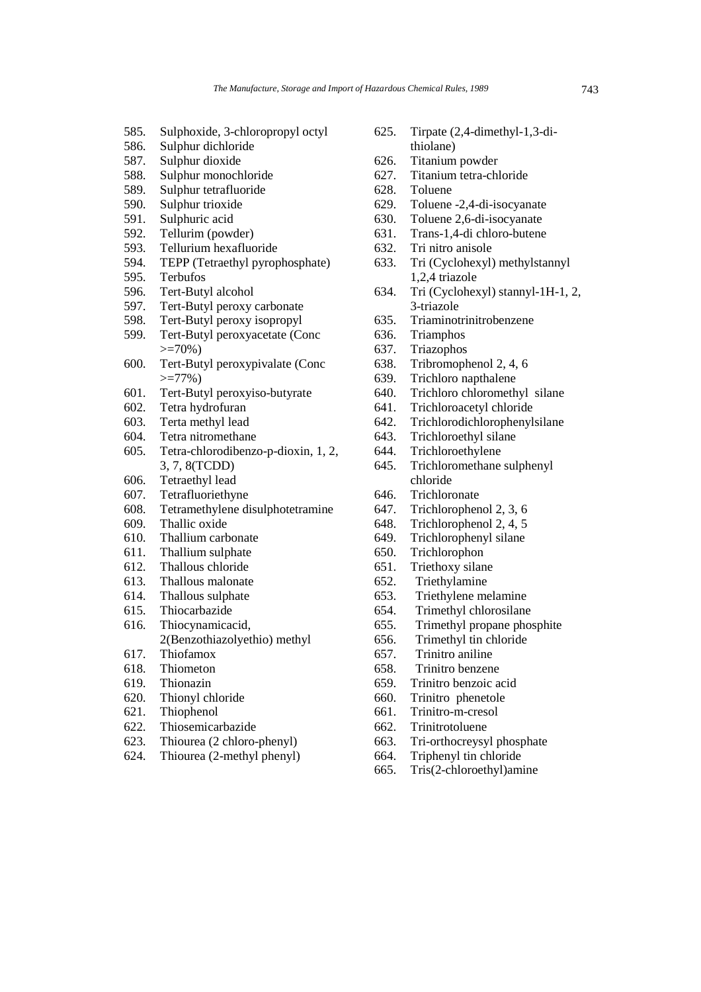- 585. Sulphoxide, 3-chloropropyl octyl
- 586. Sulphur dichloride
- 587. Sulphur dioxide
- 588. Sulphur monochloride
- 589. Sulphur tetrafluoride
- 590. Sulphur trioxide
- 591. Sulphuric acid
- 592. Tellurim (powder)
- 593. Tellurium hexafluoride
- 594. TEPP (Tetraethyl pyrophosphate)<br>595. Terbufos
- Terbufos
- 596. Tert-Butyl alcohol
- 597. Tert-Butyl peroxy carbonate
- 598. Tert-Butyl peroxy isopropyl
- 599. Tert-Butyl peroxyacetate (Conc  $>=70%$ )
- 600. Tert-Butyl peroxypivalate (Conc  $>=77\%$ )
- 601. Tert-Butyl peroxyiso-butyrate
- 602. Tetra hydrofuran
- 603. Terta methyl lead
- 604. Tetra nitromethane
- 605. Tetra-chlorodibenzo-p-dioxin, 1, 2, 3, 7, 8(TCDD)
- 606. Tetraethyl lead
- 607. Tetrafluoriethyne
- 608. Tetramethylene disulphotetramine
- 609. Thallic oxide
- 610. Thallium carbonate
- 611. Thallium sulphate
- 612. Thallous chloride
- 613. Thallous malonate
- 614. Thallous sulphate
- 615. Thiocarbazide
- 616. Thiocynamicacid, 2(Benzothiazolyethio) methyl
- 617. Thiofamox
- 618. Thiometon
- 619. Thionazin
- 620. Thionyl chloride
- 621. Thiophenol
- 622. Thiosemicarbazide
- 623. Thiourea (2 chloro-phenyl)
- 624. Thiourea (2-methyl phenyl)
- 625. Tirpate (2,4-dimethyl-1,3-dithiolane)
- 626. Titanium powder
- 627. Titanium tetra-chloride
- 628. Toluene
- 629. Toluene -2,4-di-isocyanate
- 630. Toluene 2,6-di-isocyanate
- 631. Trans-1,4-di chloro-butene
- 632. Tri nitro anisole
- 633. Tri (Cyclohexyl) methylstannyl 1,2,4 triazole
- 634. Tri (Cyclohexyl) stannyl-1H-1, 2, 3-triazole
- 635. Triaminotrinitrobenzene
- 636. Triamphos
- 637. Triazophos
- 638. Tribromophenol 2, 4, 6
- 639. Trichloro napthalene
- 640. Trichloro chloromethyl silane
- 641. Trichloroacetyl chloride
- 642. Trichlorodichlorophenylsilane
- 643. Trichloroethyl silane
- 644. Trichloroethylene
- 645. Trichloromethane sulphenyl chloride
- 646. Trichloronate
- 647. Trichlorophenol 2, 3, 6
- 648. Trichlorophenol 2, 4, 5
- 649. Trichlorophenyl silane
- 650. Trichlorophon
- 651. Triethoxy silane
- 652. Triethylamine
- 653. Triethylene melamine
- 654. Trimethyl chlorosilane
- 655. Trimethyl propane phosphite
- 656. Trimethyl tin chloride
- 657. Trinitro aniline
- 658. Trinitro benzene
- 659. Trinitro benzoic acid
- 660. Trinitro phenetole
- 661. Trinitro-m-cresol
- 662. Trinitrotoluene
- 663. Tri-orthocreysyl phosphate
- 664. Triphenyl tin chloride
- 665. Tris(2-chloroethyl)amine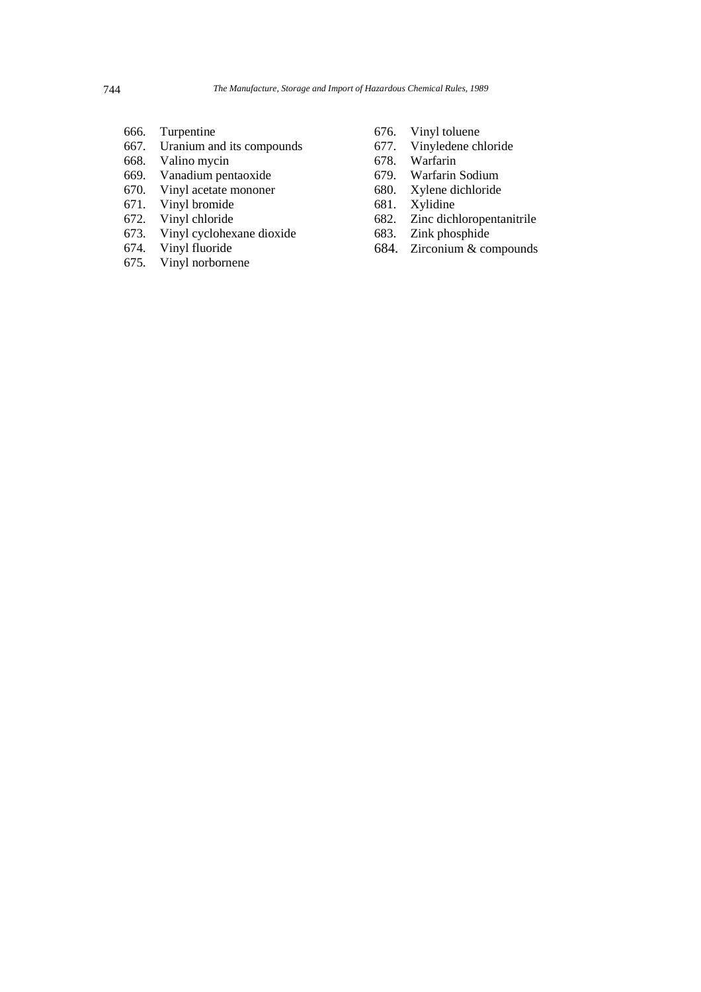- 666. Turpentine
- 667. Uranium and its compounds
- 668. Valino mycin<br>669. Vanadium pen
- 669. Vanadium pentaoxide
- 670. Vinyl acetate mononer<br>671. Vinyl bromide
- Vinyl bromide
- 672. Vinyl chloride
- 673. Vinyl cyclohexane dioxide
- 674. Vinyl fluoride
- 675. Vinyl norbornene
- 676. Vinyl toluene
- 677. Vinyledene chloride
- 678. Warfarin
- 679. Warfarin Sodium
- Xylene dichloride
- 681. Xylidine
- 682. Zinc dichloropentanitrile
- 683. Zink phosphide
- 684. Zirconium & compounds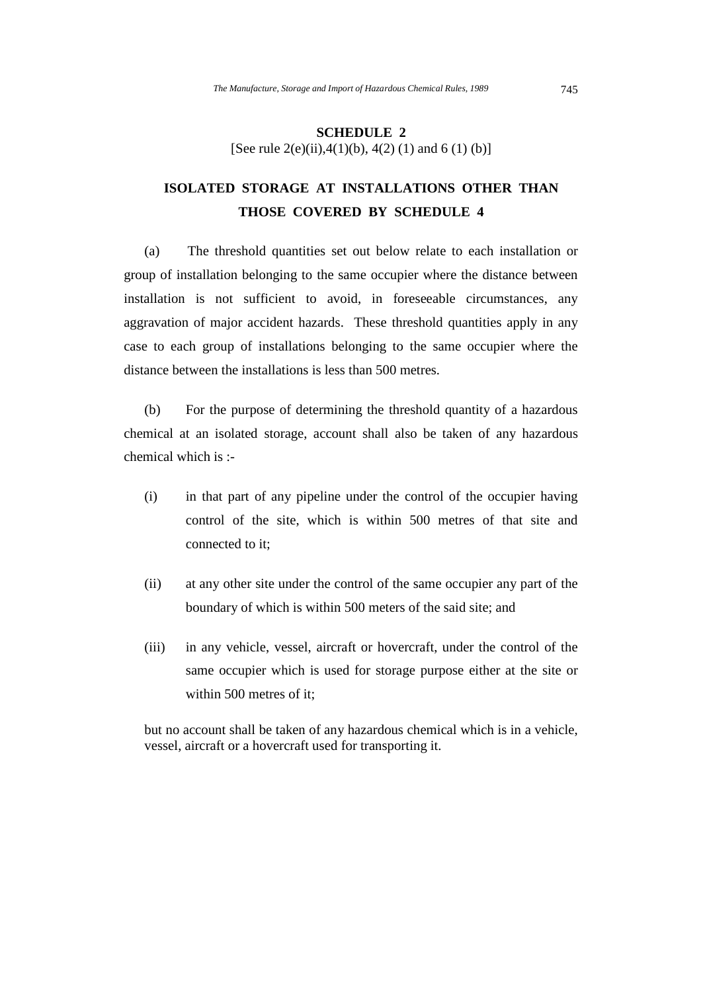#### **SCHEDULE 2**  [See rule 2(e)(ii),  $4(1)(b)$ ,  $4(2)(1)$  and  $6(1)(b)$ ]

# **ISOLATED STORAGE AT INSTALLATIONS OTHER THAN THOSE COVERED BY SCHEDULE 4**

(a) The threshold quantities set out below relate to each installation or group of installation belonging to the same occupier where the distance between installation is not sufficient to avoid, in foreseeable circumstances, any aggravation of major accident hazards. These threshold quantities apply in any case to each group of installations belonging to the same occupier where the distance between the installations is less than 500 metres.

(b) For the purpose of determining the threshold quantity of a hazardous chemical at an isolated storage, account shall also be taken of any hazardous chemical which is :-

- (i) in that part of any pipeline under the control of the occupier having control of the site, which is within 500 metres of that site and connected to it;
- (ii) at any other site under the control of the same occupier any part of the boundary of which is within 500 meters of the said site; and
- (iii) in any vehicle, vessel, aircraft or hovercraft, under the control of the same occupier which is used for storage purpose either at the site or within 500 metres of it;

but no account shall be taken of any hazardous chemical which is in a vehicle, vessel, aircraft or a hovercraft used for transporting it.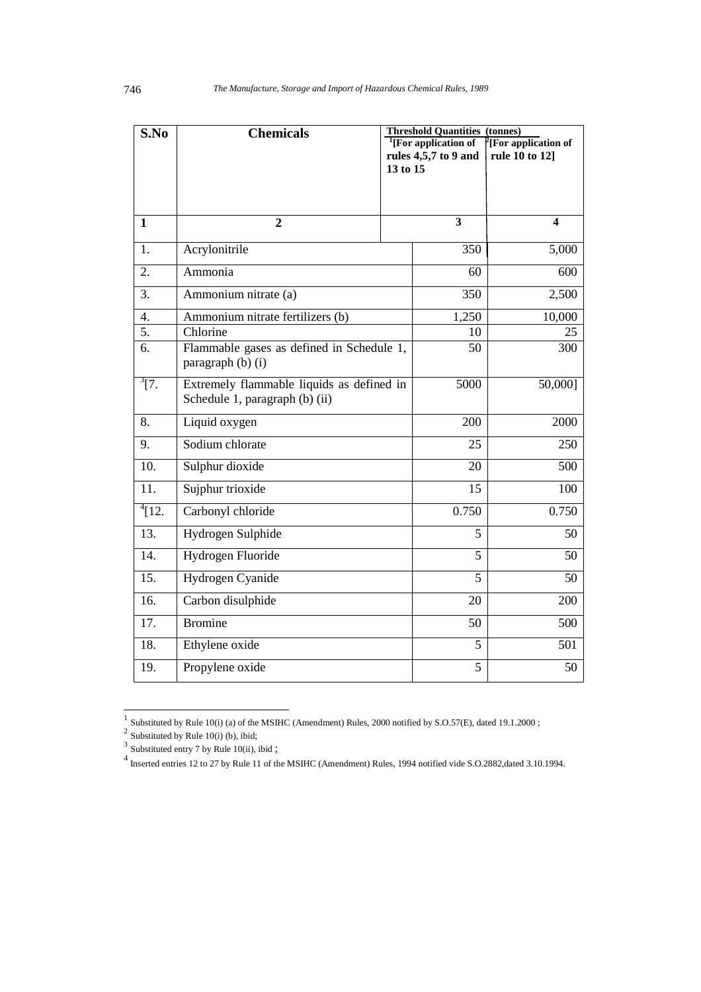| S.No         | <b>Chemicals</b>                          |          | <b>Threshold Quantities (tonnes)</b> |                                  |  |  |  |  |
|--------------|-------------------------------------------|----------|--------------------------------------|----------------------------------|--|--|--|--|
|              |                                           |          | <sup>1</sup> [For application of     | <sup>2</sup> [For application of |  |  |  |  |
|              |                                           |          | rules 4,5,7 to 9 and                 | rule 10 to 12]                   |  |  |  |  |
|              |                                           | 13 to 15 |                                      |                                  |  |  |  |  |
|              |                                           |          |                                      |                                  |  |  |  |  |
|              |                                           |          |                                      |                                  |  |  |  |  |
| $\mathbf{1}$ | $\overline{2}$                            |          | $\mathbf{3}$                         | $\overline{\mathbf{4}}$          |  |  |  |  |
| 1.           | Acrylonitrile                             |          | 350                                  | 5,000                            |  |  |  |  |
| 2.           | Ammonia                                   |          | 60                                   | 600                              |  |  |  |  |
| 3.           | Ammonium nitrate (a)                      |          | 350                                  | 2,500                            |  |  |  |  |
| 4.           | Ammonium nitrate fertilizers (b)          |          | 1,250                                | 10,000                           |  |  |  |  |
| 5.           | Chlorine                                  |          | 10                                   | 25                               |  |  |  |  |
| 6.           | Flammable gases as defined in Schedule 1, |          | 50                                   | 300                              |  |  |  |  |
|              | paragraph (b) (i)                         |          |                                      |                                  |  |  |  |  |
| $^{3}[7.$    | Extremely flammable liquids as defined in |          | 5000                                 | 50,000]                          |  |  |  |  |
|              | Schedule 1, paragraph (b) (ii)            |          |                                      |                                  |  |  |  |  |
| 8.           | Liquid oxygen                             |          | 200                                  | 2000                             |  |  |  |  |
| 9.           | Sodium chlorate                           |          | 25                                   | 250                              |  |  |  |  |
| 10.          | Sulphur dioxide                           |          | 20                                   | 500                              |  |  |  |  |
| 11.          | Sujphur trioxide                          |          | 15                                   | 100                              |  |  |  |  |
| $^{4}$ [12.  | Carbonyl chloride                         |          | 0.750                                | 0.750                            |  |  |  |  |
| 13.          | Hydrogen Sulphide                         |          | 5                                    | 50                               |  |  |  |  |
| 14.          | Hydrogen Fluoride                         |          | 5                                    | 50                               |  |  |  |  |
| 15.          | Hydrogen Cyanide                          |          | 5                                    | 50                               |  |  |  |  |
| 16.          | Carbon disulphide                         |          | 20                                   | 200                              |  |  |  |  |
| 17.          | <b>Bromine</b>                            |          | 50                                   | 500                              |  |  |  |  |
| 18.          | Ethylene oxide                            |          | 5                                    | 501                              |  |  |  |  |
| 19.          | Propylene oxide                           |          | 5                                    | 50                               |  |  |  |  |

<sup>&</sup>lt;sup>1</sup> Substituted by Rule 10(i) (a) of the MSIHC (Amendment) Rules, 2000 notified by S.O.57(E), dated 19.1.2000;<br>
<sup>2</sup> Substituted by Rule 10(i) (b), ibid;<br>
<sup>3</sup> Substituted entry 7 by Rule 10(ii), ibid;<br>
<sup>4</sup> Inserted entries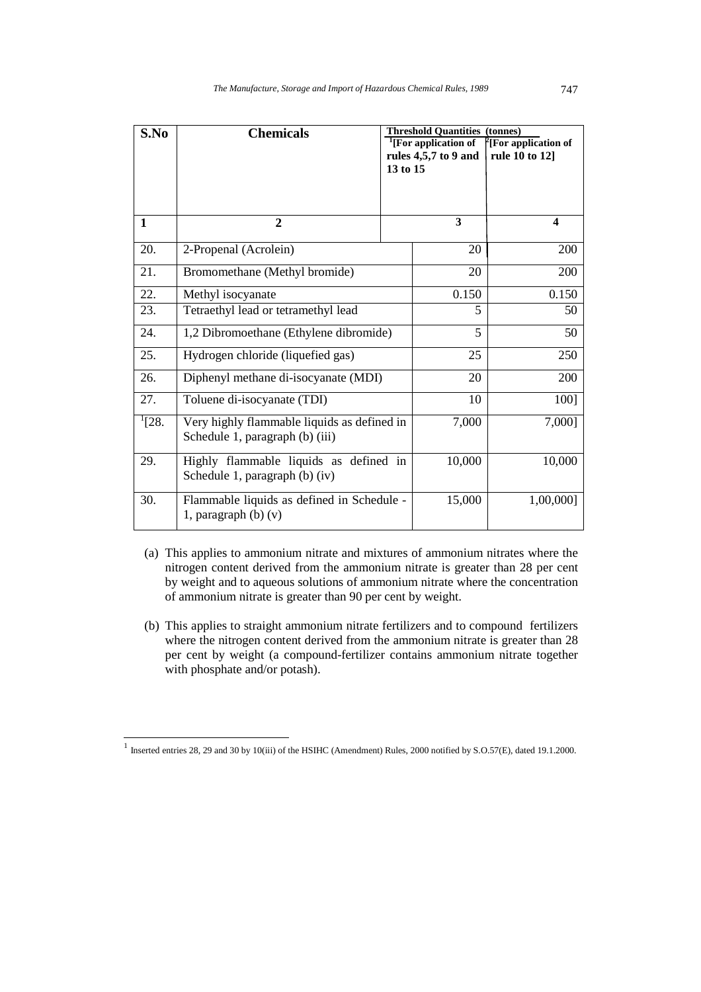| S.No       | <b>Chemicals</b>                                                               | 13 to 15 | <b>Threshold Quantities (tonnes)</b><br><sup>1</sup> [For application of<br>rules 4,5,7 to 9 and | $\int$ [For application of<br>rule 10 to 12] |  |  |
|------------|--------------------------------------------------------------------------------|----------|--------------------------------------------------------------------------------------------------|----------------------------------------------|--|--|
|            |                                                                                |          |                                                                                                  |                                              |  |  |
| 1          | 2                                                                              |          | 3                                                                                                | $\overline{\mathbf{4}}$                      |  |  |
| 20.        | 2-Propenal (Acrolein)                                                          |          | 20                                                                                               | 200                                          |  |  |
| 21.        | Bromomethane (Methyl bromide)                                                  |          | 20                                                                                               | 200                                          |  |  |
| 22.        | Methyl isocyanate                                                              |          | 0.150                                                                                            | 0.150                                        |  |  |
| 23.        | Tetraethyl lead or tetramethyl lead                                            |          | 5                                                                                                | 50                                           |  |  |
| 24.        | 1,2 Dibromoethane (Ethylene dibromide)                                         |          | 5                                                                                                | 50                                           |  |  |
| 25.        | Hydrogen chloride (liquefied gas)                                              |          | 25                                                                                               | 250                                          |  |  |
| 26.        | Diphenyl methane di-isocyanate (MDI)                                           |          | 20                                                                                               | 200                                          |  |  |
| 27.        | Toluene di-isocyanate (TDI)                                                    |          | 10                                                                                               | 100]                                         |  |  |
| $^{1}[28.$ | Very highly flammable liquids as defined in<br>Schedule 1, paragraph (b) (iii) | 7,000    | 7,000]                                                                                           |                                              |  |  |
| 29.        | Highly flammable liquids as defined in<br>Schedule 1, paragraph (b) (iv)       |          | 10,000                                                                                           | 10,000                                       |  |  |
| 30.        | Flammable liquids as defined in Schedule -<br>1, paragraph $(b)$ $(v)$         |          | 15,000                                                                                           | 1,00,000]                                    |  |  |

- (a) This applies to ammonium nitrate and mixtures of ammonium nitrates where the nitrogen content derived from the ammonium nitrate is greater than 28 per cent by weight and to aqueous solutions of ammonium nitrate where the concentration of ammonium nitrate is greater than 90 per cent by weight.
- (b) This applies to straight ammonium nitrate fertilizers and to compound fertilizers where the nitrogen content derived from the ammonium nitrate is greater than 28 per cent by weight (a compound-fertilizer contains ammonium nitrate together with phosphate and/or potash).

 1 Inserted entries 28, 29 and 30 by 10(iii) of the HSIHC (Amendment) Rules, 2000 notified by S.O.57(E), dated 19.1.2000.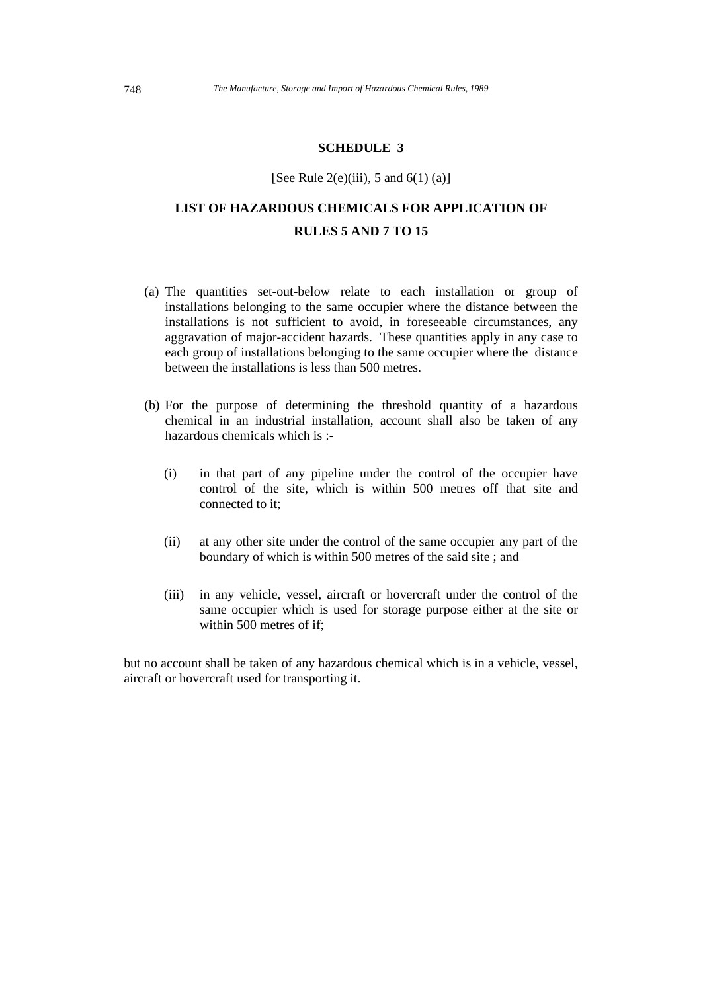#### **SCHEDULE 3**

#### [See Rule  $2(e)$ (iii), 5 and  $6(1)$  (a)]

# **LIST OF HAZARDOUS CHEMICALS FOR APPLICATION OF RULES 5 AND 7 TO 15**

- (a) The quantities set-out-below relate to each installation or group of installations belonging to the same occupier where the distance between the installations is not sufficient to avoid, in foreseeable circumstances, any aggravation of major-accident hazards. These quantities apply in any case to each group of installations belonging to the same occupier where the distance between the installations is less than 500 metres.
- (b) For the purpose of determining the threshold quantity of a hazardous chemical in an industrial installation, account shall also be taken of any hazardous chemicals which is :-
	- (i) in that part of any pipeline under the control of the occupier have control of the site, which is within 500 metres off that site and connected to it;
	- (ii) at any other site under the control of the same occupier any part of the boundary of which is within 500 metres of the said site ; and
	- (iii) in any vehicle, vessel, aircraft or hovercraft under the control of the same occupier which is used for storage purpose either at the site or within 500 metres of if;

but no account shall be taken of any hazardous chemical which is in a vehicle, vessel, aircraft or hovercraft used for transporting it.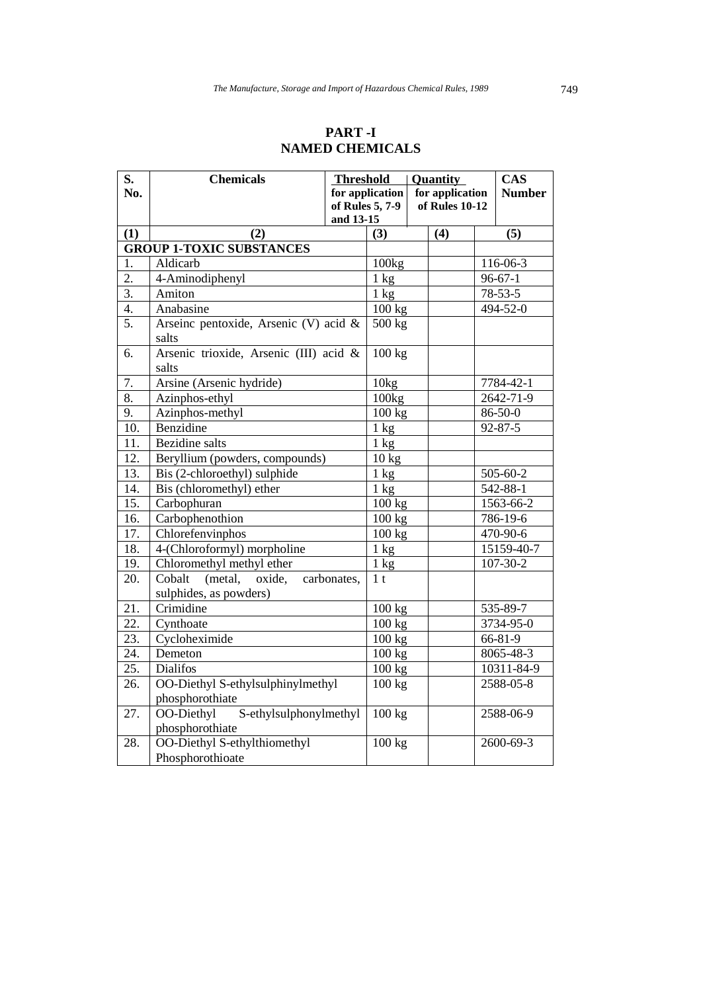### **PART -I NAMED CHEMICALS**

| S.                | <b>Chemicals</b>                                | <b>Threshold</b> |                 | Quantity       |                 | <b>CAS</b>      |
|-------------------|-------------------------------------------------|------------------|-----------------|----------------|-----------------|-----------------|
| No.               |                                                 |                  | for application |                | for application | <b>Number</b>   |
|                   |                                                 |                  | of Rules 5, 7-9 | of Rules 10-12 |                 |                 |
|                   |                                                 | and 13-15        |                 |                |                 |                 |
| (1)               | (2)                                             |                  | (3)             |                | (4)             | (5)             |
|                   | <b>GROUP 1-TOXIC SUBSTANCES</b>                 |                  |                 |                |                 |                 |
| 1.                | Aldicarb                                        |                  | 100kg           |                |                 | 116-06-3        |
| 2.                | 4-Aminodiphenyl                                 |                  | $1 \text{ kg}$  |                |                 | $96 - 67 - 1$   |
| $\overline{3}$ .  | Amiton                                          |                  | $1 \text{ kg}$  |                |                 | $78 - 53 - 5$   |
| $\overline{4}$ .  | Anabasine                                       |                  | 100 kg          |                |                 | 494-52-0        |
| 5.                | Arseinc pentoxide, Arsenic (V) acid &<br>salts  |                  | 500 kg          |                |                 |                 |
| 6.                | Arsenic trioxide, Arsenic (III) acid &<br>salts |                  | 100 kg          |                |                 |                 |
| 7.                | Arsine (Arsenic hydride)                        |                  | 10kg            |                |                 | 7784-42-1       |
| 8.                | Azinphos-ethyl                                  |                  | 100kg           |                |                 | 2642-71-9       |
| 9.                | Azinphos-methyl                                 |                  | 100 kg          |                |                 | 86-50-0         |
| $\overline{10}$ . | Benzidine                                       |                  | $1 \text{ kg}$  |                |                 | $92 - 87 - 5$   |
| 11.               | <b>Bezidine</b> salts                           |                  | $1 \text{ kg}$  |                |                 |                 |
| 12.               | Beryllium (powders, compounds)                  |                  | $10 \text{ kg}$ |                |                 |                 |
| 13.               | Bis (2-chloroethyl) sulphide                    |                  | $1 \text{ kg}$  |                |                 | 505-60-2        |
| 14.               | Bis (chloromethyl) ether                        |                  | $1 \text{ kg}$  |                |                 | 542-88-1        |
| 15.               | Carbophuran                                     |                  | $100$ kg        |                |                 | 1563-66-2       |
| 16.               | Carbophenothion                                 |                  | 100 kg          |                |                 | 786-19-6        |
| 17.               | Chlorefenvinphos                                |                  |                 | 100 kg         |                 | 470-90-6        |
| 18.               | 4-(Chloroformyl) morpholine                     |                  | $1 \text{ kg}$  |                |                 | 15159-40-7      |
| 19.               | Chloromethyl methyl ether                       |                  | $1 \text{ kg}$  |                |                 | 107-30-2        |
| 20.               | Cobalt<br>(metal,<br>oxide,                     | carbonates,      | 1 <sub>t</sub>  |                |                 |                 |
|                   | sulphides, as powders)                          |                  |                 |                |                 |                 |
| 21.               | Crimidine                                       |                  | 100 kg          |                |                 | $335 - 89 - 7$  |
| 22.               | Cynthoate                                       |                  | 100 kg          |                |                 | 3734-95-0       |
| 23.               | Cycloheximide                                   |                  | 100 kg          |                |                 | 66-81-9         |
| 24.               | Demeton                                         |                  | 100 kg          |                |                 | $8065 - 48 - 3$ |
| 25.               | <b>Dialifos</b>                                 |                  | 100 kg          |                |                 | 10311-84-9      |
| 26.               | OO-Diethyl S-ethylsulphinylmethyl               |                  | 100 kg          |                |                 | 2588-05-8       |
|                   | phosphorothiate                                 |                  |                 |                |                 |                 |
| 27.               | OO-Diethyl<br>S-ethylsulphonylmethyl            |                  | 100 kg          |                |                 | 2588-06-9       |
|                   | phosphorothiate                                 |                  |                 |                |                 |                 |
| 28.               | OO-Diethyl S-ethylthiomethyl                    |                  | 100 kg          |                |                 | 2600-69-3       |
|                   | Phosphorothioate                                |                  |                 |                |                 |                 |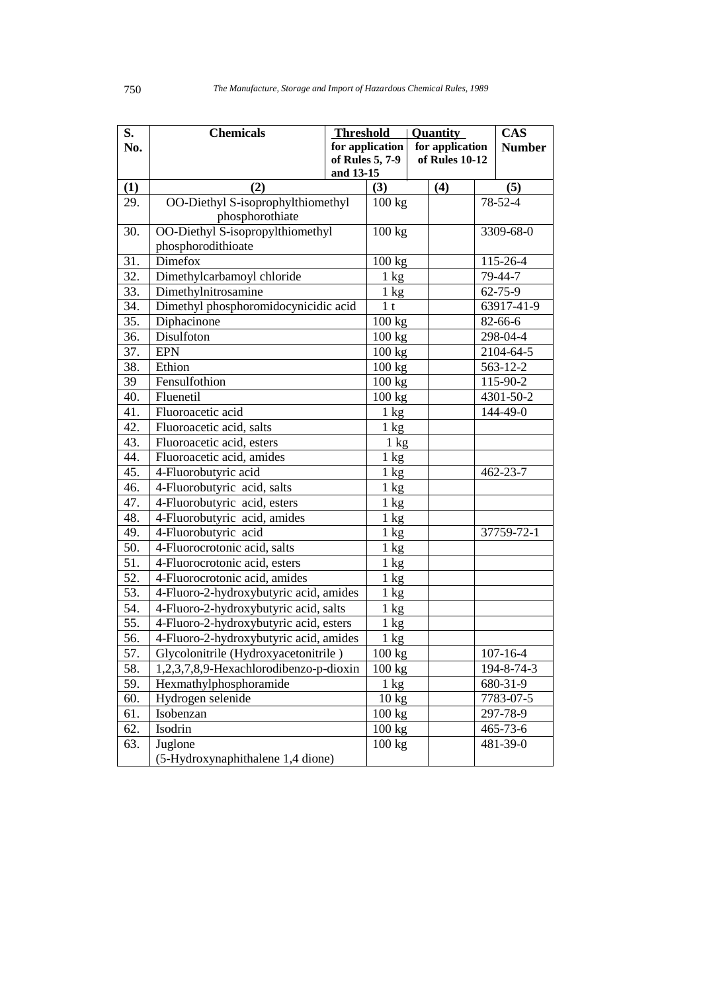| S.         | <b>Chemicals</b>                                     | <b>Threshold</b> |                            |  | <b>Quantity</b> |                      | <b>CAS</b>     |
|------------|------------------------------------------------------|------------------|----------------------------|--|-----------------|----------------------|----------------|
| No.        |                                                      |                  | for application            |  | for application |                      | <b>Number</b>  |
|            |                                                      |                  | of Rules 5, 7-9            |  | of Rules 10-12  |                      |                |
|            |                                                      | and 13-15        |                            |  |                 |                      |                |
| (1)<br>29. | (2)                                                  |                  | (3)<br>$\overline{100}$ kg |  | (4)             |                      | (5)<br>78-52-4 |
|            | OO-Diethyl S-isoprophylthiomethyl<br>phosphorothiate |                  |                            |  |                 |                      |                |
| 30.        | OO-Diethyl S-isopropylthiomethyl                     |                  | 100 kg                     |  |                 |                      | 3309-68-0      |
|            | phosphorodithioate                                   |                  |                            |  |                 |                      |                |
| 31.        | <b>Dimefox</b>                                       |                  | 100 kg                     |  |                 |                      | 115-26-4       |
| 32.        | Dimethylcarbamoyl chloride                           |                  | $1 \text{ kg}$             |  |                 |                      | 79-44-7        |
| 33.        | Dimethylnitrosamine                                  |                  | $1 \text{ kg}$             |  |                 |                      | 62-75-9        |
| 34.        | Dimethyl phosphoromidocynicidic acid                 |                  | 1 <sub>t</sub>             |  |                 |                      | 63917-41-9     |
| 35.        | Diphacinone                                          |                  | 100 kg                     |  |                 |                      | 82-66-6        |
| 36.        | Disulfoton                                           |                  | 100 kg                     |  |                 |                      | 298-04-4       |
| 37.        | <b>EPN</b>                                           |                  | 100 kg                     |  |                 |                      | 2104-64-5      |
| 38.        | Ethion                                               |                  | 100 kg                     |  |                 |                      |                |
| 39         | Fensulfothion                                        |                  | 100 kg                     |  |                 | 563-12-2<br>115-90-2 |                |
| 40.        | $\overline{\text{Flu}}$ enetil                       |                  | 100 kg                     |  |                 |                      | 4301-50-2      |
| 41.        | Fluoroacetic acid                                    |                  | $1 \text{ kg}$             |  |                 |                      | 144-49-0       |
| 42.        | Fluoroacetic acid, salts                             |                  | $1 \text{ kg}$             |  |                 |                      |                |
| 43.        | Fluoroacetic acid, esters                            |                  | $1 \text{ kg}$             |  |                 |                      |                |
| 44.        | Fluoroacetic acid, amides                            |                  | $1 \text{ kg}$             |  |                 |                      |                |
| 45.        | 4-Fluorobutyric acid                                 |                  | $1 \text{ kg}$             |  |                 |                      | $462 - 23 - 7$ |
| 46.        | 4-Fluorobutyric acid, salts                          |                  | $1 \text{ kg}$             |  |                 |                      |                |
| 47.        | 4-Fluorobutyric acid, esters                         |                  | $1 \text{ kg}$             |  |                 |                      |                |
| 48.        | 4-Fluorobutyric acid, amides                         |                  | $1 \text{ kg}$             |  |                 |                      |                |
| 49.        | 4-Fluorobutyric acid                                 |                  | $1 \text{ kg}$             |  |                 |                      | 37759-72-1     |
| 50.        | 4-Fluorocrotonic acid, salts                         |                  | $1 \text{ kg}$             |  |                 |                      |                |
| 51.        | 4-Fluorocrotonic acid, esters                        |                  | 1 kg                       |  |                 |                      |                |
| 52.        | 4-Fluorocrotonic acid, amides                        |                  | $1 \text{ kg}$             |  |                 |                      |                |
| 53.        | 4-Fluoro-2-hydroxybutyric acid, amides               |                  | $1 \text{ kg}$             |  |                 |                      |                |
| 54.        | 4-Fluoro-2-hydroxybutyric acid, salts                |                  | $1 \text{ kg}$             |  |                 |                      |                |
| 55.        | 4-Fluoro-2-hydroxybutyric acid, esters               |                  | 1 kg                       |  |                 |                      |                |
| 56.        | 4-Fluoro-2-hydroxybutyric acid, amides               |                  | 1 kg                       |  |                 |                      |                |
| 57.        | Glycolonitrile (Hydroxyacetonitrile)                 |                  | 100 kg                     |  |                 |                      | $107 - 16 - 4$ |
| 58.        | 1,2,3,7,8,9-Hexachlorodibenzo-p-dioxin               |                  | 100 kg                     |  |                 |                      | 194-8-74-3     |
| 59.        | Hexmathylphosphoramide                               |                  | $1 \text{ kg}$             |  |                 |                      | 680-31-9       |
| 60.        | Hydrogen selenide                                    |                  | $10 \text{ kg}$            |  |                 |                      | 7783-07-5      |
| 61.        | Isobenzan                                            |                  | 100 kg                     |  |                 |                      | 297-78-9       |
| 62.        | Isodrin                                              |                  | 100 kg                     |  |                 |                      | 465-73-6       |
| 63.        | Juglone                                              |                  | 100 kg                     |  |                 |                      | 481-39-0       |
|            | (5-Hydroxynaphithalene 1,4 dione)                    |                  |                            |  |                 |                      |                |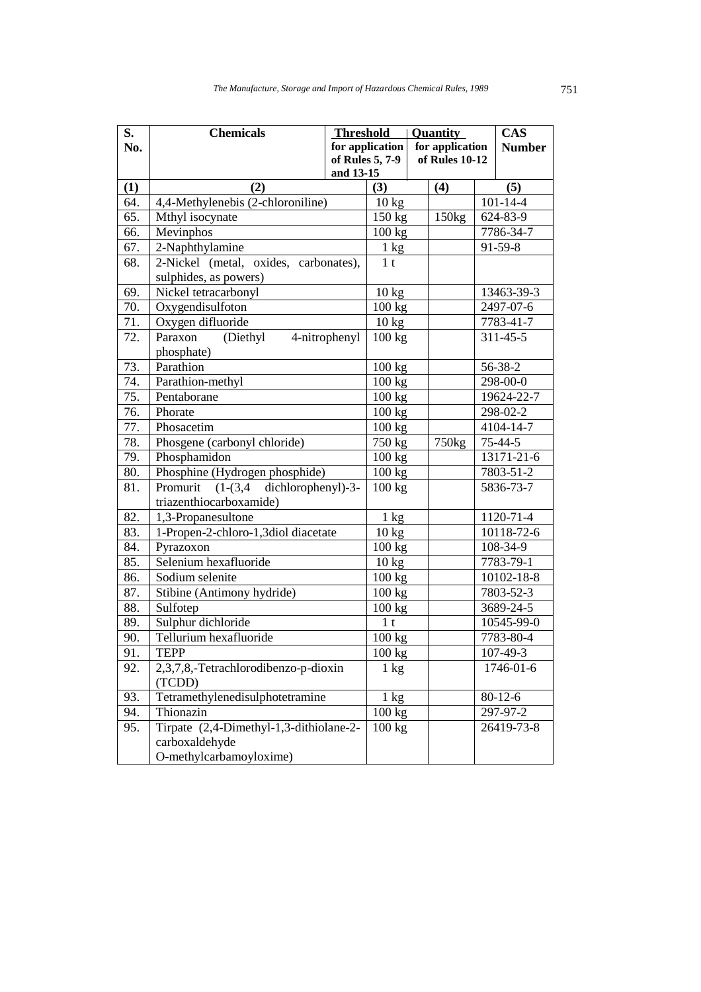| S.  | <b>Chemicals</b>                         | <b>Threshold</b> |                         | Quantity          |          | <b>CAS</b>     |
|-----|------------------------------------------|------------------|-------------------------|-------------------|----------|----------------|
| No. |                                          |                  | for application $\vert$ | for application   |          | <b>Number</b>  |
|     |                                          |                  | of Rules 5, 7-9         | of Rules 10-12    |          |                |
|     |                                          | and 13-15        |                         |                   |          |                |
| (1) | (2)                                      |                  | (3)                     | (4)               |          | (5)            |
| 64. | 4,4-Methylenebis (2-chloroniline)        |                  | 10 kg                   |                   |          | $101 - 14 - 4$ |
| 65. | Mthyl isocynate                          |                  | 150 kg                  | 150kg             |          | 624-83-9       |
| 66. | Mevinphos                                |                  | 100 kg                  |                   |          | 7786-34-7      |
| 67. | 2-Naphthylamine                          |                  | $1 \text{ kg}$          |                   |          | 91-59-8        |
| 68. | 2-Nickel (metal, oxides, carbonates),    |                  | 1 <sub>t</sub>          |                   |          |                |
|     | sulphides, as powers)                    |                  |                         |                   |          |                |
| 69. | Nickel tetracarbonyl                     |                  | $10 \text{ kg}$         |                   |          | 13463-39-3     |
| 70. | Oxygendisulfoton                         |                  | 100 kg                  |                   |          | 2497-07-6      |
| 71. | Oxygen difluoride                        |                  | 10 kg                   |                   |          | 7783-41-7      |
| 72. | (Diethyl<br>Paraxon                      | 4-nitrophenyl    | 100 kg                  |                   |          | $311 - 45 - 5$ |
|     | phosphate)                               |                  |                         |                   |          |                |
| 73. | Parathion                                |                  | 100 kg                  |                   |          | 56-38-2        |
| 74. | Parathion-methyl                         |                  | 100 kg                  |                   | 298-00-0 |                |
| 75. | Pentaborane                              |                  | 100 kg                  |                   |          | 19624-22-7     |
| 76. | Phorate                                  |                  | 100 kg                  |                   |          | 298-02-2       |
| 77. | Phosacetim                               |                  | 100 kg                  |                   |          | 4104-14-7      |
| 78. | Phosgene (carbonyl chloride)             |                  | $750$ kg                | 750 <sub>kg</sub> |          | $75 - 44 - 5$  |
| 79. | Phosphamidon                             |                  | 100 kg                  |                   |          | 13171-21-6     |
| 80. | Phosphine (Hydrogen phosphide)           |                  | 100 kg                  |                   |          | 7803-51-2      |
| 81. | $(1-(3,4$ dichlorophenyl)-3-<br>Promurit |                  | 100 kg                  |                   |          | 5836-73-7      |
|     | triazenthiocarboxamide)                  |                  |                         |                   |          |                |
| 82. | 1,3-Propanesultone                       |                  | $\overline{1}$ kg       |                   |          | 1120-71-4      |
| 83. | 1-Propen-2-chloro-1,3diol diacetate      |                  | $10 \text{ kg}$         |                   |          | 10118-72-6     |
| 84. | Pyrazoxon                                |                  | 100 kg                  |                   |          | 108-34-9       |
| 85. | Selenium hexafluoride                    |                  | $10 \text{ kg}$         |                   |          | 7783-79-1      |
| 86. | Sodium selenite                          |                  | 100 kg                  |                   |          | 10102-18-8     |
| 87. | Stibine (Antimony hydride)               |                  | 100 kg                  |                   |          | 7803-52-3      |
| 88. | Sulfotep                                 |                  | 100 kg                  |                   |          | 3689-24-5      |
| 89. | Sulphur dichloride                       |                  | 1 <sub>t</sub>          |                   |          | 10545-99-0     |
| 90. | Tellurium hexafluoride                   |                  | 100 kg                  |                   |          | 7783-80-4      |
| 91. | <b>TEPP</b>                              |                  | $100 \text{ kg}$        |                   |          | 107-49-3       |
| 92. | 2,3,7,8,-Tetrachlorodibenzo-p-dioxin     |                  | $1 \text{ kg}$          |                   |          | 1746-01-6      |
|     | (TCDD)                                   |                  |                         |                   |          |                |
| 93. | Tetramethylenedisulphotetramine          |                  | $1 \text{ kg}$          |                   |          | $80 - 12 - 6$  |
| 94. | Thionazin                                |                  | $100 \text{ kg}$        |                   |          | 297-97-2       |
| 95. | Tirpate (2,4-Dimethyl-1,3-dithiolane-2-  |                  | 100 kg                  |                   |          | 26419-73-8     |
|     | carboxaldehyde                           |                  |                         |                   |          |                |
|     | O-methylcarbamoyloxime)                  |                  |                         |                   |          |                |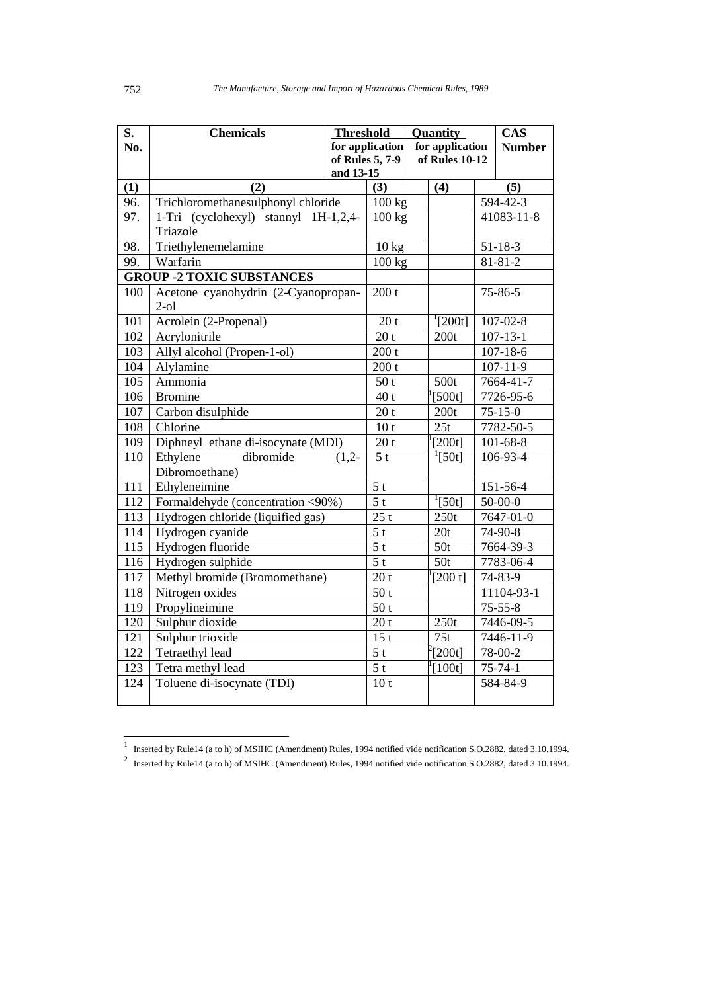| S.  | <b>Chemicals</b>                     | <b>Threshold</b>             | Quantity          |  |                     | <b>CAS</b> |                 |
|-----|--------------------------------------|------------------------------|-------------------|--|---------------------|------------|-----------------|
| No. |                                      |                              | for application   |  | for application     |            | <b>Number</b>   |
|     |                                      | of Rules 5, 7-9<br>and 13-15 |                   |  | of Rules 10-12      |            |                 |
| (1) | (2)                                  |                              | (3)               |  | (4)                 |            | (5)             |
| 96. | Trichloromethanesulphonyl chloride   |                              | $100$ kg          |  |                     |            | $594 - 42 - 3$  |
| 97. | 1-Tri (cyclohexyl) stannyl 1H-1,2,4- |                              | 100 kg            |  |                     |            | 41083-11-8      |
|     | Triazole                             |                              |                   |  |                     |            |                 |
| 98. | Triethylenemelamine                  |                              | 10 kg             |  |                     |            | $51 - 18 - 3$   |
| 99. | Warfarin                             |                              | 100 kg            |  |                     |            | $81 - 81 - 2$   |
|     | <b>GROUP -2 TOXIC SUBSTANCES</b>     |                              |                   |  |                     |            |                 |
| 100 | Acetone cyanohydrin (2-Cyanopropan-  |                              | 200 t             |  |                     |            | 75-86-5         |
|     | $2-ol$                               |                              |                   |  |                     |            |                 |
| 101 | Acrolein (2-Propenal)                |                              | 20 <sub>t</sub>   |  | $^{1}[200t]$        |            | $107 - 02 - 8$  |
| 102 | Acrylonitrile                        |                              | 20 <sub>t</sub>   |  | 200t                |            | $107 - 13 - 1$  |
| 103 | Allyl alcohol (Propen-1-ol)          |                              | 200 t             |  |                     |            | $107 - 18 - 6$  |
| 104 | Alylamine                            |                              | 200 t             |  |                     |            | $107 - 11 - 9$  |
| 105 | Ammonia                              |                              | 50t               |  | 500t                |            | 7664-41-7       |
| 106 | <b>Bromine</b>                       |                              | 40t               |  | $[500t]$            |            | 7726-95-6       |
| 107 | Carbon disulphide                    |                              | 20 <sub>t</sub>   |  | 200t                |            | $75 - 15 - 0$   |
| 108 | Chlorine                             |                              | 10 <sub>t</sub>   |  | 25t                 |            | $7782 - 50 - 5$ |
| 109 | Diphneyl ethane di-isocynate (MDI)   |                              | 20 <sub>t</sub>   |  | [200t]              |            | $101 - 68 - 8$  |
| 110 | Ethylene<br>dibromide                | $(1,2-$                      | 5 <sub>t</sub>    |  | $^{1}[50t]$         |            | 106-93-4        |
|     | Dibromoethane)                       |                              |                   |  |                     |            |                 |
| 111 | Ethyleneimine                        |                              | 5 <sub>t</sub>    |  |                     |            | 151-56-4        |
| 112 | Formaldehyde (concentration <90%)    |                              | $\overline{5t}$   |  | $\frac{1}{2}$ [50t] |            | $50 - 00 - 0$   |
| 113 | Hydrogen chloride (liquified gas)    |                              | $\overline{25}$ t |  | 250t                |            | 7647-01-0       |
| 114 | Hydrogen cyanide                     |                              | $\overline{5t}$   |  | 20t                 |            | 74-90-8         |
| 115 | Hydrogen fluoride                    |                              | 5 <sub>t</sub>    |  | 50t                 |            | 7664-39-3       |
| 116 | Hydrogen sulphide                    |                              | 5 <sub>t</sub>    |  | 50t                 |            | 7783-06-4       |
| 117 | Methyl bromide (Bromomethane)        |                              | 20t               |  | [200 t]             |            | 74-83-9         |
| 118 | Nitrogen oxides                      |                              | 50t               |  |                     |            | 11104-93-1      |
| 119 | Propylineimine                       |                              | 50 <sub>t</sub>   |  |                     |            | $75 - 55 - 8$   |
| 120 | Sulphur dioxide                      |                              | 20 <sub>t</sub>   |  | 250t                |            | 7446-09-5       |
| 121 | Sulphur trioxide                     |                              | $\overline{15}$ t |  | 75t                 |            | 7446-11-9       |
| 122 | Tetraethyl lead                      |                              | 5 <sub>t</sub>    |  | $\frac{200t}{ }$    |            | 78-00-2         |
| 123 | Tetra methyl lead                    |                              | 5 <sub>t</sub>    |  | [100t]              |            | $75 - 74 - 1$   |
| 124 | Toluene di-isocynate (TDI)           |                              | 10 <sub>t</sub>   |  |                     |            | 584-84-9        |
|     |                                      |                              |                   |  |                     |            |                 |

Inserted by Rule14 (a to h) of MSIHC (Amendment) Rules, 1994 notified vide notification S.O.2882, dated 3.10.1994.<br>
<sup>2</sup> Inserted by Rule14 (a to h) of MSIHC (Amendment) Rules, 1994 notified vide notification S.O.2882, dat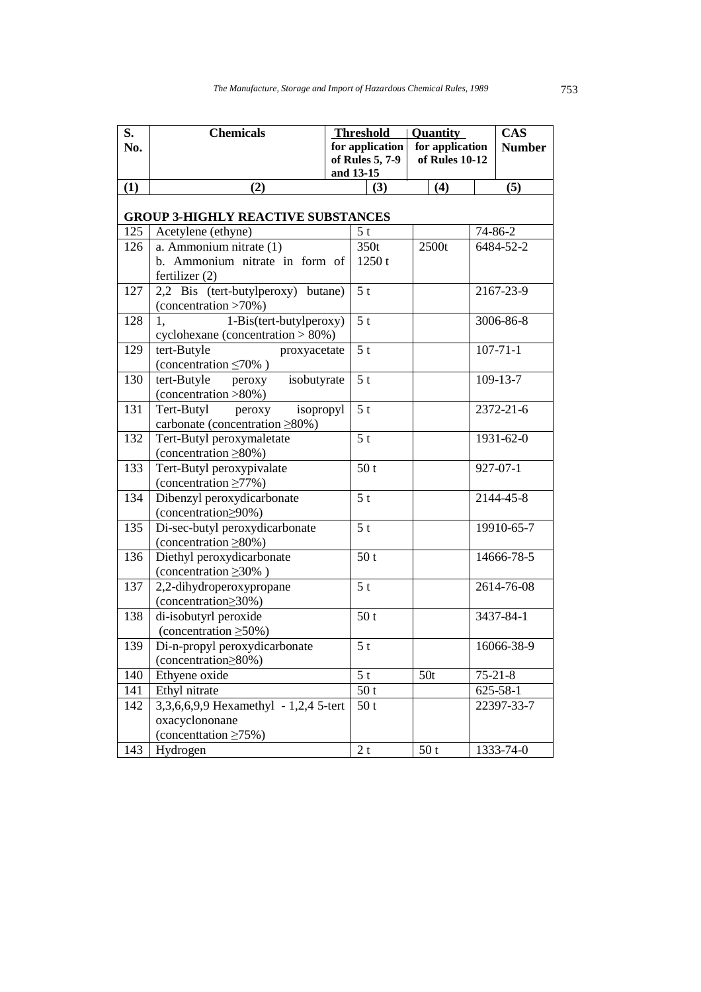| S.  | <b>Chemicals</b>                                            |                 | <b>Threshold</b> | <b>Quantity</b> |  | <b>CAS</b>     |  |  |  |  |
|-----|-------------------------------------------------------------|-----------------|------------------|-----------------|--|----------------|--|--|--|--|
| No. |                                                             |                 | for application  | for application |  | <b>Number</b>  |  |  |  |  |
|     |                                                             | of Rules 5, 7-9 |                  | of Rules 10-12  |  |                |  |  |  |  |
|     |                                                             |                 | and 13-15        |                 |  |                |  |  |  |  |
| (1) | (2)                                                         |                 | (3)              | (4)             |  | (5)            |  |  |  |  |
|     |                                                             |                 |                  |                 |  |                |  |  |  |  |
|     | <b>GROUP 3-HIGHLY REACTIVE SUBSTANCES</b>                   |                 |                  |                 |  |                |  |  |  |  |
| 125 | Acetylene (ethyne)                                          |                 | 5 <sub>t</sub>   |                 |  | 74-86-2        |  |  |  |  |
| 126 | a. Ammonium nitrate (1)<br>b. Ammonium nitrate in form of   |                 | 350t             | 2500t           |  | 6484-52-2      |  |  |  |  |
|     |                                                             |                 | 1250t            |                 |  |                |  |  |  |  |
| 127 | fertilizer $(2)$<br>2,2 Bis (tert-butylperoxy) butane)      |                 | 5 <sub>t</sub>   |                 |  | 2167-23-9      |  |  |  |  |
|     | (concentration >70%)                                        |                 |                  |                 |  |                |  |  |  |  |
| 128 | 1-Bis(tert-butylperoxy)<br>1,                               |                 | 5 <sub>t</sub>   |                 |  | 3006-86-8      |  |  |  |  |
|     | cyclohexane (concentration > 80%)                           |                 |                  |                 |  |                |  |  |  |  |
| 129 | tert-Butyle<br>proxyacetate                                 |                 | 5 <sub>t</sub>   |                 |  | $107 - 71 - 1$ |  |  |  |  |
|     | (concentration $\leq 70\%$ )                                |                 |                  |                 |  |                |  |  |  |  |
| 130 | tert-Butyle<br>isobutyrate<br>peroxy                        |                 | 5 <sub>t</sub>   |                 |  | 109-13-7       |  |  |  |  |
|     | (concentration >80%)                                        |                 |                  |                 |  |                |  |  |  |  |
| 131 | Tert-Butyl<br>isopropyl<br>peroxy                           |                 | 5 <sub>t</sub>   |                 |  | 2372-21-6      |  |  |  |  |
|     | carbonate (concentration ≥80%)                              |                 |                  |                 |  |                |  |  |  |  |
| 132 | Tert-Butyl peroxymaletate                                   |                 | 5 <sub>t</sub>   |                 |  | 1931-62-0      |  |  |  |  |
|     | (concentration $\geq 80\%$ )                                |                 |                  |                 |  |                |  |  |  |  |
| 133 | Tert-Butyl peroxypivalate                                   |                 | 50 <sub>t</sub>  |                 |  | $927 - 07 - 1$ |  |  |  |  |
|     | (concentration $\geq$ 77%)                                  |                 |                  |                 |  |                |  |  |  |  |
| 134 | Dibenzyl peroxydicarbonate                                  |                 | 5 <sub>t</sub>   |                 |  | 2144-45-8      |  |  |  |  |
|     | (concentration > 90%)                                       |                 |                  |                 |  |                |  |  |  |  |
| 135 | Di-sec-butyl peroxydicarbonate                              |                 | 5 <sub>t</sub>   |                 |  | 19910-65-7     |  |  |  |  |
|     | (concentration $\geq 80\%$ )                                |                 |                  |                 |  |                |  |  |  |  |
| 136 | Diethyl peroxydicarbonate                                   |                 | 50 <sub>t</sub>  |                 |  | 14666-78-5     |  |  |  |  |
|     | (concentration $\geq 30\%$ )                                |                 |                  |                 |  |                |  |  |  |  |
| 137 | 2,2-dihydroperoxypropane<br>(concentration    subseteq 20%) |                 | 5 <sub>t</sub>   |                 |  | 2614-76-08     |  |  |  |  |
| 138 | di-isobutyrl peroxide                                       |                 | 50t              |                 |  | 3437-84-1      |  |  |  |  |
|     | (concentration $\geq 50\%$ )                                |                 |                  |                 |  |                |  |  |  |  |
| 139 | Di-n-propyl peroxydicarbonate                               |                 | 5 <sup>t</sup>   |                 |  | 16066-38-9     |  |  |  |  |
|     | (concentration > 80%)                                       |                 |                  |                 |  |                |  |  |  |  |
| 140 | Ethyene oxide                                               |                 | 5 <sub>t</sub>   | 50t             |  | $75 - 21 - 8$  |  |  |  |  |
| 141 | Ethyl nitrate                                               |                 | 50t              |                 |  | $625 - 58 - 1$ |  |  |  |  |
| 142 | 3,3,6,6,9,9 Hexamethyl - 1,2,4 5-tert                       |                 | 50t              |                 |  | 22397-33-7     |  |  |  |  |
|     | oxacyclononane                                              |                 |                  |                 |  |                |  |  |  |  |
|     | (concentration $\geq 75\%$ )                                |                 |                  |                 |  |                |  |  |  |  |
| 143 | Hydrogen                                                    |                 | 2t               | 50t             |  | 1333-74-0      |  |  |  |  |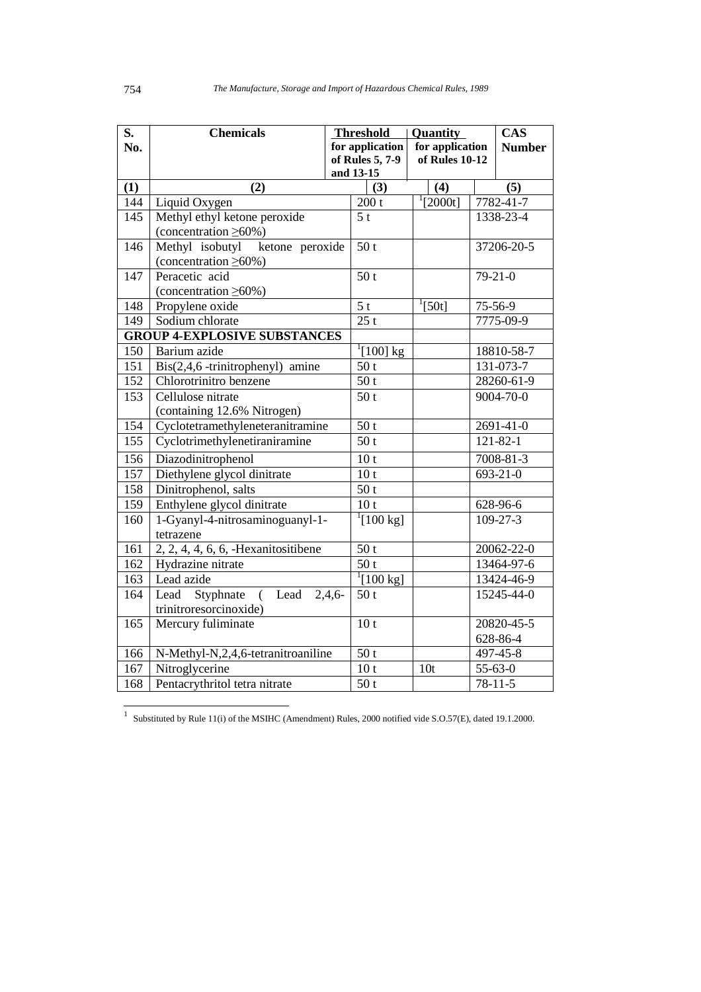| S.         | <b>Chemicals</b>                      |          | <b>Threshold</b>             | Quantity             |               | <b>CAS</b>       |
|------------|---------------------------------------|----------|------------------------------|----------------------|---------------|------------------|
| No.        |                                       |          | for application              | for application      | <b>Number</b> |                  |
|            |                                       |          | of Rules 5, 7-9              | of Rules $10-12$     |               |                  |
|            |                                       |          | and 13-15                    |                      |               |                  |
| (1)<br>144 | (2)<br>Liquid Oxygen                  |          | (3)<br>200 t                 | (4)<br>$^{1}[2000t]$ |               | (5)<br>7782-41-7 |
| 145        | Methyl ethyl ketone peroxide          |          | 5 <sub>t</sub>               |                      |               | 1338-23-4        |
|            | (concentration $\geq 60\%$ )          |          |                              |                      |               |                  |
| 146        | Methyl isobutyl<br>ketone peroxide    |          | 50t                          |                      |               | 37206-20-5       |
|            | (concentration $\geq 60\%$ )          |          |                              |                      |               |                  |
| 147        | Peracetic acid                        |          | $\overline{50}$ t            |                      |               | $79-21-0$        |
|            | (concentration $\geq 60\%$ )          |          |                              |                      |               |                  |
| 148        | Propylene oxide                       |          | $\overline{5t}$              | $^{1}[50t]$          |               | 75-56-9          |
| 149        | Sodium chlorate                       |          | 25t                          |                      |               | 7775-09-9        |
|            | <b>GROUP 4-EXPLOSIVE SUBSTANCES</b>   |          |                              |                      |               |                  |
| 150        | Barium azide                          |          | $\frac{1}{1}$ [100] kg       |                      |               | 18810-58-7       |
| 151        | Bis(2,4,6 -trinitrophenyl) amine      |          | 50 <sub>t</sub>              |                      |               | 131-073-7        |
| 152        | Chlorotrinitro benzene                |          | 50t                          |                      |               | 28260-61-9       |
| 153        | Cellulose nitrate                     |          | 50 <sub>t</sub>              |                      |               | 9004-70-0        |
|            | (containing 12.6% Nitrogen)           |          |                              |                      |               |                  |
| 154        | Cyclotetramethyleneteranitramine      |          | 50t                          |                      |               | 2691-41-0        |
| 155        | Cyclotrimethylenetiraniramine         |          | 50t                          |                      |               | $121 - 82 - 1$   |
| 156        | Diazodinitrophenol                    |          | 10 <sub>t</sub>              |                      |               | 7008-81-3        |
| 157        | Diethylene glycol dinitrate           |          | 10 <sub>t</sub>              |                      |               | 693-21-0         |
| 158        | Dinitrophenol, salts                  |          | 50 <sub>t</sub>              |                      |               |                  |
| 159        | Enthylene glycol dinitrate            |          | 10 <sub>t</sub>              |                      |               | 628-96-6         |
| 160        | 1-Gyanyl-4-nitrosaminoguanyl-1-       |          | $^{1}[100 \text{ kg}]$       |                      |               | $109 - 27 - 3$   |
|            | tetrazene                             |          |                              |                      |               |                  |
| 161        | $2, 2, 4, 4, 6, 6,$ -Hexanitositibene |          | 50t                          |                      |               | $20062 - 22 - 0$ |
| 162        | Hydrazine nitrate                     |          | $\overline{50t}$             |                      |               | 13464-97-6       |
| 163        | Lead azide                            |          | $\sqrt[1]{[100 \text{ kg}]}$ |                      |               | 13424-46-9       |
| 164        | Lead<br>Styphnate (<br>Lead           | $2,4,6-$ | 50t                          |                      |               | 15245-44-0       |
|            | trinitroresorcinoxide)                |          |                              |                      |               |                  |
| 165        | Mercury fuliminate                    |          | 10 <sub>t</sub>              |                      |               | 20820-45-5       |
|            |                                       |          |                              |                      |               | 628-86-4         |
| 166        | N-Methyl-N,2,4,6-tetranitroaniline    |          | 50t                          |                      |               | 497-45-8         |
| 167        | Nitroglycerine                        |          | 10 <sub>t</sub>              | 10 <sub>t</sub>      |               | $55 - 63 - 0$    |
| 168        | Pentacrythritol tetra nitrate         |          | 50t                          |                      |               | $78 - 11 - 5$    |

1 Substituted by Rule 11(i) of the MSIHC (Amendment) Rules, 2000 notified vide S.O.57(E), dated 19.1.2000.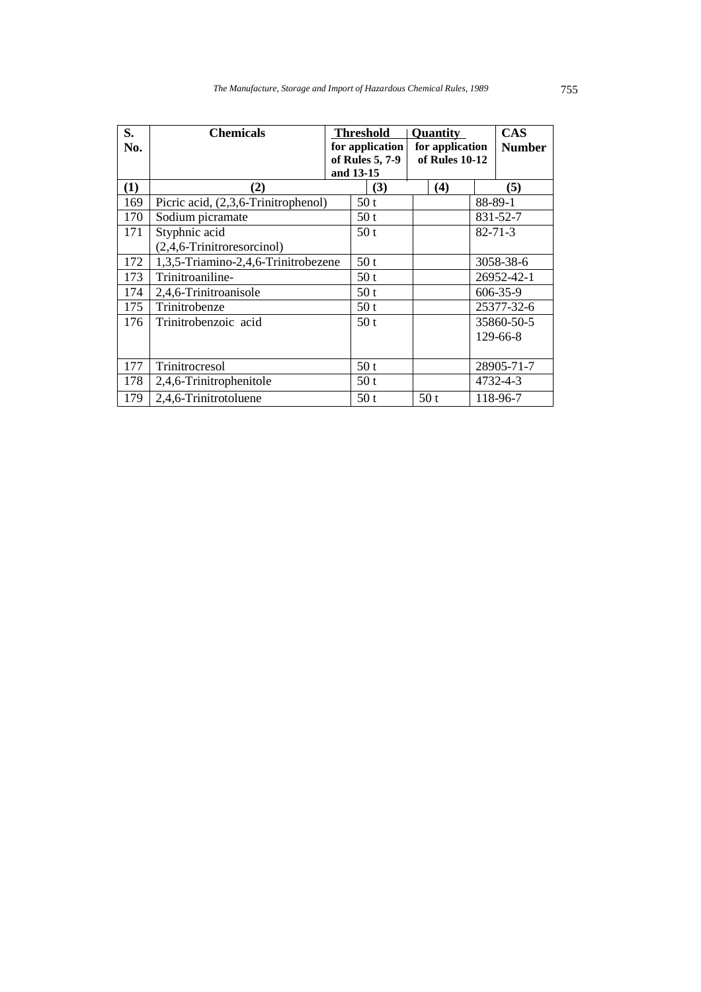| S.<br>No. | <b>Chemicals</b>                    | <b>Threshold</b><br>for application<br>of Rules 5, 7-9<br>and 13-15 | <b>Quantity</b><br>for application<br>of Rules 10-12 | <b>CAS</b><br><b>Number</b> |
|-----------|-------------------------------------|---------------------------------------------------------------------|------------------------------------------------------|-----------------------------|
| (1)       | $\bf(2)$                            | (3)                                                                 | (4)                                                  | (5)                         |
| 169       | Picric acid, (2,3,6-Trinitrophenol) | 50t                                                                 |                                                      | 88-89-1                     |
| 170       | Sodium picramate                    | 50t                                                                 |                                                      | 831-52-7                    |
| 171       | Styphnic acid                       | 50t                                                                 |                                                      | $82 - 71 - 3$               |
|           | (2,4,6-Trinitroresorcinol)          |                                                                     |                                                      |                             |
| 172       | 1,3,5-Triamino-2,4,6-Trinitrobezene | 50 <sub>t</sub>                                                     |                                                      | 3058-38-6                   |
| 173       | Trinitroaniline-                    | 50 <sub>t</sub>                                                     |                                                      | 26952-42-1                  |
| 174       | 2,4,6-Trinitroanisole               | 50t                                                                 |                                                      | 606-35-9                    |
| 175       | Trinitrobenze                       | 50 <sub>t</sub>                                                     |                                                      | 25377-32-6                  |
| 176       | Trinitrobenzoic acid                | 50t                                                                 |                                                      | 35860-50-5                  |
|           |                                     |                                                                     |                                                      | $129 - 66 - 8$              |
|           |                                     |                                                                     |                                                      |                             |
| 177       | Trinitrocresol                      | 50t                                                                 |                                                      | 28905-71-7                  |
| 178       | 2,4,6-Trinitrophenitole             | 50t                                                                 |                                                      | 4732-4-3                    |
| 179       | 2,4,6-Trinitrotoluene               | 50t                                                                 | 50t                                                  | 118-96-7                    |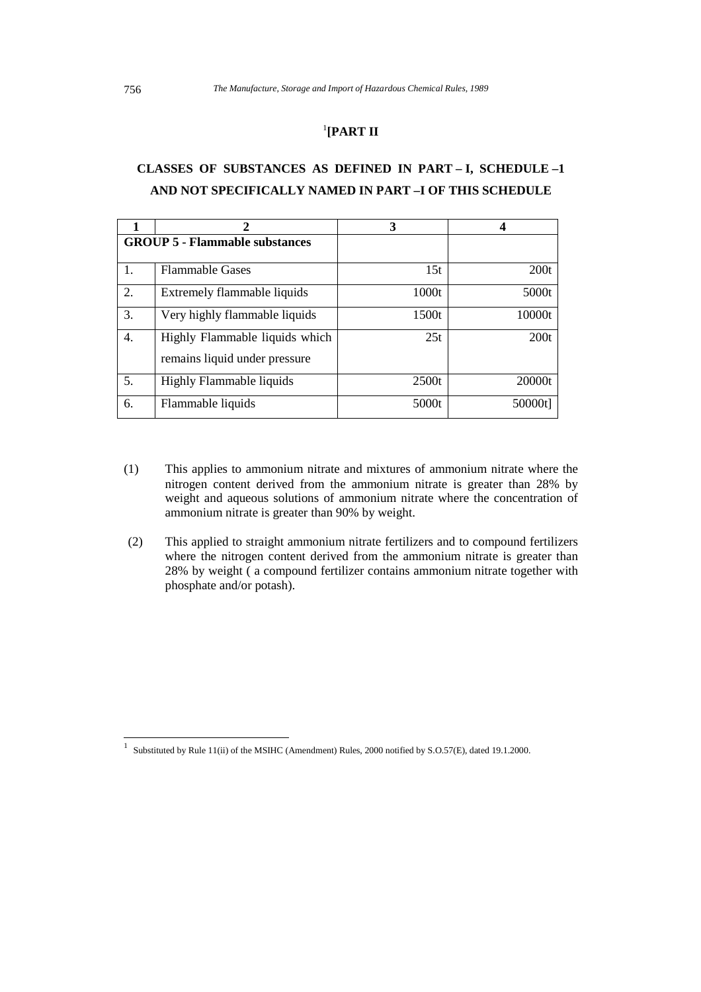### 1 **[PART II**

## **CLASSES OF SUBSTANCES AS DEFINED IN PART – I, SCHEDULE –1 AND NOT SPECIFICALLY NAMED IN PART –I OF THIS SCHEDULE**

|    |                                                                 | 3     |         |
|----|-----------------------------------------------------------------|-------|---------|
|    | <b>GROUP 5 - Flammable substances</b>                           |       |         |
|    | <b>Flammable Gases</b>                                          | 15t   | 200t    |
| 2. | Extremely flammable liquids                                     | 1000t | 5000t   |
| 3. | Very highly flammable liquids                                   | 1500t | 10000t  |
| 4. | Highly Flammable liquids which<br>remains liquid under pressure | 25t   | 200t    |
| 5. | Highly Flammable liquids                                        | 2500t | 20000t  |
| 6. | Flammable liquids                                               | 5000t | 50000t] |

- (1) This applies to ammonium nitrate and mixtures of ammonium nitrate where the nitrogen content derived from the ammonium nitrate is greater than 28% by weight and aqueous solutions of ammonium nitrate where the concentration of ammonium nitrate is greater than 90% by weight.
- (2) This applied to straight ammonium nitrate fertilizers and to compound fertilizers where the nitrogen content derived from the ammonium nitrate is greater than 28% by weight ( a compound fertilizer contains ammonium nitrate together with phosphate and/or potash).

 1 Substituted by Rule 11(ii) of the MSIHC (Amendment) Rules, 2000 notified by S.O.57(E), dated 19.1.2000.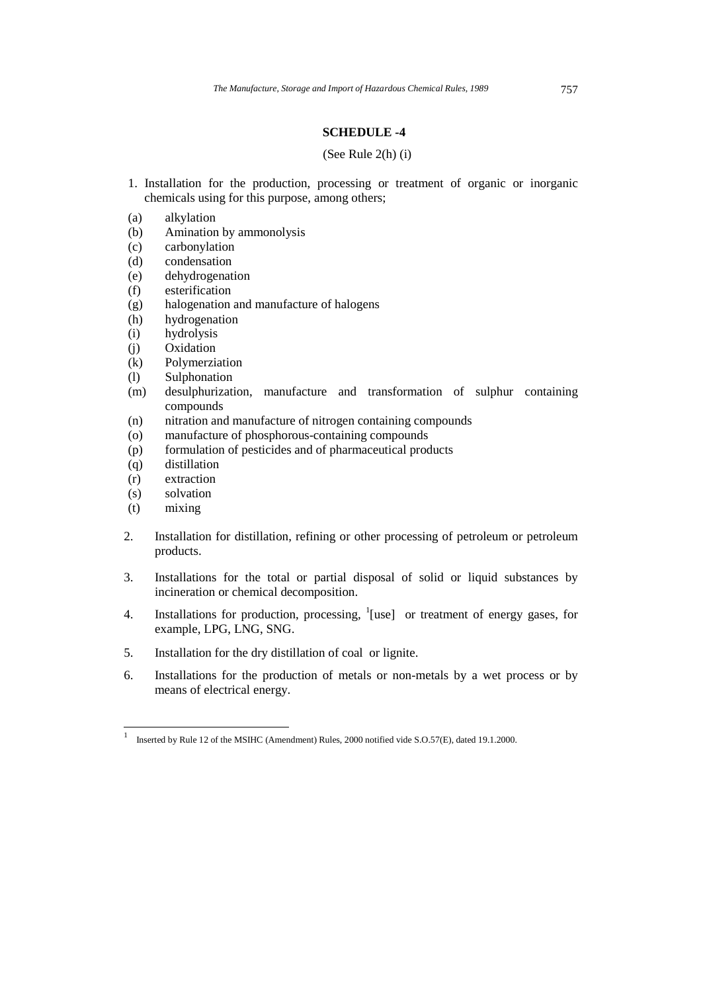#### **SCHEDULE -4**

#### (See Rule 2(h) (i)

- 1. Installation for the production, processing or treatment of organic or inorganic chemicals using for this purpose, among others;
- (a) alkylation
- (b) Amination by ammonolysis
- (c) carbonylation
- (d) condensation
- (e) dehydrogenation
- (f) esterification
- (g) halogenation and manufacture of halogens
- (h) hydrogenation
- (i) hydrolysis
- (j) Oxidation
- (k) Polymerziation
- (l) Sulphonation
- (m) desulphurization, manufacture and transformation of sulphur containing compounds
- (n) nitration and manufacture of nitrogen containing compounds
- (o) manufacture of phosphorous-containing compounds
- (p) formulation of pesticides and of pharmaceutical products
- (q) distillation
- (r) extraction
- (s) solvation
- (t) mixing
- 2. Installation for distillation, refining or other processing of petroleum or petroleum products.
- 3. Installations for the total or partial disposal of solid or liquid substances by incineration or chemical decomposition.
- 4. Installations for production, processing,  $\frac{1}{1}$  [use] or treatment of energy gases, for example, LPG, LNG, SNG.
- 5. Installation for the dry distillation of coal or lignite.
- 6. Installations for the production of metals or non-metals by a wet process or by means of electrical energy.

 1 Inserted by Rule 12 of the MSIHC (Amendment) Rules, 2000 notified vide S.O.57(E), dated 19.1.2000.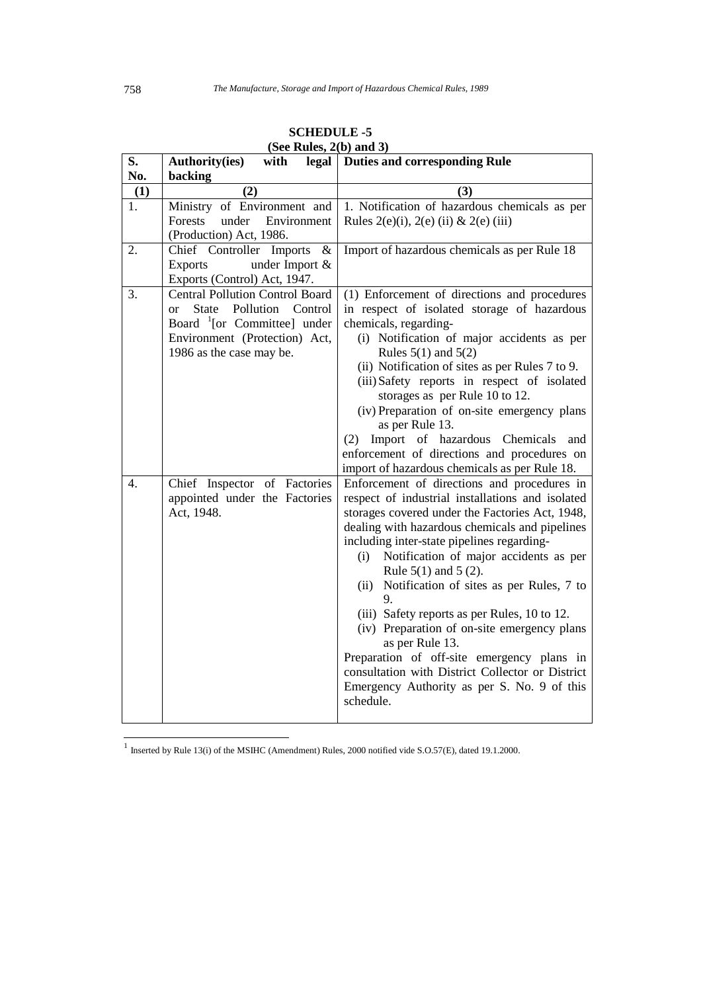| S.  | (but <b>Kuits</b> , $\mu(\theta)$ and $\sigma$ )<br>Authority(ies)<br>with | legal   Duties and corresponding Rule                                                       |
|-----|----------------------------------------------------------------------------|---------------------------------------------------------------------------------------------|
| No. | backing                                                                    |                                                                                             |
| (1) | (2)                                                                        | (3)                                                                                         |
| 1.  | Ministry of Environment and                                                | 1. Notification of hazardous chemicals as per                                               |
|     | Forests<br>under<br>Environment                                            | Rules $2(e)(i)$ , $2(e)(ii)$ & $2(e)(iii)$                                                  |
|     | (Production) Act, 1986.                                                    |                                                                                             |
| 2.  | Chief Controller Imports<br>$\&$                                           | Import of hazardous chemicals as per Rule 18                                                |
|     | <b>Exports</b><br>under Import $\&$                                        |                                                                                             |
| 3.  | Exports (Control) Act, 1947.<br><b>Central Pollution Control Board</b>     |                                                                                             |
|     | State Pollution Control<br>or                                              | (1) Enforcement of directions and procedures<br>in respect of isolated storage of hazardous |
|     | Board $\frac{1}{2}$ [or Committee] under                                   | chemicals, regarding-                                                                       |
|     | Environment (Protection) Act,                                              | (i) Notification of major accidents as per                                                  |
|     | 1986 as the case may be.                                                   | Rules $5(1)$ and $5(2)$                                                                     |
|     |                                                                            | (ii) Notification of sites as per Rules 7 to 9.                                             |
|     |                                                                            | (iii) Safety reports in respect of isolated                                                 |
|     |                                                                            | storages as per Rule 10 to 12.                                                              |
|     |                                                                            | (iv) Preparation of on-site emergency plans                                                 |
|     |                                                                            | as per Rule 13.                                                                             |
|     |                                                                            | (2) Import of hazardous Chemicals and                                                       |
|     |                                                                            | enforcement of directions and procedures on                                                 |
|     |                                                                            | import of hazardous chemicals as per Rule 18.                                               |
| 4.  | Chief Inspector of Factories                                               | Enforcement of directions and procedures in                                                 |
|     | appointed under the Factories                                              | respect of industrial installations and isolated                                            |
|     | Act, 1948.                                                                 | storages covered under the Factories Act, 1948,                                             |
|     |                                                                            | dealing with hazardous chemicals and pipelines                                              |
|     |                                                                            | including inter-state pipelines regarding-                                                  |
|     |                                                                            | Notification of major accidents as per<br>(i)<br>Rule $5(1)$ and $5(2)$ .                   |
|     |                                                                            | Notification of sites as per Rules, 7 to<br>(ii)                                            |
|     |                                                                            | 9.                                                                                          |
|     |                                                                            | (iii) Safety reports as per Rules, 10 to 12.                                                |
|     |                                                                            | (iv) Preparation of on-site emergency plans                                                 |
|     |                                                                            | as per Rule 13.                                                                             |
|     |                                                                            | Preparation of off-site emergency plans in                                                  |
|     |                                                                            | consultation with District Collector or District                                            |
|     |                                                                            | Emergency Authority as per S. No. 9 of this                                                 |
|     |                                                                            | schedule.                                                                                   |
|     |                                                                            |                                                                                             |

**SCHEDULE -5 (See Rules, 2(b) and 3)** 

 1 Inserted by Rule 13(i) of the MSIHC (Amendment) Rules, 2000 notified vide S.O.57(E), dated 19.1.2000.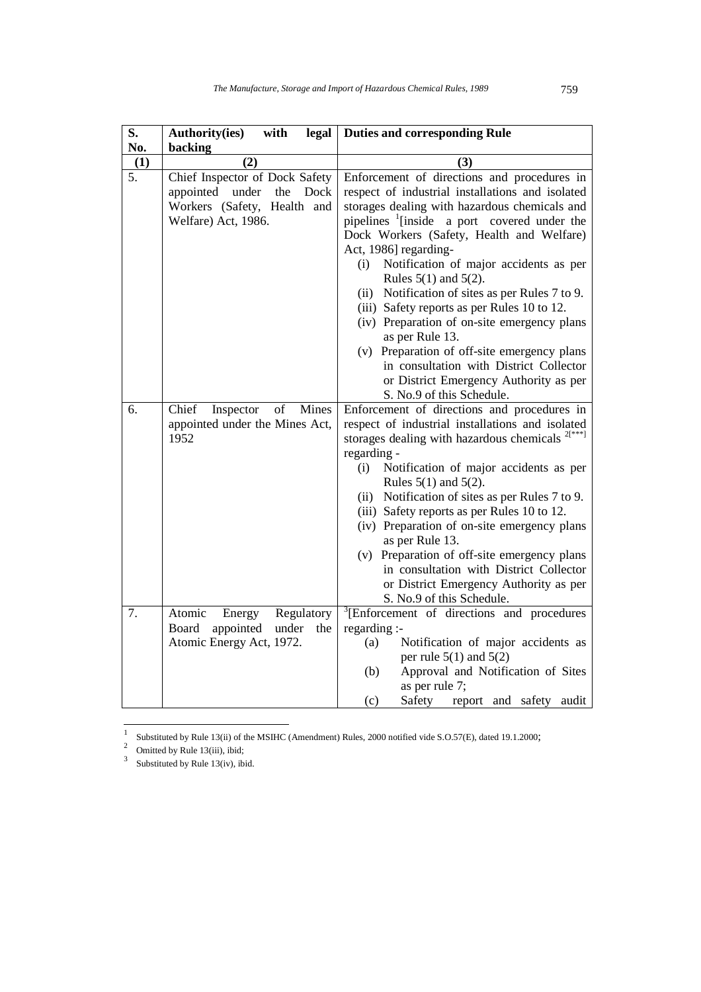| S.<br>No. | with<br>legal<br><b>Authority(ies)</b><br>backing                                                                   | <b>Duties and corresponding Rule</b>                                                                                                                                                                                                                                                                                                                                                                                                                                                                                                                                                                                                                                                                 |
|-----------|---------------------------------------------------------------------------------------------------------------------|------------------------------------------------------------------------------------------------------------------------------------------------------------------------------------------------------------------------------------------------------------------------------------------------------------------------------------------------------------------------------------------------------------------------------------------------------------------------------------------------------------------------------------------------------------------------------------------------------------------------------------------------------------------------------------------------------|
| (1)       | (2)                                                                                                                 | (3)                                                                                                                                                                                                                                                                                                                                                                                                                                                                                                                                                                                                                                                                                                  |
| 5.        | Chief Inspector of Dock Safety<br>appointed under<br>the Dock<br>Workers (Safety, Health and<br>Welfare) Act, 1986. | Enforcement of directions and procedures in<br>respect of industrial installations and isolated<br>storages dealing with hazardous chemicals and<br>pipelines <sup>1</sup> [inside a port covered under the<br>Dock Workers (Safety, Health and Welfare)<br>Act, 1986] regarding-<br>Notification of major accidents as per<br>(i)<br>Rules $5(1)$ and $5(2)$ .<br>(ii) Notification of sites as per Rules 7 to 9.<br>(iii) Safety reports as per Rules 10 to 12.<br>(iv) Preparation of on-site emergency plans<br>as per Rule 13.<br>(v) Preparation of off-site emergency plans<br>in consultation with District Collector<br>or District Emergency Authority as per<br>S. No.9 of this Schedule. |
| б.        | Chief<br>Mines<br>Inspector<br>of<br>appointed under the Mines Act,<br>1952                                         | Enforcement of directions and procedures in<br>respect of industrial installations and isolated<br>storages dealing with hazardous chemicals $2[x***]$<br>regarding -<br>Notification of major accidents as per<br>(i)<br>Rules $5(1)$ and $5(2)$ .<br>(ii) Notification of sites as per Rules 7 to 9.<br>(iii) Safety reports as per Rules 10 to 12.<br>(iv) Preparation of on-site emergency plans<br>as per Rule 13.<br>(v) Preparation of off-site emergency plans<br>in consultation with District Collector<br>or District Emergency Authority as per<br>S. No.9 of this Schedule.                                                                                                             |
| 7.        | Atomic<br>Regulatory<br>Energy<br>Board<br>appointed<br>under<br>the<br>Atomic Energy Act, 1972.                    | <sup>3</sup> [Enforcement of directions and procedures]<br>regarding :-<br>Notification of major accidents as<br>(a)<br>per rule $5(1)$ and $5(2)$<br>(b)<br>Approval and Notification of Sites<br>as per rule 7;<br>Safety report and safety audit<br>(c)                                                                                                                                                                                                                                                                                                                                                                                                                                           |

|<br>|<br>| Substituted by Rule 13(ii) of the MSIHC (Amendment) Rules, 2000 notified vide S.O.57(E), dated 19.1.2000;

<sup>2</sup> Omitted by Rule 13(iii), ibid;

3 Substituted by Rule 13(iv), ibid.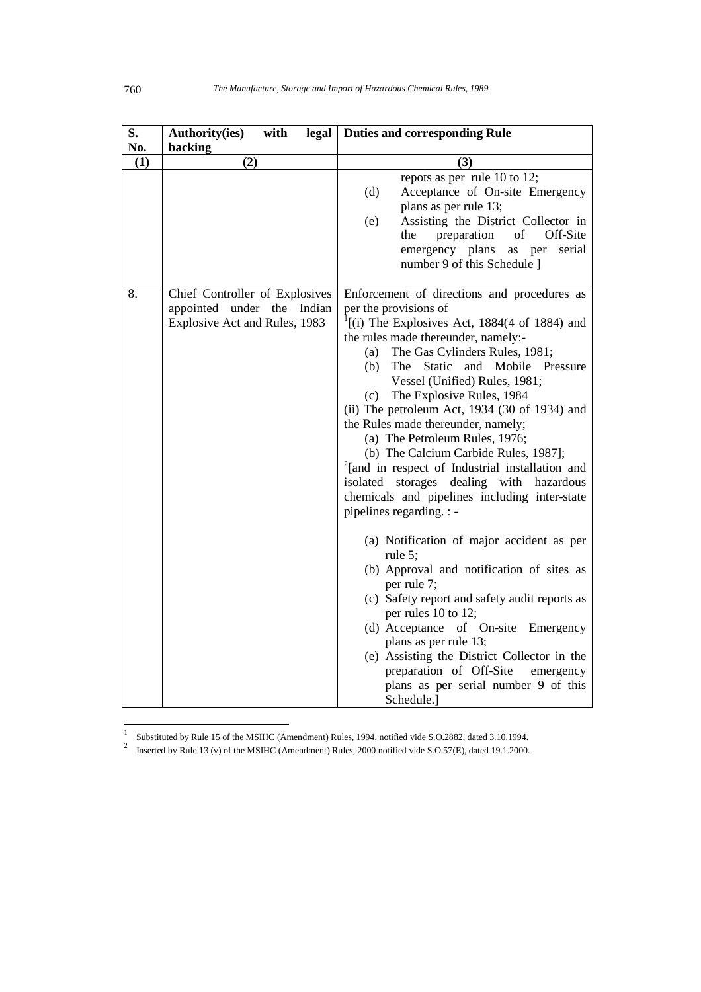| S.  | with<br>legal<br><b>Authority(ies)</b>                                                        | <b>Duties and corresponding Rule</b>                                                                                                                                                                                                                                                                                                                                                                                                                                                                                                                                                                                                                                                                                                                                                                                                                                                                                                                                                                                                                                                                                   |
|-----|-----------------------------------------------------------------------------------------------|------------------------------------------------------------------------------------------------------------------------------------------------------------------------------------------------------------------------------------------------------------------------------------------------------------------------------------------------------------------------------------------------------------------------------------------------------------------------------------------------------------------------------------------------------------------------------------------------------------------------------------------------------------------------------------------------------------------------------------------------------------------------------------------------------------------------------------------------------------------------------------------------------------------------------------------------------------------------------------------------------------------------------------------------------------------------------------------------------------------------|
| No. | backing                                                                                       |                                                                                                                                                                                                                                                                                                                                                                                                                                                                                                                                                                                                                                                                                                                                                                                                                                                                                                                                                                                                                                                                                                                        |
| (1) | (2)                                                                                           | (3)                                                                                                                                                                                                                                                                                                                                                                                                                                                                                                                                                                                                                                                                                                                                                                                                                                                                                                                                                                                                                                                                                                                    |
|     |                                                                                               | repots as per rule 10 to 12;<br>(d)<br>Acceptance of On-site Emergency<br>plans as per rule 13;<br>Assisting the District Collector in<br>(e)<br>of<br>the<br>preparation<br>Off-Site<br>emergency plans<br>serial<br>as per<br>number 9 of this Schedule 1                                                                                                                                                                                                                                                                                                                                                                                                                                                                                                                                                                                                                                                                                                                                                                                                                                                            |
| 8.  | Chief Controller of Explosives<br>appointed under the Indian<br>Explosive Act and Rules, 1983 | Enforcement of directions and procedures as<br>per the provisions of<br>$\left( \frac{1}{1} \right)$ The Explosives Act, 1884(4 of 1884) and<br>the rules made thereunder, namely:-<br>The Gas Cylinders Rules, 1981;<br>(a)<br>Static and Mobile Pressure<br>(b)<br>The<br>Vessel (Unified) Rules, 1981;<br>The Explosive Rules, 1984<br>(c)<br>(ii) The petroleum Act, 1934 (30 of 1934) and<br>the Rules made thereunder, namely;<br>(a) The Petroleum Rules, 1976;<br>(b) The Calcium Carbide Rules, 1987];<br><sup>2</sup> [and in respect of Industrial installation and<br>storages dealing with hazardous<br>isolated<br>chemicals and pipelines including inter-state<br>pipelines regarding. : -<br>(a) Notification of major accident as per<br>rule 5;<br>(b) Approval and notification of sites as<br>per rule 7;<br>(c) Safety report and safety audit reports as<br>per rules 10 to 12;<br>(d) Acceptance of On-site<br>Emergency<br>plans as per rule 13;<br>(e) Assisting the District Collector in the<br>preparation of Off-Site<br>emergency<br>plans as per serial number 9 of this<br>Schedule.] |

|<br>|<br>| Substituted by Rule 15 of the MSIHC (Amendment) Rules, 1994, notified vide S.O.2882, dated 3.10.1994.

2 Inserted by Rule 13 (v) of the MSIHC (Amendment) Rules, 2000 notified vide S.O.57(E), dated 19.1.2000.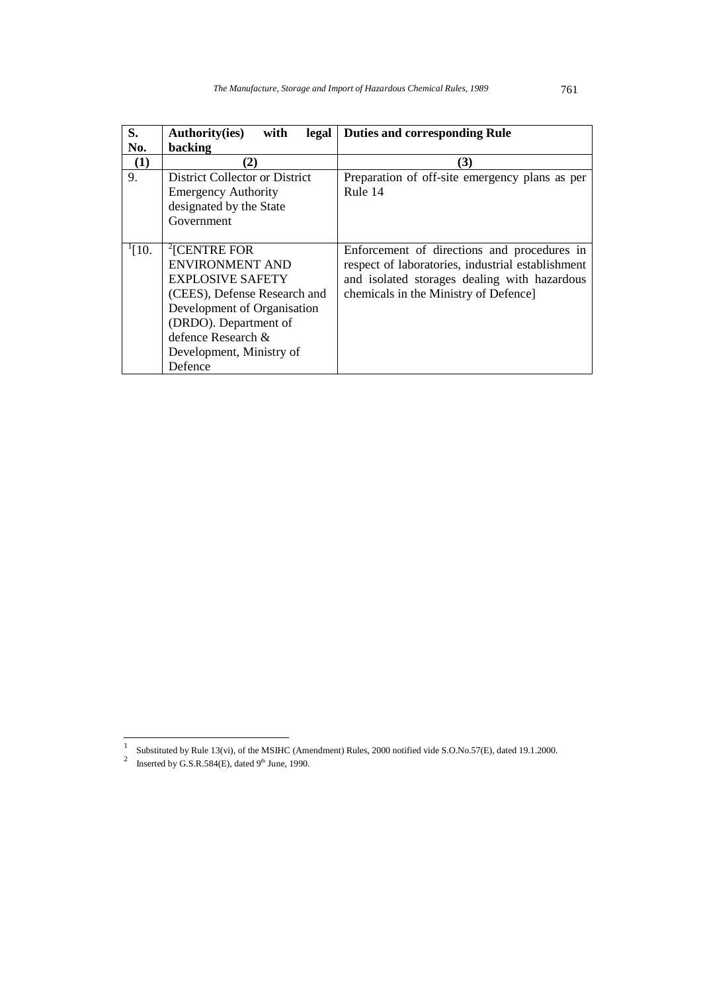| S.           | <b>Authority(ies)</b><br>with<br>legal | <b>Duties and corresponding Rule</b>              |
|--------------|----------------------------------------|---------------------------------------------------|
| No.          | backing                                |                                                   |
| (1)          | (2)                                    | (3)                                               |
| 9.           | District Collector or District         | Preparation of off-site emergency plans as per    |
|              | <b>Emergency Authority</b>             | Rule 14                                           |
|              | designated by the State                |                                                   |
|              | Government                             |                                                   |
|              |                                        |                                                   |
| $\lceil 10.$ | $\sqrt[2]{\text{CENTRE FOR}}$          | Enforcement of directions and procedures in       |
|              | <b>ENVIRONMENT AND</b>                 | respect of laboratories, industrial establishment |
|              | <b>EXPLOSIVE SAFETY</b>                | and isolated storages dealing with hazardous      |
|              | (CEES), Defense Research and           | chemicals in the Ministry of Defence]             |
|              | Development of Organisation            |                                                   |
|              | (DRDO). Department of                  |                                                   |
|              | defence Research &                     |                                                   |
|              | Development, Ministry of               |                                                   |
|              | Defence                                |                                                   |

 1 Substituted by Rule 13(vi), of the MSIHC (Amendment) Rules, 2000 notified vide S.O.No.57(E), dated 19.1.2000. 2

Inserted by G.S.R.584(E), dated  $9<sup>th</sup>$  June, 1990.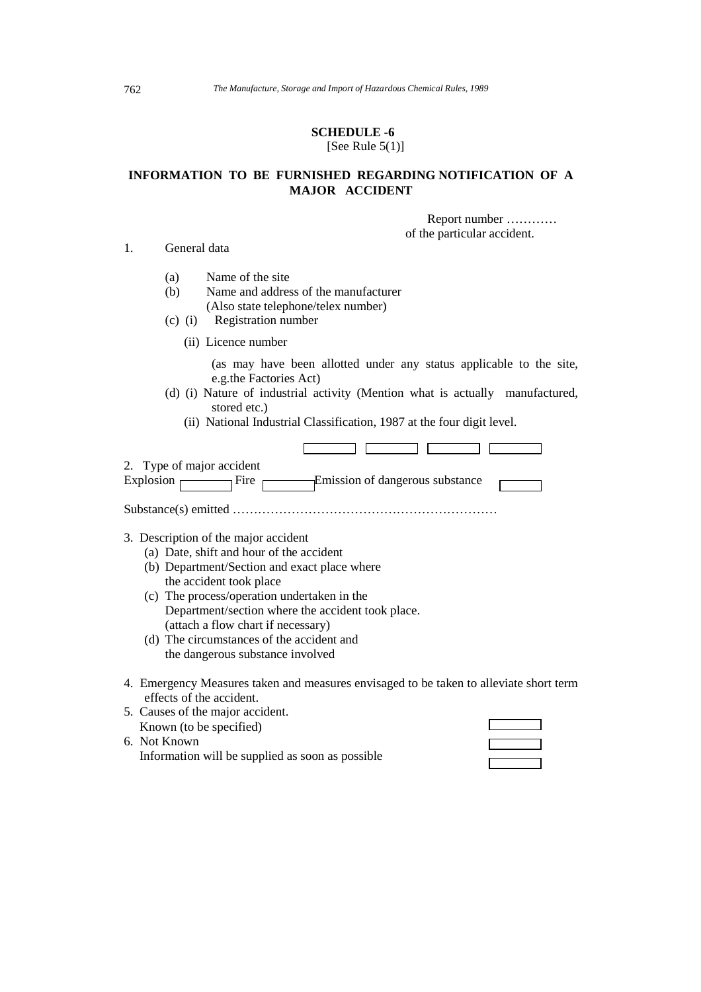#### **SCHEDULE -6**  [See Rule  $5(1)$ ]

## **INFORMATION TO BE FURNISHED REGARDING NOTIFICATION OF A MAJOR ACCIDENT**

 Report number ………… of the particular accident.

#### 1. General data

- (a) Name of the site
- (b) Name and address of the manufacturer (Also state telephone/telex number)
- (c) (i) Registration number
	- (ii) Licence number

 (as may have been allotted under any status applicable to the site, e.g.the Factories Act)

- (d) (i) Nature of industrial activity (Mention what is actually manufactured, stored etc.)
	- (ii) National Industrial Classification, 1987 at the four digit level.

| 2. Type of major accident<br>Fire<br>Explosion                                                                     |
|--------------------------------------------------------------------------------------------------------------------|
|                                                                                                                    |
| 3. Description of the major accident                                                                               |
| (a) Date, shift and hour of the accident                                                                           |
| (b) Department/Section and exact place where                                                                       |
| the accident took place                                                                                            |
| (c) The process/operation undertaken in the                                                                        |
| Department/section where the accident took place.                                                                  |
| (attach a flow chart if necessary)                                                                                 |
| (d) The circumstances of the accident and                                                                          |
| the dangerous substance involved                                                                                   |
|                                                                                                                    |
| 4. Emergency Measures taken and measures envisaged to be taken to alleviate short term<br>effects of the accident. |
| 5. Causes of the major accident.                                                                                   |
| Known (to be specified)                                                                                            |

6. Not Known Information will be supplied as soon as possible

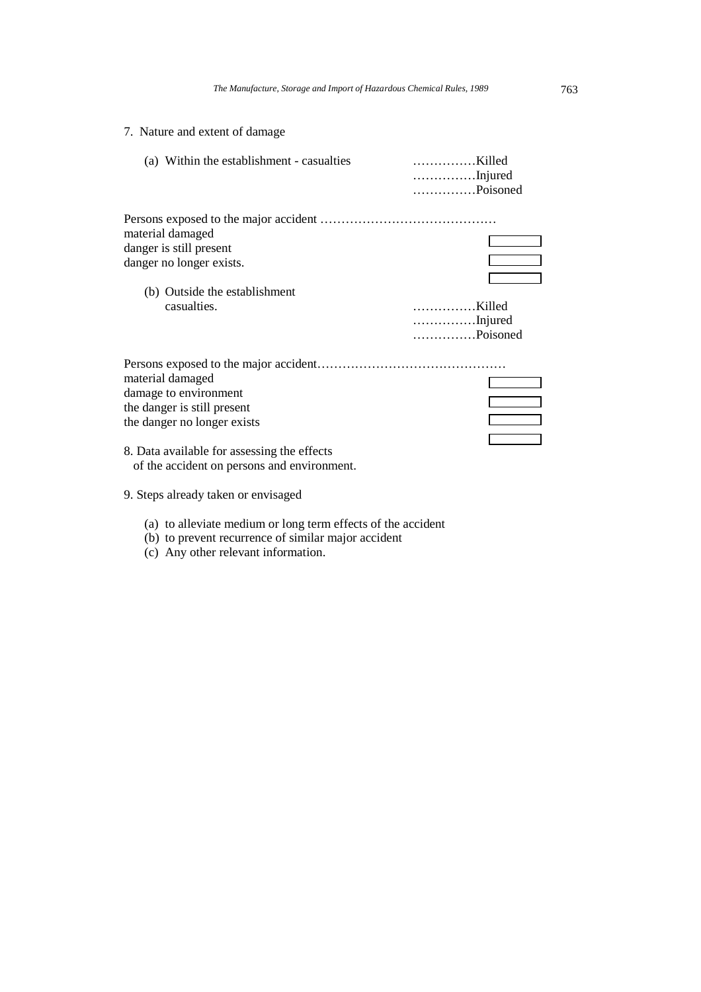### 7. Nature and extent of damage

| (a) Within the establishment - casualties                                                                                                                                                             | Killed<br>Injured<br>Poisoned |
|-------------------------------------------------------------------------------------------------------------------------------------------------------------------------------------------------------|-------------------------------|
|                                                                                                                                                                                                       |                               |
| material damaged                                                                                                                                                                                      |                               |
| danger is still present                                                                                                                                                                               |                               |
| danger no longer exists.                                                                                                                                                                              |                               |
|                                                                                                                                                                                                       |                               |
| (b) Outside the establishment                                                                                                                                                                         |                               |
| casualties.                                                                                                                                                                                           | Killed                        |
|                                                                                                                                                                                                       | Injured                       |
|                                                                                                                                                                                                       | Poisoned                      |
| material damaged<br>damage to environment<br>the danger is still present<br>the danger no longer exists<br>8. Data available for assessing the effects<br>of the accident on persons and environment. |                               |
|                                                                                                                                                                                                       |                               |

- 9. Steps already taken or envisaged
	- (a) to alleviate medium or long term effects of the accident
	- (b) to prevent recurrence of similar major accident
	- (c) Any other relevant information.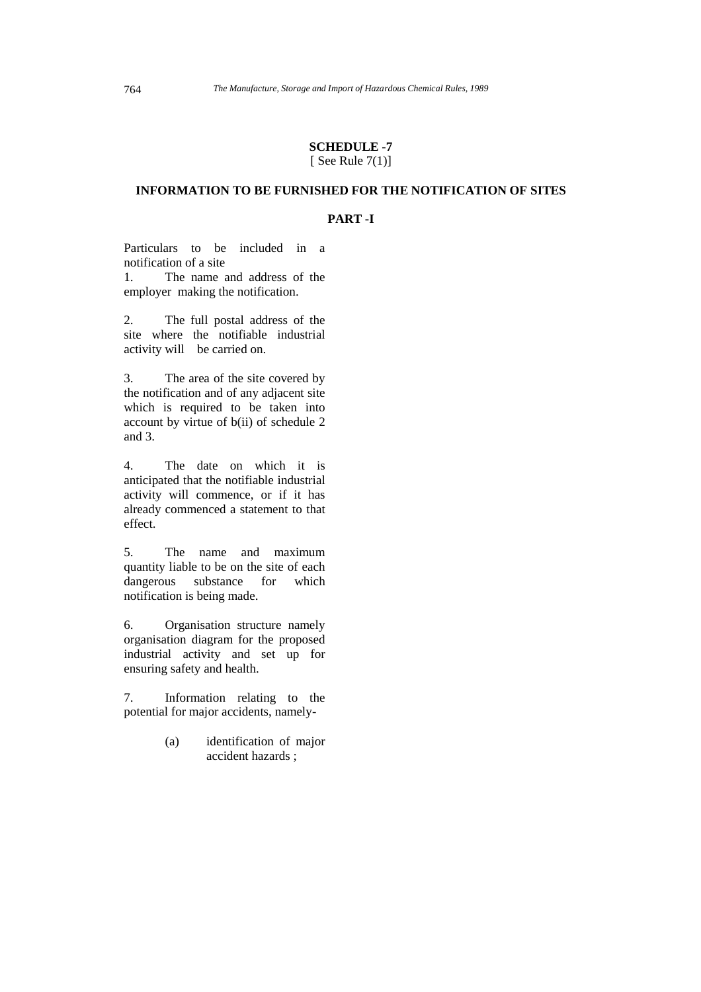#### **SCHEDULE -7**  [ See Rule  $7(1)$ ]

### **INFORMATION TO BE FURNISHED FOR THE NOTIFICATION OF SITES**

#### **PART -I**

Particulars to be included in a notification of a site 1. The name and address of the

employer making the notification.

2. The full postal address of the site where the notifiable industrial activity will be carried on.

3. The area of the site covered by the notification and of any adjacent site which is required to be taken into account by virtue of b(ii) of schedule 2 and 3.

4. The date on which it is anticipated that the notifiable industrial activity will commence, or if it has already commenced a statement to that effect.

5. The name and maximum quantity liable to be on the site of each dangerous substance for which notification is being made.

6. Organisation structure namely organisation diagram for the proposed industrial activity and set up for ensuring safety and health.

7. Information relating to the potential for major accidents, namely-

> (a) identification of major accident hazards ;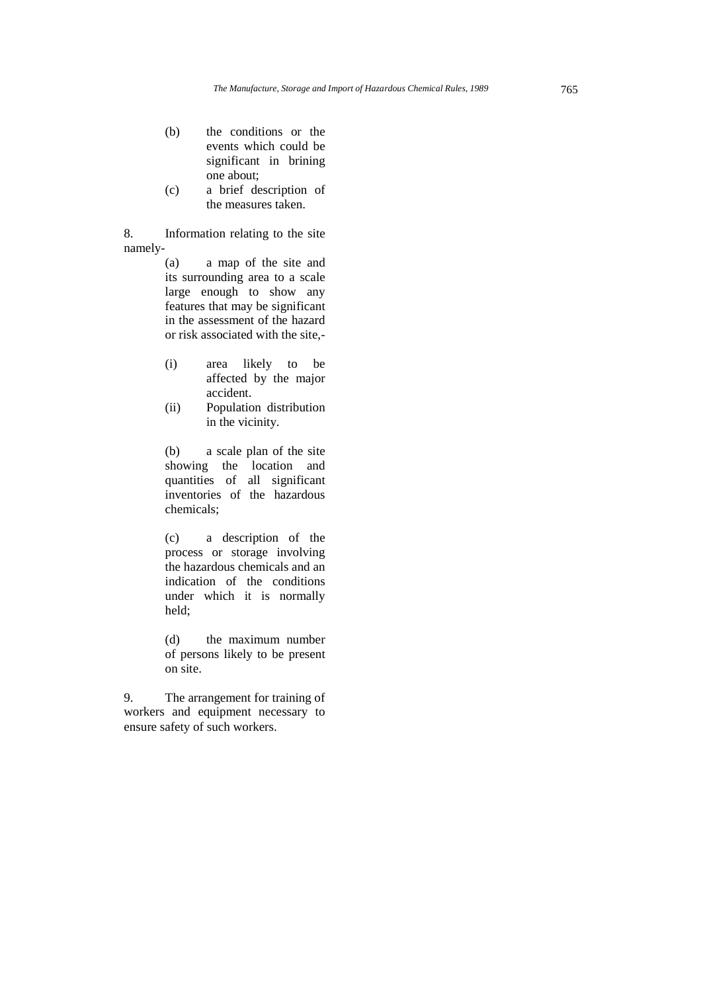- (b) the conditions or the events which could be significant in brining one about;
- (c) a brief description of the measures taken.

8. Information relating to the site namely-

> (a) a map of the site and its surrounding area to a scale large enough to show any features that may be significant in the assessment of the hazard or risk associated with the site,-

- (i) area likely to be affected by the major accident.
- (ii) Population distribution in the vicinity.

(b) a scale plan of the site showing the location and quantities of all significant inventories of the hazardous chemicals;

(c) a description of the process or storage involving the hazardous chemicals and an indication of the conditions under which it is normally held;

(d) the maximum number of persons likely to be present on site.

9. The arrangement for training of workers and equipment necessary to ensure safety of such workers.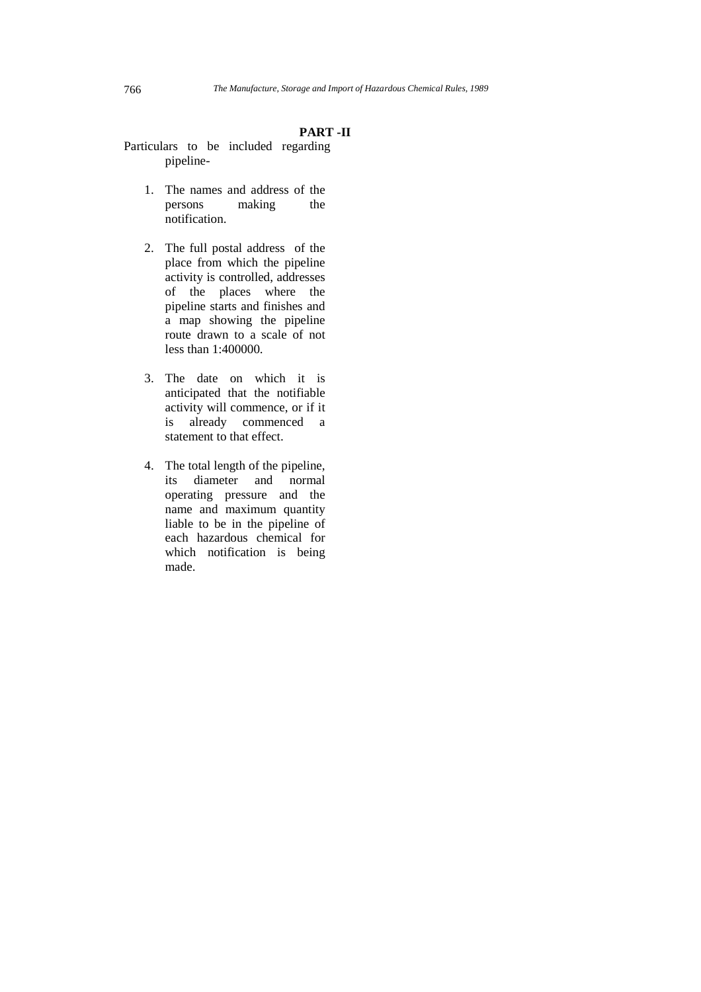#### **PART -II**

- Particulars to be included regarding pipeline-
	- 1. The names and address of the persons making the notification.
	- 2. The full postal address of the place from which the pipeline activity is controlled, addresses of the places where the pipeline starts and finishes and a map showing the pipeline route drawn to a scale of not less than 1:400000.
	- 3. The date on which it is anticipated that the notifiable activity will commence, or if it is already commenced a statement to that effect.
	- 4. The total length of the pipeline, its diameter and normal operating pressure and the name and maximum quantity liable to be in the pipeline of each hazardous chemical for which notification is being made.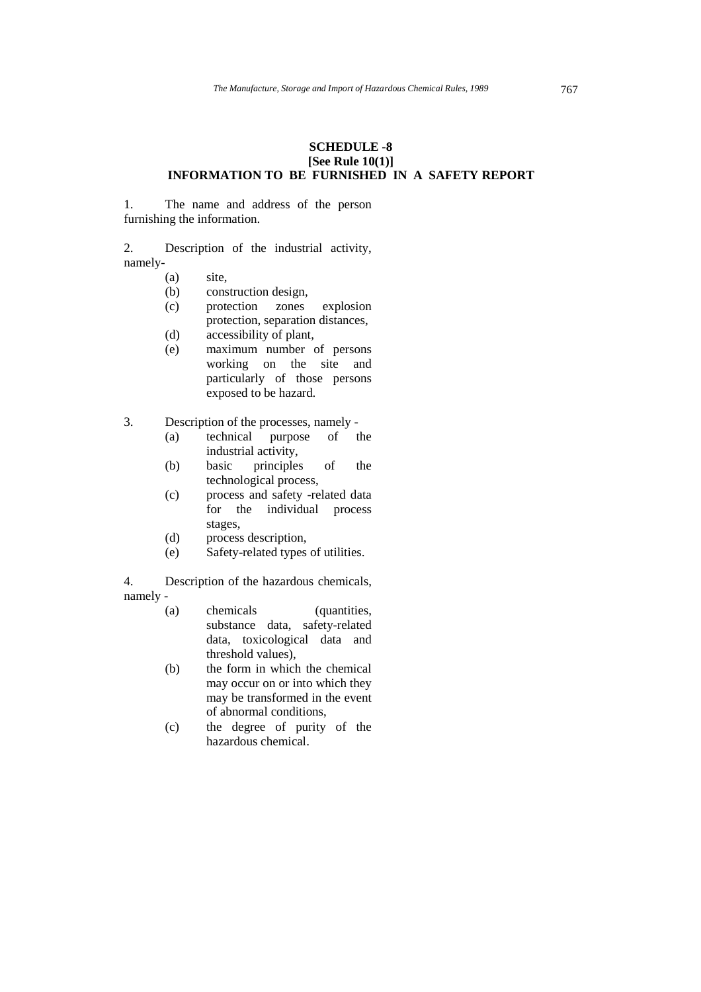#### **SCHEDULE -8 [See Rule 10(1)] INFORMATION TO BE FURNISHED IN A SAFETY REPORT**

1. The name and address of the person furnishing the information.

2. Description of the industrial activity, namely-

- (a) site,
- (b) construction design,
- (c) protection zones explosion protection, separation distances,
- (d) accessibility of plant,
- (e) maximum number of persons working on the site and particularly of those persons exposed to be hazard.
- 3. Description of the processes, namely
	- (a) technical purpose of the industrial activity,
	- (b) basic principles of the technological process,
	- (c) process and safety -related data for the individual process stages,
	- (d) process description,
	- (e) Safety-related types of utilities.

4. Description of the hazardous chemicals, namely -

- - (a) chemicals (quantities, substance data, safety-related data, toxicological data and threshold values),
	- (b) the form in which the chemical may occur on or into which they may be transformed in the event of abnormal conditions,
	- (c) the degree of purity of the hazardous chemical.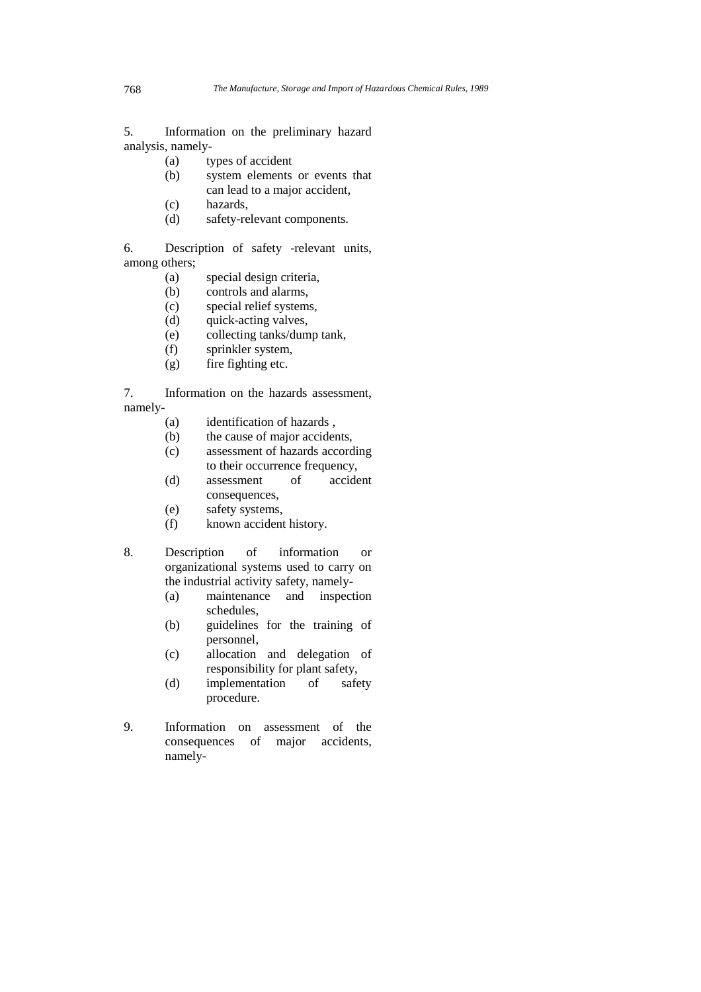5. Information on the preliminary hazard analysis, namely-

- (a) types of accident
- (b) system elements or events that can lead to a major accident,
- (c) hazards,
- (d) safety-relevant components.

6. Description of safety -relevant units, among others;

- (a) special design criteria,
- (b) controls and alarms,
- (c) special relief systems,
- (d) quick-acting valves,
- (e) collecting tanks/dump tank,
- (f) sprinkler system,
- (g) fire fighting etc.

7. Information on the hazards assessment, namely-

- (a) identification of hazards ,
- (b) the cause of major accidents,
- (c) assessment of hazards according to their occurrence frequency,
- (d) assessment of accident consequences,
- (e) safety systems,
- (f) known accident history.
- 8. Description of information or organizational systems used to carry on the industrial activity safety, namely-
	- (a) maintenance and inspection schedules,
	- (b) guidelines for the training of personnel,
	- (c) allocation and delegation of responsibility for plant safety,
	- (d) implementation of safety procedure.
- 9. Information on assessment of the consequences of major accidents, namely-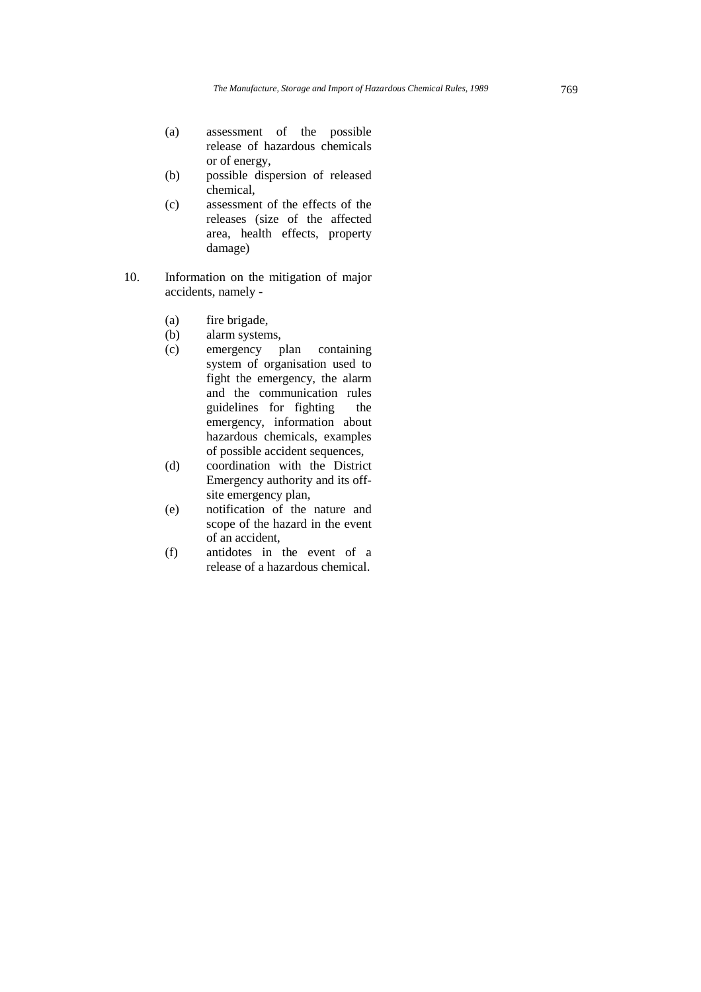- (a) assessment of the possible release of hazardous chemicals or of energy,
- (b) possible dispersion of released chemical,
- (c) assessment of the effects of the releases (size of the affected area, health effects, property damage)
- 10. Information on the mitigation of major accidents, namely -
	- (a) fire brigade,
	- (b) alarm systems,
	- (c) emergency plan containing system of organisation used to fight the emergency, the alarm and the communication rules guidelines for fighting the emergency, information about hazardous chemicals, examples of possible accident sequences,
	- (d) coordination with the District Emergency authority and its offsite emergency plan,
	- (e) notification of the nature and scope of the hazard in the event of an accident,
	- (f) antidotes in the event of a release of a hazardous chemical.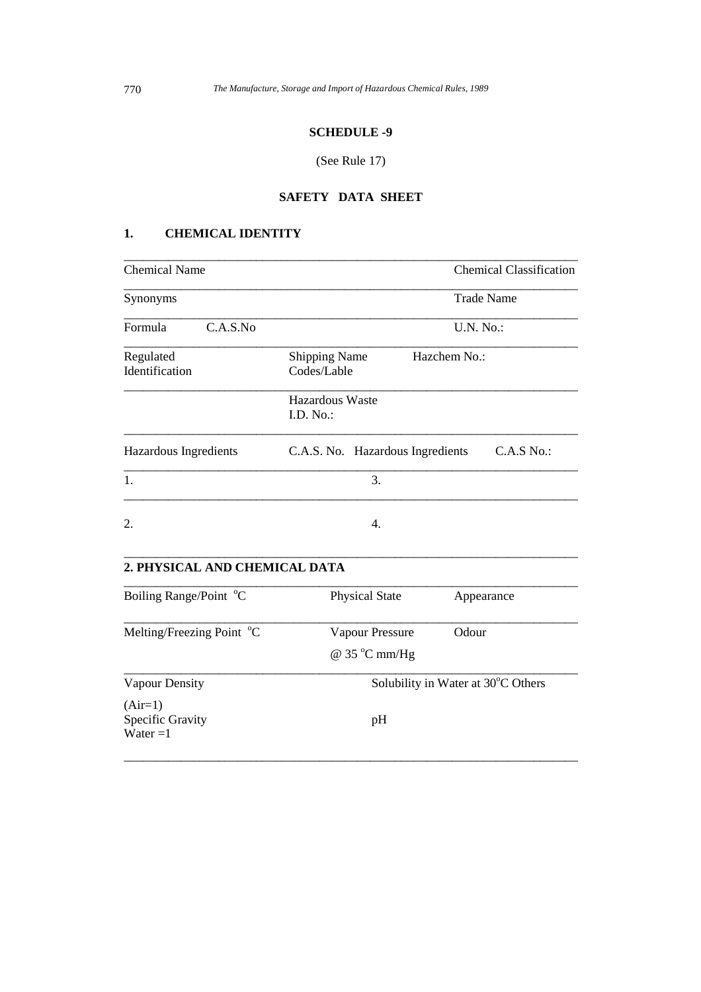### **SCHEDULE -9**

### (See Rule 17)

### **SAFETY DATA SHEET**

\_\_\_\_\_\_\_\_\_\_\_\_\_\_\_\_\_\_\_\_\_\_\_\_\_\_\_\_\_\_\_\_\_\_\_\_\_\_\_\_\_\_\_\_\_\_\_\_\_\_\_\_\_\_\_\_\_\_\_\_\_\_\_\_\_\_\_\_\_\_\_\_

### **1. CHEMICAL IDENTITY**

| <b>Chemical Name</b>        | <b>Chemical Classification</b>                      |
|-----------------------------|-----------------------------------------------------|
| Synonyms                    | <b>Trade Name</b>                                   |
| Formula<br>C.A.S.No         | U.N. No.:                                           |
| Regulated<br>Identification | Hazchem No.:<br><b>Shipping Name</b><br>Codes/Lable |
|                             | Hazardous Waste<br>I.D. $No.$ :                     |
| Hazardous Ingredients       | C.A.S. No. Hazardous Ingredients<br>C.A.S No.       |
| 1.                          | 3.                                                  |
| 2.                          | 4.                                                  |
|                             |                                                     |

### **2. PHYSICAL AND CHEMICAL DATA**

| Boiling Range/Point °C                             | <b>Physical State</b>  | Appearance                         |
|----------------------------------------------------|------------------------|------------------------------------|
| Melting/Freezing Point °C                          | Vapour Pressure        | Odour                              |
|                                                    | @ $35^{\circ}$ C mm/Hg |                                    |
| Vapour Density                                     |                        | Solubility in Water at 30°C Others |
| $(Air=1)$<br><b>Specific Gravity</b><br>Water $=1$ | pH                     |                                    |

 $\_$  ,  $\_$  ,  $\_$  ,  $\_$  ,  $\_$  ,  $\_$  ,  $\_$  ,  $\_$  ,  $\_$  ,  $\_$  ,  $\_$  ,  $\_$  ,  $\_$  ,  $\_$  ,  $\_$  ,  $\_$  ,  $\_$  ,  $\_$  ,  $\_$  ,  $\_$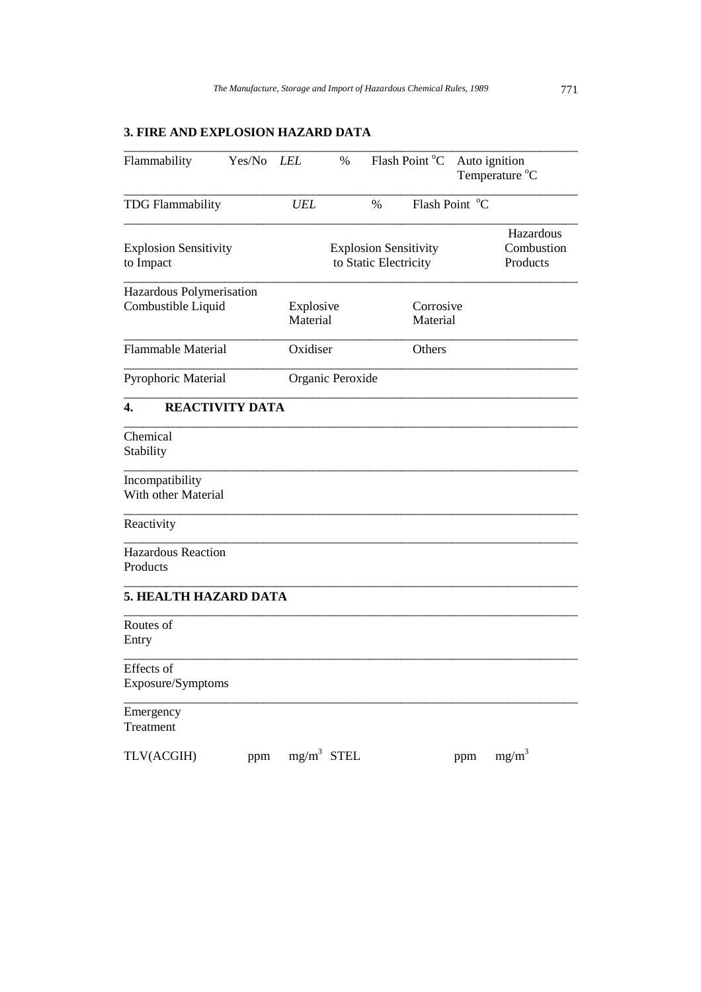\_\_\_\_\_\_\_\_\_\_\_\_\_\_\_\_\_\_\_\_\_\_\_\_\_\_\_\_\_\_\_\_\_\_\_\_\_\_\_\_\_\_\_\_\_\_\_\_\_\_\_\_\_\_\_\_\_\_\_\_\_\_\_\_\_\_\_\_\_\_\_\_

## **3. FIRE AND EXPLOSION HAZARD DATA**

| <b>UEL</b><br>Explosive<br>Material<br>Oxidiser | Flash Point °C<br>%<br><b>Explosion Sensitivity</b><br>to Static Electricity<br>Corrosive<br>Material |     | Hazardous<br>Combustion<br>Products |
|-------------------------------------------------|-------------------------------------------------------------------------------------------------------|-----|-------------------------------------|
|                                                 |                                                                                                       |     |                                     |
|                                                 |                                                                                                       |     |                                     |
|                                                 |                                                                                                       |     |                                     |
|                                                 |                                                                                                       |     |                                     |
|                                                 | Others                                                                                                |     |                                     |
| Organic Peroxide                                |                                                                                                       |     |                                     |
|                                                 |                                                                                                       |     |                                     |
|                                                 |                                                                                                       |     |                                     |
|                                                 |                                                                                                       |     |                                     |
|                                                 |                                                                                                       |     |                                     |
|                                                 |                                                                                                       |     |                                     |
|                                                 |                                                                                                       |     |                                     |
|                                                 |                                                                                                       |     |                                     |
|                                                 |                                                                                                       |     |                                     |
|                                                 |                                                                                                       |     |                                     |
|                                                 |                                                                                                       | ppm | $mg/m^3$                            |
|                                                 | $mg/m^3$ STEL                                                                                         |     |                                     |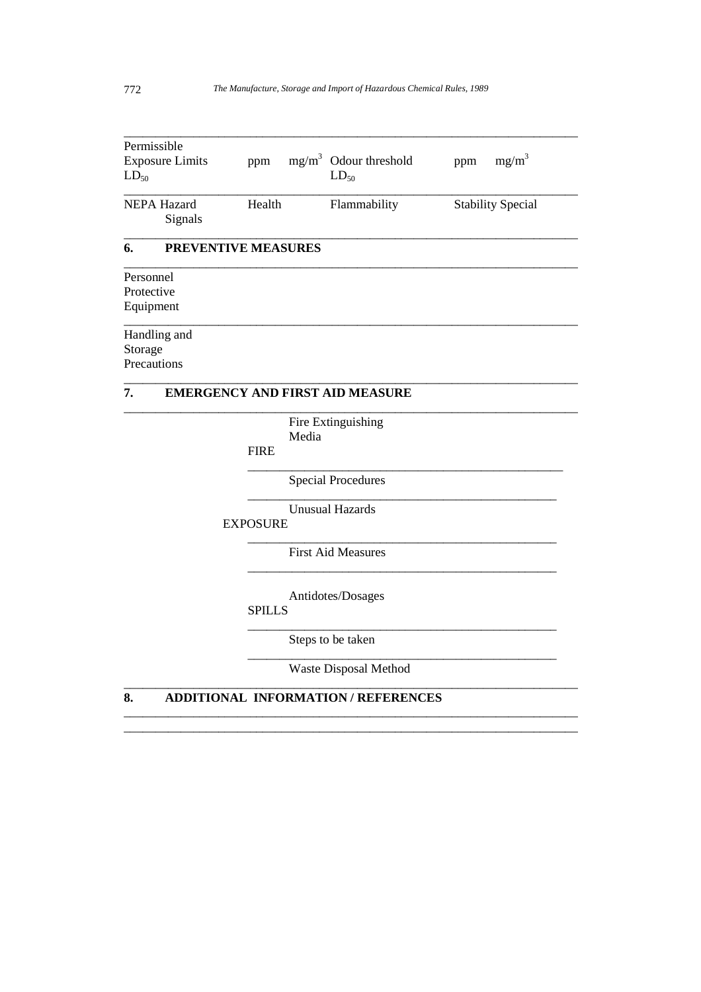| Permissible                            |                     |                                            |                          |
|----------------------------------------|---------------------|--------------------------------------------|--------------------------|
| <b>Exposure Limits</b><br>$LD_{50}$    | ppm                 | $mg/m3$ Odour threshold<br>$LD_{50}$       | $mg/m^3$<br>ppm          |
| NEPA Hazard<br>Signals                 | Health              | Flammability                               | <b>Stability Special</b> |
| 6.                                     | PREVENTIVE MEASURES |                                            |                          |
| Personnel<br>Protective<br>Equipment   |                     |                                            |                          |
| Handling and<br>Storage<br>Precautions |                     |                                            |                          |
| 7.                                     |                     | <b>EMERGENCY AND FIRST AID MEASURE</b>     |                          |
|                                        | <b>FIRE</b>         | Fire Extinguishing<br>Media                |                          |
|                                        |                     | <b>Special Procedures</b>                  |                          |
|                                        | <b>EXPOSURE</b>     | <b>Unusual Hazards</b>                     |                          |
|                                        |                     | <b>First Aid Measures</b>                  |                          |
|                                        | SPILLS              | Antidotes/Dosages                          |                          |
|                                        |                     | Steps to be taken                          |                          |
|                                        |                     | Waste Disposal Method                      |                          |
| 8.                                     |                     | <b>ADDITIONAL INFORMATION / REFERENCES</b> |                          |

\_\_\_\_\_\_\_\_\_\_\_\_\_\_\_\_\_\_\_\_\_\_\_\_\_\_\_\_\_\_\_\_\_\_\_\_\_\_\_\_\_\_\_\_\_\_\_\_\_\_\_\_\_\_\_\_\_\_\_\_\_\_\_\_\_\_\_\_\_\_\_\_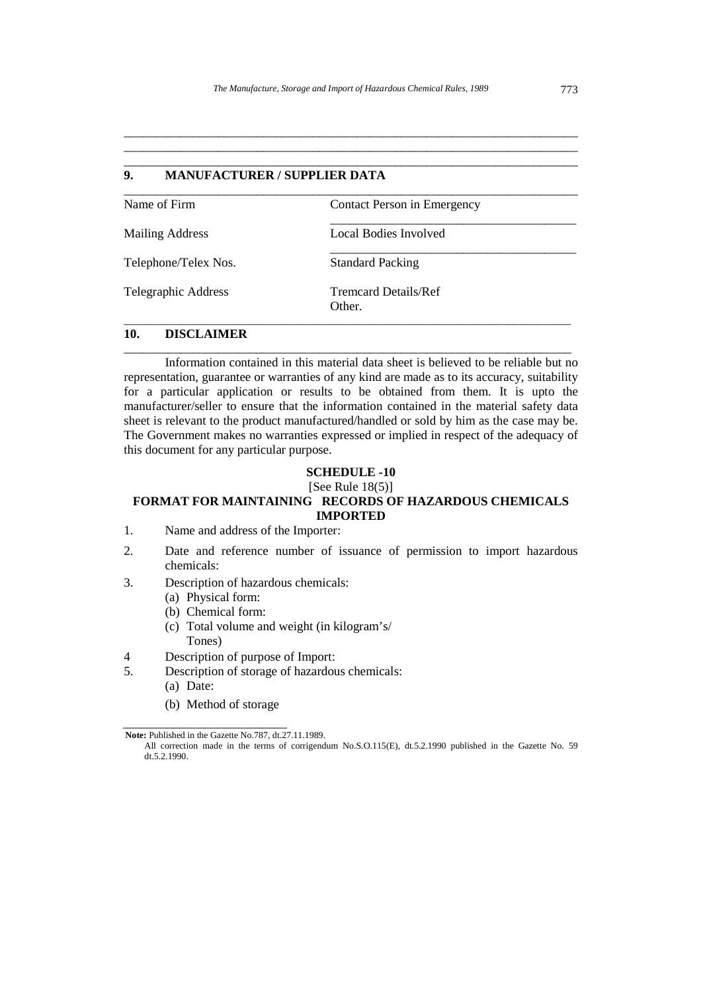\_\_\_\_\_\_\_\_\_\_\_\_\_\_\_\_\_\_\_\_\_\_\_\_\_\_\_\_\_\_\_\_\_\_\_\_\_\_\_\_\_\_\_\_\_\_\_\_\_\_\_\_\_\_\_\_\_\_\_\_\_\_\_\_\_\_\_\_\_\_\_\_ \_\_\_\_\_\_\_\_\_\_\_\_\_\_\_\_\_\_\_\_\_\_\_\_\_\_\_\_\_\_\_\_\_\_\_\_\_\_\_\_\_\_\_\_\_\_\_\_\_\_\_\_\_\_\_\_\_\_\_\_\_\_\_\_\_\_\_\_\_\_\_\_

| 9.<br><b>MANUFACTURER / SUPPLIER DATA</b> |                                       |  |
|-------------------------------------------|---------------------------------------|--|
| Name of Firm                              | Contact Person in Emergency           |  |
| <b>Mailing Address</b>                    | Local Bodies Involved                 |  |
| Telephone/Telex Nos.                      | <b>Standard Packing</b>               |  |
| Telegraphic Address                       | <b>Tremcard Details/Ref</b><br>Other. |  |

#### **10. DISCLAIMER**

 Information contained in this material data sheet is believed to be reliable but no representation, guarantee or warranties of any kind are made as to its accuracy, suitability for a particular application or results to be obtained from them. It is upto the manufacturer/seller to ensure that the information contained in the material safety data sheet is relevant to the product manufactured/handled or sold by him as the case may be. The Government makes no warranties expressed or implied in respect of the adequacy of this document for any particular purpose.

\_\_\_\_\_\_\_\_\_\_\_\_\_\_\_\_\_\_\_\_\_\_\_\_\_\_\_\_\_\_\_\_\_\_\_\_\_\_\_\_\_\_\_\_\_\_\_\_\_\_\_\_\_\_\_\_\_\_\_\_\_\_\_\_\_\_\_\_\_\_\_

#### **SCHEDULE -10**

### [See Rule  $18(5)$ ] **FORMAT FOR MAINTAINING RECORDS OF HAZARDOUS CHEMICALS IMPORTED**

- 1. Name and address of the Importer:
- 2. Date and reference number of issuance of permission to import hazardous chemicals:
- 3. Description of hazardous chemicals:
	- (a) Physical form:
	- (b) Chemical form:
	- (c) Total volume and weight (in kilogram's/ Tones)
- 4 Description of purpose of Import:
- 5. Description of storage of hazardous chemicals:
	- (a) Date:
	- (b) Method of storage

\_\_\_\_\_\_\_\_\_\_\_\_\_\_\_\_\_\_\_\_\_\_\_\_\_\_

**Note:** Published in the Gazette No.787, dt.27.11.1989.

All correction made in the terms of corrigendum No.S.O.115(E), dt.5.2.1990 published in the Gazette No. 59 dt.5.2.1990.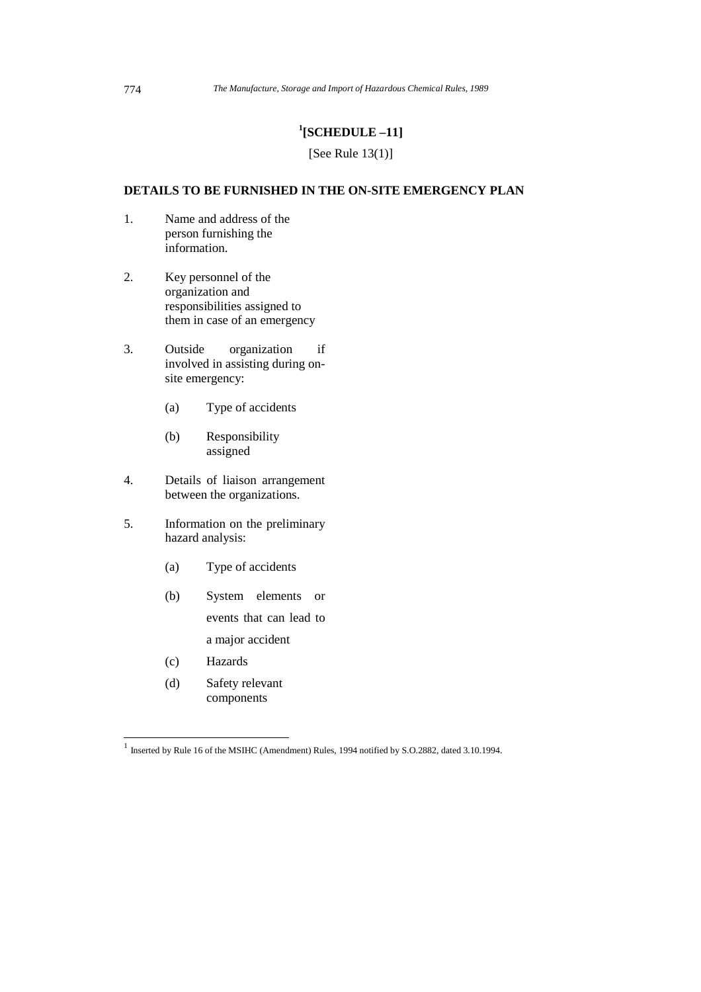### **1 [SCHEDULE –11]**

### [See Rule 13(1)]

### **DETAILS TO BE FURNISHED IN THE ON-SITE EMERGENCY PLAN**

- 1. Name and address of the person furnishing the information.
- 2. Key personnel of the organization and responsibilities assigned to them in case of an emergency
- 3. Outside organization if involved in assisting during onsite emergency:
	- (a) Type of accidents
	- (b) Responsibility assigned
- 4. Details of liaison arrangement between the organizations.
- 5. Information on the preliminary hazard analysis:
	- (a) Type of accidents
	- (b) System elements or events that can lead to
		- a major accident
	- (c) Hazards
	- (d) Safety relevant components

 1 Inserted by Rule 16 of the MSIHC (Amendment) Rules, 1994 notified by S.O.2882, dated 3.10.1994.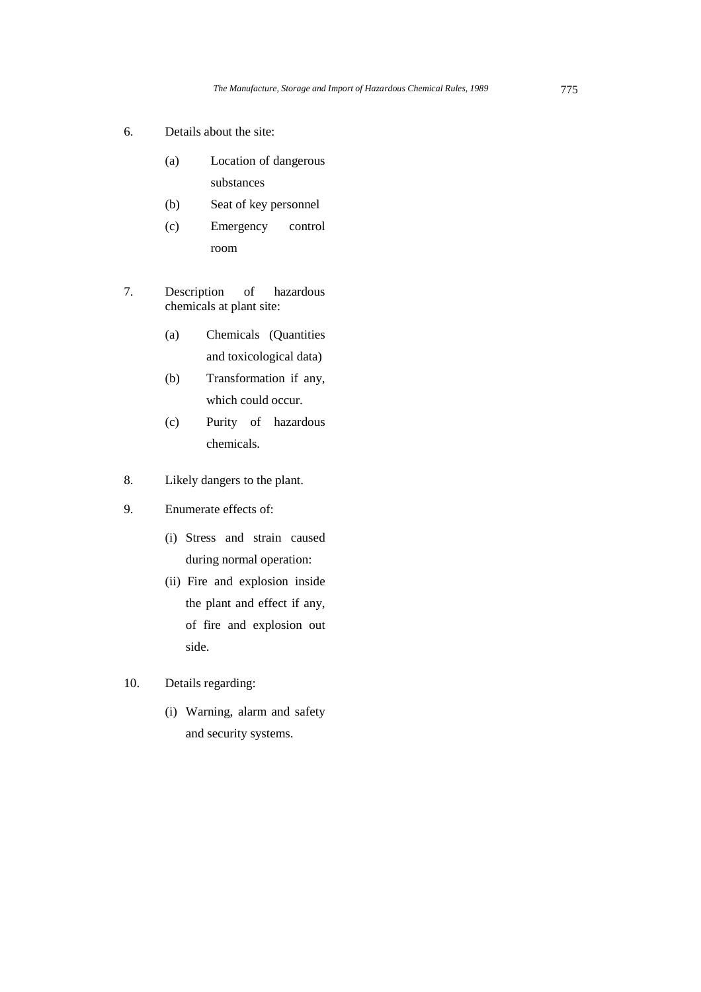- 6. Details about the site:
	- (a) Location of dangerous substances
	- (b) Seat of key personnel
	- (c) Emergency control room
- 7. Description of hazardous chemicals at plant site:
	- (a) Chemicals (Quantities and toxicological data)
	- (b) Transformation if any, which could occur.
	- (c) Purity of hazardous chemicals.
- 8. Likely dangers to the plant.
- 9. Enumerate effects of:
	- (i) Stress and strain caused during normal operation:
	- (ii) Fire and explosion inside the plant and effect if any, of fire and explosion out side.
- 10. Details regarding:
	- (i) Warning, alarm and safety and security systems.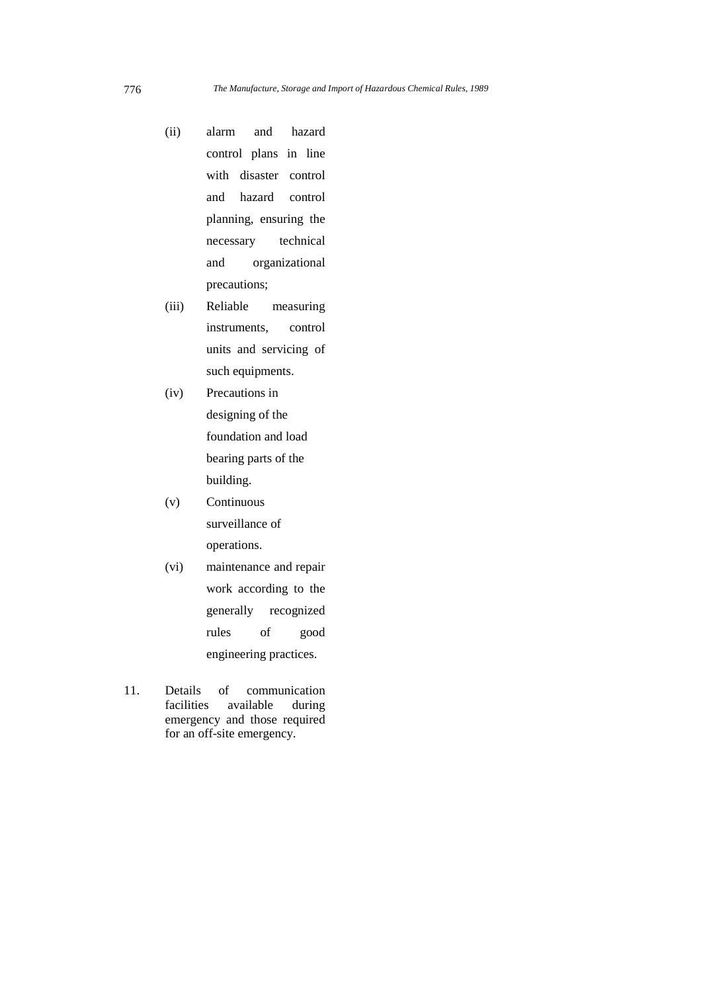- (ii) alarm and hazard control plans in line with disaster control and hazard control planning, ensuring the necessary technical and organizational precautions;
- (iii) Reliable measuring instruments, control units and servicing of such equipments.
- (iv) Precautions in designing of the foundation and load bearing parts of the building.
- (v) Continuous surveillance of operations.
- (vi) maintenance and repair work according to the generally recognized rules of good engineering practices.
- 11. Details of communication facilities available during emergency and those required for an off-site emergency.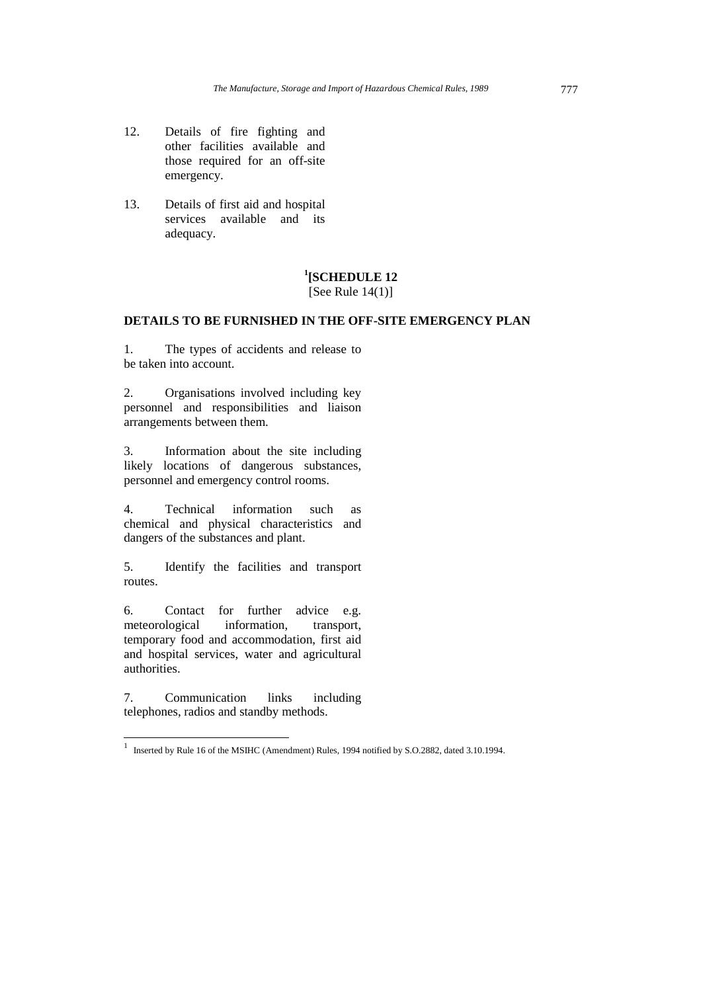- 12. Details of fire fighting and other facilities available and those required for an off-site emergency.
- 13. Details of first aid and hospital services available and its adequacy.

# **1 [SCHEDULE 12**

## [See Rule  $14(1)$ ]

### **DETAILS TO BE FURNISHED IN THE OFF-SITE EMERGENCY PLAN**

1. The types of accidents and release to be taken into account.

2. Organisations involved including key personnel and responsibilities and liaison arrangements between them.

3. Information about the site including likely locations of dangerous substances, personnel and emergency control rooms.

4. Technical information such as chemical and physical characteristics and dangers of the substances and plant.

5. Identify the facilities and transport routes.

6. Contact for further advice e.g.<br>meteorological information, transport, meteorological information, transport, temporary food and accommodation, first aid and hospital services, water and agricultural authorities.

7. Communication links including telephones, radios and standby methods.

 1 Inserted by Rule 16 of the MSIHC (Amendment) Rules, 1994 notified by S.O.2882, dated 3.10.1994.